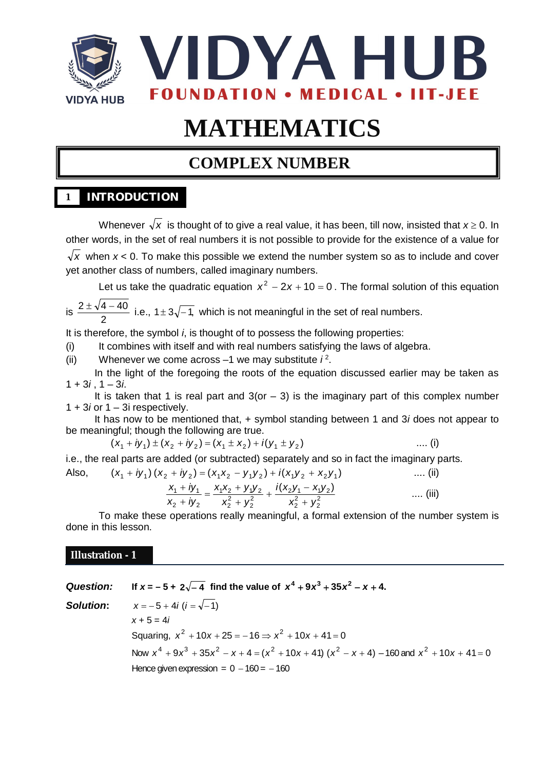

# **MATHEMATICS**

# **COMPLEX NUMBER**

# **1 INTRODUCTION**

Whenever  $\sqrt{x}$  is thought of to give a real value, it has been, till now, insisted that  $x \ge 0$ . In other words, in the set of real numbers it is not possible to provide for the existence of a value for

 $\sqrt{x}$  when  $x < 0$ . To make this possible we extend the number system so as to include and cover yet another class of numbers, called imaginary numbers.

Let us take the quadratic equation  $x^2 - 2x + 10 = 0$ . The formal solution of this equation

is 2  $\frac{2\pm\sqrt{4-40}}{2}$  i.e., 1 $\pm 3\sqrt{-1}$ , which is not meaningful in the set of real numbers.

It is therefore, the symbol *i*, is thought of to possess the following properties:

(i) It combines with itself and with real numbers satisfying the laws of algebra.

(ii) Whenever we come across  $-1$  we may substitute  $i^2$ .

In the light of the foregoing the roots of the equation discussed earlier may be taken as 1 + 3*i* , 1 – 3*i*.

It is taken that 1 is real part and  $3($ or  $-3)$  is the imaginary part of this complex number 1 + 3*i* or 1 – 3i respectively.

It has now to be mentioned that, + symbol standing between 1 and 3*i* does not appear to be meaningful; though the following are true.

$$
(x1 + iy1) \pm (x2 + iy2) = (x1 \pm x2) + i(y1 \pm y2) \qquad \qquad \dots (i)
$$

i.e., the real parts are added (or subtracted) separately and so in fact the imaginary parts. Also,  $(x_1 + iy_1)(x_2 + iy_2) = (x_1x_2 - y_1y_2) + i(x_1y_2 + x_2y_1)$  .... (ii)

$$
\frac{x_1 + iy_1}{x_2 + iy_2} = \frac{x_1x_2 + y_1y_2}{x_2^2 + y_2^2} + \frac{i(x_2y_1 - x_1y_2)}{x_2^2 + y_2^2}
$$
 .... (iii)

To make these operations really meaningful, a formal extension of the number system is done in this lesson.

# **Illustration - 1**

*Question:* If  $x = -5 + 2\sqrt{-4}$  find the value of  $x^4 + 9x^3 + 35x^2 - x + 4$ . **Solution:**  $x = -5 + 4i (i = \sqrt{-1})$ *x* + 5 = 4*i* Squaring,  $x^2 + 10x + 25 = -16 \Rightarrow x^2 + 10x + 41 = 0$ Now  $x^4 + 9x^3 + 35x^2 - x + 4 = (x^2 + 10x + 41)(x^2 - x + 4) - 160$  and  $x^2 + 10x + 41 = 0$ Hence given expression  $= 0 - 160 = -160$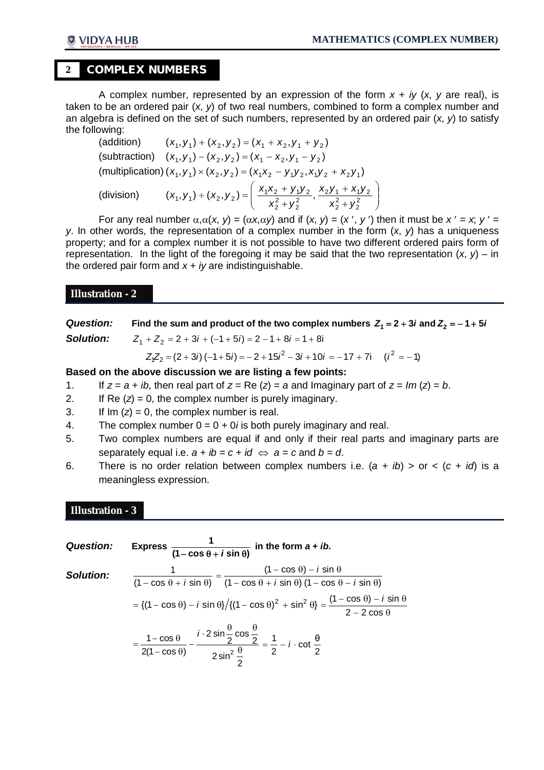# **2 COMPLEX NUMBERS**

A complex number, represented by an expression of the form *x* + *iy* (*x*, *y* are real), is taken to be an ordered pair (*x*, *y*) of two real numbers, combined to form a complex number and an algebra is defined on the set of such numbers, represented by an ordered pair (*x*, *y*) to satisfy the following:

(addition)

\n
$$
(x_1, y_1) + (x_2, y_2) = (x_1 + x_2, y_1 + y_2)
$$
\n(subtraction)

\n
$$
(x_1, y_1) - (x_2, y_2) = (x_1 - x_2, y_1 - y_2)
$$
\n(multiplication)

\n
$$
(x_1, y_1) \times (x_2, y_2) = (x_1x_2 - y_1y_2, x_1y_2 + x_2y_1)
$$
\n(division)

\n
$$
(x_1, y_1) \div (x_2, y_2) = \left( \frac{x_1x_2 + y_1y_2}{x_2^2 + y_2^2}, \frac{x_2y_1 + x_1y_2}{x_2^2 + y_2^2} \right)
$$

For any real number  $\alpha, \alpha(x, y) = (\alpha x, \alpha y)$  and if  $(x, y) = (x', y')$  then it must be  $x' = x$ ;  $y' = x'$ *y*. In other words, the representation of a complex number in the form (*x*, *y*) has a uniqueness property; and for a complex number it is not possible to have two different ordered pairs form of representation. In the light of the foregoing it may be said that the two representation  $(x, y)$  – in the ordered pair form and *x* + *iy* are indistinguishable.

# **Illustration - 2**

| <b>Question:</b> | Find the sum and product of the two complex numbers $Z_1 = 2 + 3i$ and $Z_2 = -1 + 5i$ |  |
|------------------|----------------------------------------------------------------------------------------|--|
| <b>Solution:</b> | $Z_1 + Z_2 = 2 + 3i + (-1 + 5i) = 2 - 1 + 8i = 1 + 8i$                                 |  |
|                  |                                                                                        |  |

 $Z_1Z_2 = (2+3i)(-1+5i) = -2+15i^2-3i+10i = -17+7i$  ( $i^2 = -1$ )

### **Based on the above discussion we are listing a few points:**

- 1. If  $z = a + ib$ , then real part of  $z = \text{Re}(z) = a$  and Imaginary part of  $z = Im(z) = b$ .
- 2. If Re  $(z) = 0$ , the complex number is purely imaginary.
- 3. If  $Im(z) = 0$ , the complex number is real.
- 4. The complex number 0 = 0 + 0*i* is both purely imaginary and real.
- 5. Two complex numbers are equal if and only if their real parts and imaginary parts are separately equal i.e.  $a + ib = c + id \Leftrightarrow a = c$  and  $b = d$ .
- 6. There is no order relation between complex numbers i.e. (*a* + *ib*) > or < (*c* + *id*) is a meaningless expression.

# **Illustration - 3**

**Question:** Express 
$$
\frac{1}{(1-\cos\theta + i\sin\theta)}
$$
 in the form  $a + ib$ .  
\n**Solution:**  
\n
$$
\frac{1}{(1-\cos\theta + i\sin\theta)} = \frac{(1-\cos\theta) - i\sin\theta}{(1-\cos\theta + i\sin\theta)(1-\cos\theta - i\sin\theta)}
$$
\n
$$
= \frac{\{(1-\cos\theta) - i\sin\theta\}}{(1-\cos\theta) - i\sin\theta} \cdot \frac{(1-\cos\theta)^2 + \sin^2\theta\} = \frac{(1-\cos\theta) - i\sin\theta}{2-2\cos\theta}
$$
\n
$$
= \frac{1-\cos\theta}{2(1-\cos\theta)} - \frac{i\cdot 2\sin\frac{\theta}{2}\cos\frac{\theta}{2}}{2\sin^2\frac{\theta}{2}} = \frac{1}{2} - i\cdot\cot\frac{\theta}{2}
$$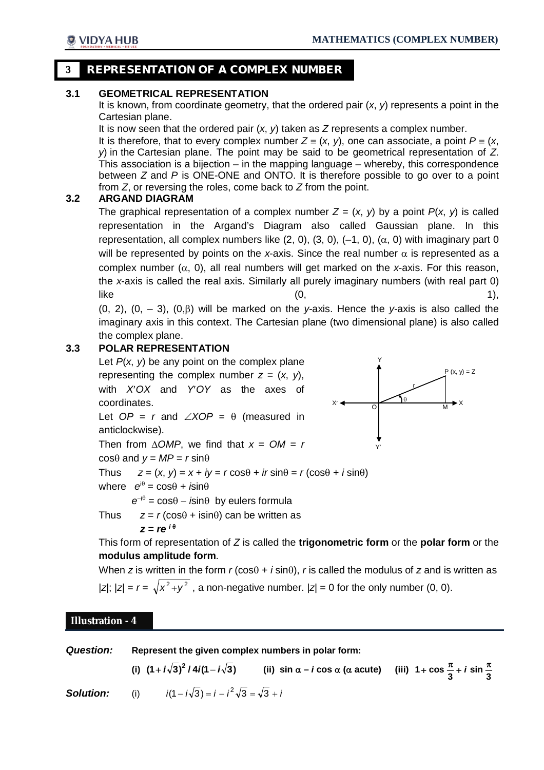X

 $P(x, y) = Z$ 

M

r

 $\theta$ 

O

Y

Y

# **3 REPRESENTATION OF A COMPLEX NUMBER**

# **3.1 GEOMETRICAL REPRESENTATION**

It is known, from coordinate geometry, that the ordered pair (*x*, *y*) represents a point in the Cartesian plane.

It is now seen that the ordered pair (*x*, *y*) taken as *Z* represents a complex number.

It is therefore, that to every complex number  $Z = (x, y)$ , one can associate, a point  $P = (x, y)$ *y*) in the Cartesian plane. The point may be said to be geometrical representation of *Z*. This association is a bijection – in the mapping language – whereby, this correspondence between *Z* and *P* is ONE-ONE and ONTO. It is therefore possible to go over to a point from *Z*, or reversing the roles, come back to *Z* from the point.

# **3.2 ARGAND DIAGRAM**

The graphical representation of a complex number  $Z = (x, y)$  by a point  $P(x, y)$  is called representation in the Argand's Diagram also called Gaussian plane. In this representation, all complex numbers like  $(2, 0)$ ,  $(3, 0)$ ,  $(-1, 0)$ ,  $(\alpha, 0)$  with imaginary part 0 will be represented by points on the *x*-axis. Since the real number  $\alpha$  is represented as a complex number  $(\alpha, 0)$ , all real numbers will get marked on the *x*-axis. For this reason, the *x*-axis is called the real axis. Similarly all purely imaginary numbers (with real part 0)  $like$  (0,  $1),$ 

(0, 2), (0, – 3), (0, $\beta$ ) will be marked on the *y*-axis. Hence the *y*-axis is also called the imaginary axis in this context. The Cartesian plane (two dimensional plane) is also called the complex plane.

# **3.3 POLAR REPRESENTATION**

Let *P*(*x*, *y*) be any point on the complex plane representing the complex number  $z = (x, y)$ , with *XOX* and *YOY* as the axes of coordinates. Let  $OP = r$  and  $\angle XOP = \theta$  (measured in anticlockwise). Then from  $\triangle OMP$ , we find that  $x = OM = r$  $\cos\theta$  and  $y = MP = r \sin\theta$ X Thus  $z = (x, y) = x + iy = r \cos \theta + ir \sin \theta = r (\cos \theta + i \sin \theta)$ where  $e^{i\theta} = \cos\theta + i\sin\theta$  $e^{-i\theta} = \cos\theta - i\sin\theta$  by eulers formula Thus  $z = r(\cos\theta + i\sin\theta)$  can be written as  $z = r e^{i\theta}$ 

This form of representation of *Z* is called the **trigonometric form** or the **polar form** or the **modulus amplitude form**.

When *z* is written in the form  $r$  (cos $\theta$  +  $i$  sin $\theta$ ),  $r$  is called the modulus of *z* and is written as |z|; |z| =  $r = \sqrt{x^2+y^2}$ , a non-negative number. |z| = 0 for the only number (0, 0).

# **Illustration - 4**

| <b>Question:</b> | Represent the given complex numbers in polar form: |                                                       |                                                                                                                                                  |  |
|------------------|----------------------------------------------------|-------------------------------------------------------|--------------------------------------------------------------------------------------------------------------------------------------------------|--|
|                  |                                                    |                                                       | (i) $(1+i\sqrt{3})^2/4i(1-i\sqrt{3})$ (ii) $\sin \alpha - i \cos \alpha$ ( $\alpha$ acute) (iii) $1 + \cos \frac{\pi}{3} + i \sin \frac{\pi}{3}$ |  |
| Solution:        |                                                    | (i) $i(1-i\sqrt{3}) = i - i^2\sqrt{3} = \sqrt{3} + i$ |                                                                                                                                                  |  |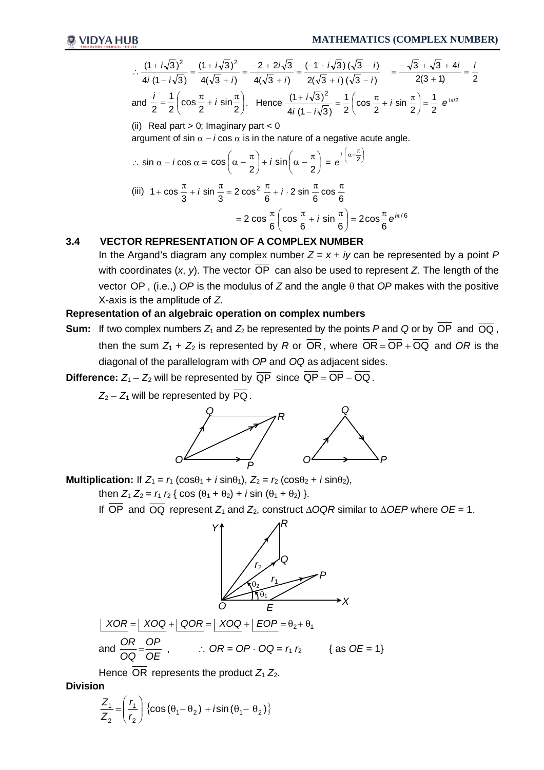$$
\therefore \frac{(1+i\sqrt{3})^2}{4i(1-i\sqrt{3})} = \frac{(1+i\sqrt{3})^2}{4(\sqrt{3}+i)} = \frac{-2+2i\sqrt{3}}{4(\sqrt{3}+i)} = \frac{(-1+i\sqrt{3})(\sqrt{3}-i)}{2(\sqrt{3}+i)(\sqrt{3}-i)} = \frac{-\sqrt{3}+\sqrt{3}+4i}{2(3+1)} = \frac{i}{2}
$$
  
and  $\frac{i}{2} = \frac{1}{2} \left( \cos\frac{\pi}{2} + i \sin\frac{\pi}{2} \right)$ . Hence  $\frac{(1+i\sqrt{3})^2}{4i(1-i\sqrt{3})} = \frac{1}{2} \left( \cos\frac{\pi}{2} + i \sin\frac{\pi}{2} \right) = \frac{1}{2} e^{i\pi/2}$ 

(ii) Real part > 0; Imaginary part < 0

argument of sin  $\alpha$  – *i* cos  $\alpha$  is in the nature of a negative acute angle.

$$
\therefore \sin \alpha - i \cos \alpha = \cos \left(\alpha - \frac{\pi}{2}\right) + i \sin \left(\alpha - \frac{\pi}{2}\right) = e^{i \left(\alpha - \frac{\pi}{2}\right)}
$$
  
(iii) 1 + cos  $\frac{\pi}{3}$  + i sin  $\frac{\pi}{3}$  = 2 cos<sup>2</sup>  $\frac{\pi}{6}$  + i · 2 sin  $\frac{\pi}{6}$  cos  $\frac{\pi}{6}$   
= 2 cos  $\frac{\pi}{6}$   $\left(\cos \frac{\pi}{6} + i \sin \frac{\pi}{6}\right)$  = 2 cos  $\frac{\pi}{6}$  e <sup>$i\pi/6$</sup> 

# **3.4 VECTOR REPRESENTATION OF A COMPLEX NUMBER**

In the Argand's diagram any complex number  $Z = x + iy$  can be represented by a point P with coordinates  $(x, y)$ . The vector  $\overline{OP}$  can also be used to represent *Z*. The length of the vector  $\overline{OP}$ , (i.e.,) *OP* is the modulus of *Z* and the angle  $\theta$  that *OP* makes with the positive X-axis is the amplitude of *Z*.

## **Representation of an algebraic operation on complex numbers**

**Sum:** If two complex numbers  $Z_1$  and  $Z_2$  be represented by the points P and Q or by  $\overline{OP}$  and  $\overline{OQ}$ , then the sum  $Z_1 + Z_2$  is represented by R or  $\overline{OR}$ , where  $\overline{OR} = \overline{OP} + \overline{OQ}$  and OR is the diagonal of the parallelogram with *OP* and *OQ* as adjacent sides.

**Difference:**  $Z_1 - Z_2$  will be represented by  $\overline{QP}$  since  $\overline{QP} = \overline{OP} - \overline{OQ}$ .

 $Z_2 - Z_1$  will be represented by  $\overline{PQ}$ .



**Multiplication:** If  $Z_1 = r_1 (\cos\theta_1 + i \sin\theta_1), Z_2 = r_2 (\cos\theta_2 + i \sin\theta_2),$ 

then  $Z_1 Z_2 = r_1 r_2$  {  $\cos (\theta_1 + \theta_2) + i \sin (\theta_1 + \theta_2)$  }.

If  $\overline{OP}$  and  $\overline{OQ}$  represent  $Z_1$  and  $Z_2$ , construct  $\triangle OQR$  similar to  $\triangle OEP$  where  $OE = 1$ .



Hence OR represents the product  $Z_1 Z_2$ .

**Division**

$$
\frac{Z_1}{Z_2} = \left(\frac{r_1}{r_2}\right) \left\{ \cos \left(\theta_1 - \theta_2\right) + i \sin \left(\theta_1 - \theta_2\right) \right\}
$$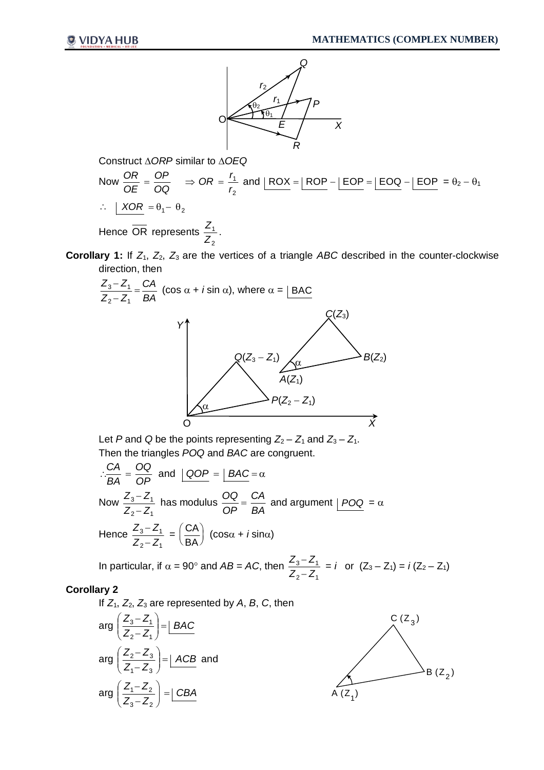

Construct *ORP* similar to *OEQ*

Now 
$$
\frac{OR}{OE} = \frac{OP}{OQ} \implies OR = \frac{r_1}{r_2}
$$
 and  $\boxed{ROX} = \boxed{ROP} - \boxed{EOP} = \boxed{EOQ} - \boxed{EOP} = \theta_2 - \theta_1$   
\n $\therefore \angle XOR = \theta_1 - \theta_2$   
\nHence  $\overline{OR}$  represents  $\frac{Z_1}{T}$ .

**Corollary 1:** If  $Z_1$ ,  $Z_2$ ,  $Z_3$  are the vertices of a triangle ABC described in the counter-clockwise direction, then

$$
\frac{Z_3 - Z_1}{Z_2 - Z_1} = \frac{CA}{BA}
$$
 (cos  $\alpha$  + *i* sin  $\alpha$ ), where  $\alpha = \boxed{BAC}$ 

2

*Z*



Let *P* and *Q* be the points representing  $Z_2 - Z_1$  and  $Z_3 - Z_1$ . Then the triangles *POQ* and *BAC* are congruent.

$$
\therefore \frac{CA}{BA} = \frac{OG}{OP} \text{ and } \boxed{QOP} = \boxed{BAC} = \alpha
$$
  
Now  $\frac{Z_3 - Z_1}{Z_2 - Z_1}$  has modulus  $\frac{OG}{OP} = \frac{CA}{BA}$  and argument  $\boxed{POQ} = \alpha$   
Hence  $\frac{Z_3 - Z_1}{Z_2 - Z_1} = \left(\frac{CA}{BA}\right) (\cos \alpha + i \sin \alpha)$ 

In particular, if  $\alpha = 90^{\circ}$  and  $AB = AC$ , then  $2 - 21$  $3 - 4$ *Z Z*  $Z_{3}$  –  $Z$  $\overline{a}$  $\frac{-Z_1}{Z}$  = *i* or  $(Z_3 - Z_1)$  = *i*  $(Z_2 - Z_1)$ 

## **Corollary 2**

If  $Z_1$ ,  $Z_2$ ,  $Z_3$  are represented by  $A$ ,  $B$ ,  $C$ , then

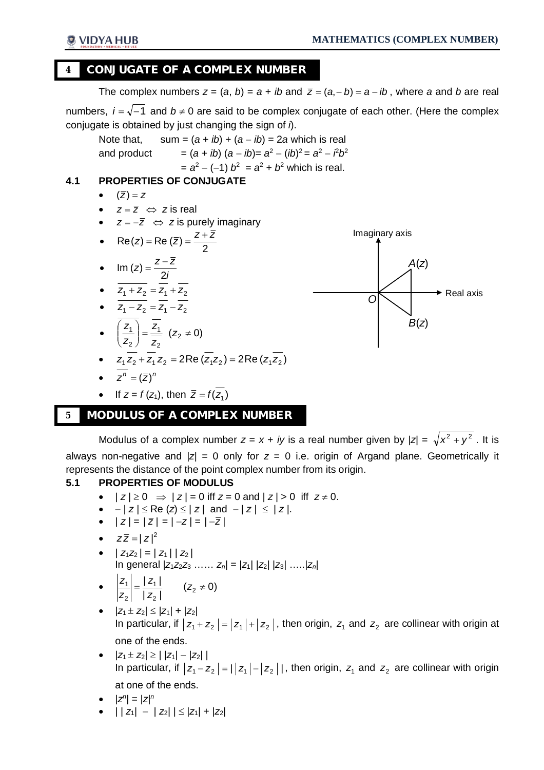# **4 CONJUGATE OF A COMPLEX NUMBER**

The complex numbers  $z = (a, b) = a + ib$  and  $\overline{z} = (a, -b) = a - ib$ , where *a* and *b* are real numbers,  $i = \sqrt{-1}$  and  $b \ne 0$  are said to be complex conjugate of each other. (Here the complex conjugate is obtained by just changing the sign of *i*). Note that, sum =  $(a + ib) + (a - ib) = 2a$  which is real and product  $= (a + ib) (a - ib) = a^2 - (ib)^2 = a^2 - fb^2$ 

 $= a^2 - (-1) b^2 = a^2 + b^2$  which is real.

# **4.1 PROPERTIES OF CONJUGATE**

- $(\overline{z}) = z$
- $z = \overline{z} \iff z$  is real
- $z = -\overline{z} \Leftrightarrow z$  is purely imaginary

• Re(z) = Re 
$$
(\overline{z}) = \frac{z + \overline{z}}{2}
$$

• Im(z) = 
$$
\frac{z - \overline{z}}{2i}
$$

•  $Z_1 + Z_2 = Z_1 + Z_2$ •  $Z_1 - Z_2 = Z_1 - Z_2$ 

$$
\bullet \quad \overline{\left(\frac{z_1}{z_2}\right)} = \frac{\overline{z_1}}{\overline{z_2}} \ \ (z_2 \neq 0)
$$

• 
$$
z_1 \overline{z_2} + \overline{z_1} z_2 = 2 \text{Re} (\overline{z_1} z_2) = 2 \text{Re} (z_1 \overline{z_2})
$$

$$
\bullet \quad \overline{z^n} = (\overline{z})^n
$$

• If 
$$
z = f(z_1)
$$
, then  $\overline{z} = f(\overline{z_1})$ 

#### **5 MODULUS OF A COMPLEX NUMBER**۰

Modulus of a complex number  $z = x + iy$  is a real number given by  $|z| = \sqrt{x^2 + y^2}$ . It is always non-negative and  $|z| = 0$  only for  $z = 0$  i.e. origin of Argand plane. Geometrically it represents the distance of the point complex number from its origin.

# **5.1 PROPERTIES OF MODULUS**

- $\bullet$   $|z| \ge 0$   $\Rightarrow$   $|z| = 0$  iff  $z = 0$  and  $|z| > 0$  iff  $z \ne 0$ .
- $-|z| \leq Re(z) \leq |z|$  and  $-|z| \leq |z|$ .
- $|z| = |\overline{z}| = |-z| = |-z|$
- $z\overline{z} = |z|^2$
- $|Z_1Z_2| = |Z_1||Z_2|$  $\ln$  general  $|z_1z_2z_3$  ……  $z_n|=|z_1||z_2||z_3|$  …… $|z_n|$
- $\left| \frac{z_1}{z} \right| = \frac{|z_1|}{|z_1|}$   $(z_2 \neq 0)$  $| z_2 |$  $| z_1 |$ 2  $\left| \frac{1}{2} \right| = \frac{|2|}{|2|}$   $\left( Z_2 \neq \frac{1}{2} \right)$ 2 *z z z z*
- $|z_1 \pm z_2| \leq |z_1| + |z_2|$ In particular, if  $|z_1 + z_2| = |z_1| + |z_2|$ , then origin,  $z_1$  and  $z_2$  are collinear with origin at one of the ends.
- $|z_1 \pm z_2| \ge | |z_1| |z_2| |$ In particular, if  $|z_1 - z_2| = |z_1| - |z_2||$ , then origin,  $z_1$  and  $z_2$  are collinear with origin at one of the ends.

$$
\bullet \quad |Z^n| = |Z|^n
$$

 $\bullet$  | |  $|z_1| - |z_2|$  |  $\leq |z_1| + |z_2|$ 

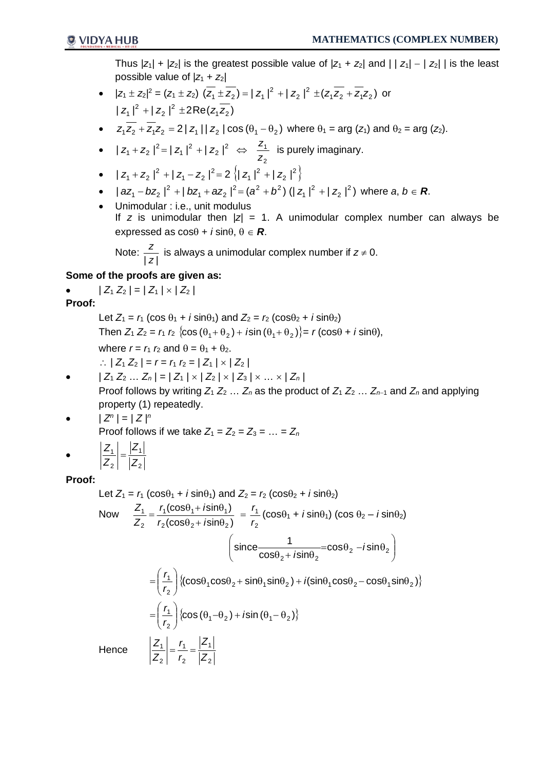Thus  $|z_1| + |z_2|$  is the greatest possible value of  $|z_1 + z_2|$  and  $| |z_1| - |z_2| |$  is the least possible value of  $|z_1 + z_2|$ 

- $|z_1 \pm z_2|^2 = (z_1 \pm z_2) (z_1 \pm z_2) = |z_1|^2 + |z_2|^2 \pm (z_1 z_2 + z_1 z_2)$  or  $|z_1|^2 + |z_2|^2 \pm 2 \text{Re}(z_1 \overline{z_2})$
- $z_1 \overline{z_2} + \overline{z_1} z_2 = 2 |z_1||z_2| \cos(\theta_1 \theta_2)$  where  $\theta_1 = \arg(z_1)$  and  $\theta_2 = \arg(z_2)$ .
- $|z_1 + z_2|^2 = |z_1|^2 + |z_2|^2 \Leftrightarrow$ 2 1 *z z* is purely imaginary.
- $|z_1 + z_2|^2 + |z_1 z_2|^2 = 2 \langle |z_1|^2 + |z_2|^2 \rangle$
- $|az_1 bz_2|^2 + |bz_1 + az_2|^2 = (a^2 + b^2) (|z_1|^2 + |z_2|^2)$  where  $a, b \in \mathbb{R}$ .
- Unimodular : i.e., unit modulus

If  $z$  is unimodular then  $|z| = 1$ . A unimodular complex number can always be expressed as  $cos\theta + i sin\theta$ ,  $\theta \in \mathbb{R}$ .

Note: | *z* |  $\frac{z}{z}$  is always a unimodular complex number if  $z \neq 0$ .

# **Some of the proofs are given as:**

 $|Z_1 Z_2| = |Z_1| \times |Z_2|$ 

# **Proof:**

- Let  $Z_1 = r_1 (\cos \theta_1 + i \sin \theta_1)$  and  $Z_2 = r_2 (\cos \theta_2 + i \sin \theta_2)$ Then  $Z_1 Z_2 = r_1 r_2 \langle cos(\theta_1 + \theta_2) + isin(\theta_1 + \theta_2) \rangle = r(cos\theta + i sin\theta),$ where  $r = r_1 r_2$  and  $\theta = \theta_1 + \theta_2$ .  $\therefore$   $| Z_1 Z_2 | = r = r_1 r_2 = | Z_1 | \times | Z_2 |$
- $| Z_1 Z_2 ... Z_n | = | Z_1 | \times | Z_2 | \times | Z_3 | \times ... \times | Z_n |$ Proof follows by writing  $Z_1 Z_2 ... Z_n$  as the product of  $Z_1 Z_2 ... Z_{n-1}$  and  $Z_n$  and applying property (1) repeatedly.

• 
$$
|Z^n| = |Z|^n
$$
  
Proof follows if we take  $Z_1 = Z_2 = Z_3 = ... = Z_n$ 

$$
\bullet \qquad \left|\frac{Z_1}{Z_2}\right| = \frac{|Z_1|}{|Z_2|}
$$

# **Proof:**

Let  $Z_1 = r_1$  (cos $\theta_1 + i \sin \theta_1$ ) and  $Z_2 = r_2$  (cos $\theta_2 + i \sin \theta_2$ )

Now 
$$
\frac{Z_1}{Z_2} = \frac{r_1(\cos\theta_1 + i\sin\theta_1)}{r_2(\cos\theta_2 + i\sin\theta_2)} = \frac{r_1}{r_2}(\cos\theta_1 + i\sin\theta_1)(\cos\theta_2 - i\sin\theta_2)
$$

$$
= \frac{r_1}{r_2(\cos\theta_2 + i\sin\theta_2)} = \cos\theta_2 - i\sin\theta_2
$$

$$
= \left(\frac{r_1}{r_2}\right) \{(\cos\theta_1\cos\theta_2 + \sin\theta_1\sin\theta_2) + i(\sin\theta_1\cos\theta_2 - \cos\theta_1\sin\theta_2)\}
$$

$$
= \left(\frac{r_1}{r_2}\right) \{\cos(\theta_1 - \theta_2) + i\sin(\theta_1 - \theta_2)\}
$$
Hence 
$$
\frac{Z_1}{Z_2} = \frac{r_1}{r_2} = \frac{|Z_1|}{|Z_2|}
$$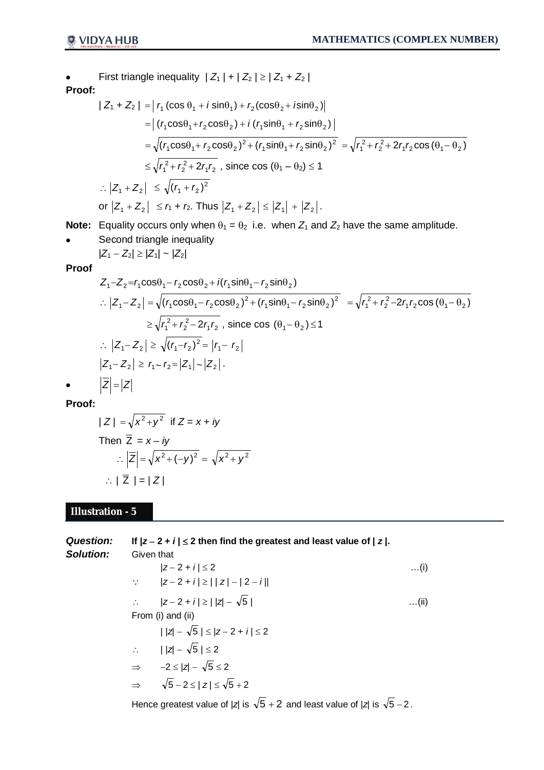First triangle inequality  $|Z_1| + |Z_2| \ge |Z_1 + Z_2|$ **Proof:**

$$
|Z_1 + Z_2| = |r_1(\cos\theta_1 + i\sin\theta_1) + r_2(\cos\theta_2 + i\sin\theta_2)|
$$
  
\n
$$
= |(r_1\cos\theta_1 + r_2\cos\theta_2) + i(r_1\sin\theta_1 + r_2\sin\theta_2)|
$$
  
\n
$$
= \sqrt{(r_1\cos\theta_1 + r_2\cos\theta_2)^2 + (r_1\sin\theta_1 + r_2\sin\theta_2)^2} = \sqrt{r_1^2 + r_2^2 + 2r_1r_2\cos(\theta_1 - \theta_2)}
$$
  
\n
$$
\leq \sqrt{r_1^2 + r_2^2 + 2r_1r_2}
$$
, since  $\cos(\theta_1 - \theta_2) \leq 1$   
\n
$$
\therefore |Z_1 + Z_2| \leq \sqrt{(r_1 + r_2)^2}
$$
  
\nor  $|Z_1 + Z_2| \leq r_1 + r_2$ . Thus  $|Z_1 + Z_2| \leq |Z_1| + |Z_2|$ .

**Note:** Equality occurs only when  $\theta_1 = \theta_2$  i.e. when  $Z_1$  and  $Z_2$  have the same amplitude.

• Second triangle inequality

$$
|Z_1 - Z_2| \geq |Z_1| \sim |Z_2|
$$

**Proof** 

$$
Z_{1} - Z_{2} = r_{1} \cos \theta_{1} - r_{2} \cos \theta_{2} + i(r_{1} \sin \theta_{1} - r_{2} \sin \theta_{2})
$$
  
\n
$$
\therefore |Z_{1} - Z_{2}| = \sqrt{(r_{1} \cos \theta_{1} - r_{2} \cos \theta_{2})^{2} + (r_{1} \sin \theta_{1} - r_{2} \sin \theta_{2})^{2}} = \sqrt{r_{1}^{2} + r_{2}^{2} - 2r_{1}r_{2} \cos (\theta_{1} - \theta_{2})}
$$
  
\n
$$
\geq \sqrt{r_{1}^{2} + r_{2}^{2} - 2r_{1}r_{2}}
$$
, since  $\cos (\theta_{1} - \theta_{2}) \leq 1$   
\n
$$
\therefore |Z_{1} - Z_{2}| \geq \sqrt{(r_{1} - r_{2})^{2}} = |r_{1} - r_{2}|
$$
  
\n
$$
|Z_{1} - Z_{2}| \geq r_{1} \leq r_{2} = |Z_{1}| - |Z_{2}|.
$$
  
\n
$$
|\overline{Z}| = |Z|
$$

**Proof:**

$$
|Z| = \sqrt{x^2 + y^2} \text{ if } Z = x + iy
$$
  
Then  $\overline{Z} = x - iy$   

$$
\therefore |\overline{Z}| = \sqrt{x^2 + (-y)^2} = \sqrt{x^2 + y^2}
$$
  

$$
\therefore |\overline{Z}| = |Z|
$$

# **Illustration - 5**

| <b>Question:</b><br>Solution: | If $ z-2+i  \leq 2$ then find the greatest and least value of $ z $ .<br>Given that |                                                       |              |  |
|-------------------------------|-------------------------------------------------------------------------------------|-------------------------------------------------------|--------------|--|
|                               |                                                                                     | $ z - 2 + i  \leq 2$                                  | $\dots(i)$   |  |
|                               |                                                                                     | : $ z-2+i  \geq    z - 2-i $                          |              |  |
|                               |                                                                                     | $\therefore$ $ z-2+i  \geq    z  - \sqrt{5}  $        | $\dots$ (ii) |  |
|                               |                                                                                     | From (i) and (ii)                                     |              |  |
|                               |                                                                                     | $   z  - \sqrt{5}   \le  z - 2 + i   \le 2$           |              |  |
|                               |                                                                                     | $\therefore$ $  z  - \sqrt{5}   \leq 2$               |              |  |
|                               |                                                                                     | $\Rightarrow$ $-2 \le  z  - \sqrt{5} \le 2$           |              |  |
|                               |                                                                                     | $\Rightarrow$ $\sqrt{5} - 2 \le  z  \le \sqrt{5} + 2$ |              |  |
|                               |                                                                                     |                                                       |              |  |

Hence greatest value of  $|z|$  is  $\sqrt{5} + 2$  and least value of  $|z|$  is  $\sqrt{5} - 2$ .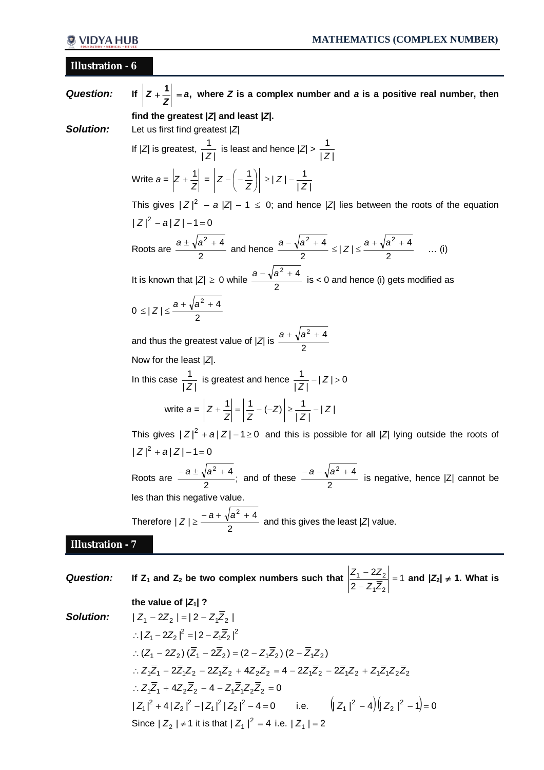# **Illustration - 6**

| <b>Question:</b>        | If $ Z + \frac{1}{Z}  = a$ , where Z is a complex number and a is a positive real number, then                                                                        |  |  |
|-------------------------|-----------------------------------------------------------------------------------------------------------------------------------------------------------------------|--|--|
|                         | find the greatest  Z  and least  Z .                                                                                                                                  |  |  |
| Solution:               | Let us first find greatest $ Z $                                                                                                                                      |  |  |
|                         | If $ Z $ is greatest, $\frac{1}{ Z }$ is least and hence $ Z  > \frac{1}{ Z }$                                                                                        |  |  |
|                         | Write $a = \left  Z + \frac{1}{Z} \right  = \left  Z - \left( -\frac{1}{Z} \right) \right  \geq \left  Z \right  - \frac{1}{ Z }$                                     |  |  |
|                         | This gives $ Z ^2 - a  Z  - 1 \le 0$ ; and hence $ Z $ lies between the roots of the equation                                                                         |  |  |
|                         | $ Z ^2 - a Z  - 1 = 0$                                                                                                                                                |  |  |
|                         | Roots are $\frac{a \pm \sqrt{a^2 + 4}}{2}$ and hence $\frac{a - \sqrt{a^2 + 4}}{2} \le  Z  \le \frac{a + \sqrt{a^2 + 4}}{2}$ (i)                                      |  |  |
|                         | It is known that $ Z  \ge 0$ while $\frac{a - \sqrt{a^2 + 4}}{2}$ is < 0 and hence (i) gets modified as                                                               |  |  |
|                         | $0 \le  Z  \le \frac{a + \sqrt{a^2 + 4}}{2}$                                                                                                                          |  |  |
|                         | and thus the greatest value of $ Z $ is $\frac{a + \sqrt{a^2 + 4}}{2}$                                                                                                |  |  |
|                         | Now for the least $ Z $ .                                                                                                                                             |  |  |
|                         | In this case $\frac{1}{ Z }$ is greatest and hence $\frac{1}{ Z } -  Z  > 0$                                                                                          |  |  |
|                         | write $a =  Z + \frac{1}{Z}  =  \frac{1}{Z} - (-Z)  \ge \frac{1}{ Z } -  Z $                                                                                          |  |  |
|                         | This gives $ Z ^2 + a Z  - 1 \ge 0$ and this is possible for all  Z  lying outside the roots of                                                                       |  |  |
|                         | $ Z ^2 + a Z  - 1 = 0$                                                                                                                                                |  |  |
|                         | Roots are $\frac{-a \pm \sqrt{a^2 + 4}}{2}$ ; and of these $\frac{-a - \sqrt{a^2 + 4}}{2}$ is negative, hence  Z  cannot be                                           |  |  |
|                         | les than this negative value.                                                                                                                                         |  |  |
|                         | Therefore $ Z  \ge \frac{-a + \sqrt{a^2 + 4}}{2}$ and this gives the least $ Z $ value.                                                                               |  |  |
| <b>Illustration - 7</b> |                                                                                                                                                                       |  |  |
| <b>Question:</b>        | If Z <sub>1</sub> and Z <sub>2</sub> be two complex numbers such that $\left \frac{Z_1 - 2Z_2}{2 - Z \cdot \overline{Z_2}}\right  = 1$ and $ Z_2  \neq 1$ . What is   |  |  |
|                         | the value of $ Z_1 $ ?                                                                                                                                                |  |  |
| Solution:               | $ Z_1 - 2Z_2  =  2 - Z_1Z_2 $                                                                                                                                         |  |  |
|                         | :. $ Z_1 - 2Z_2 ^2 =  2 - Z_1\overline{Z_2} ^2$                                                                                                                       |  |  |
|                         | $\therefore$ (Z <sub>1</sub> – 2Z <sub>2</sub> ) ( $\overline{Z}_1$ – 2 $\overline{Z}_2$ ) = (2 – Z <sub>1</sub> $\overline{Z}_2$ ) (2 – $\overline{Z}_1Z_2$ )        |  |  |
|                         | $Z_1\overline{Z}_1 - 2\overline{Z}_1Z_2 - 2Z_1\overline{Z}_2 + 4Z_2\overline{Z}_2 = 4 - 2Z_1\overline{Z}_2 - 2\overline{Z}_1Z_2 + Z_1\overline{Z}_1Z_2\overline{Z}_2$ |  |  |
|                         | $\therefore Z_1\overline{Z}_1 + 4Z_2\overline{Z}_2 - 4 - Z_1\overline{Z}_1Z_2\overline{Z}_2 = 0$                                                                      |  |  |
|                         | $ Z_1 ^2 + 4 Z_2 ^2 -  Z_1 ^2 Z_2 ^2 - 4 = 0$ i.e. $\left( Z_1 ^2 - 4\right)\left( Z_2 ^2 - 1\right) = 0$                                                             |  |  |
|                         | Since $ Z_2  \neq 1$ it is that $ Z_1 ^2 = 4$ i.e. $ Z_1  = 2$                                                                                                        |  |  |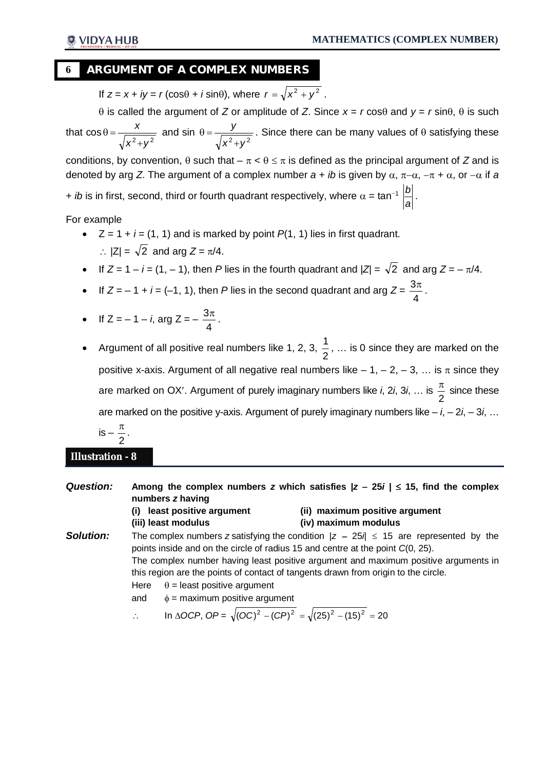# **6 ARGUMENT OF A COMPLEX NUMBERS**

If  $z = x + iy = r(\cos\theta + i\sin\theta)$ , where  $r = \sqrt{x^2 + y^2}$ .

 $\theta$  is called the argument of *Z* or amplitude of *Z*. Since  $x = r \cos \theta$  and  $y = r \sin \theta$ ,  $\theta$  is such that  $\cos \theta = \frac{\lambda}{\sqrt{x^2+y^2}}$ *x*  $^{+}$  $\theta = \frac{x}{\sqrt{x^2 + y^2}}$  and sin  $\theta = \frac{y}{\sqrt{x^2 + y^2}}$ *y*  $^{+}$  $\theta = \frac{y}{\sqrt{y}}$ . Since there can be many values of  $\theta$  satisfying these

conditions, by convention,  $\theta$  such that  $-\pi < \theta \leq \pi$  is defined as the principal argument of Z and is denoted by arg Z. The argument of a complex number  $a + ib$  is given by  $\alpha$ ,  $\pi-\alpha$ ,  $-\pi+\alpha$ , or  $-\alpha$  if a

+ *ib* is in first, second, third or fourth quadrant respectively, where  $\alpha = \tan^{-1}$ *a b* .

# For example

- $\bullet$   $Z = 1 + i = (1, 1)$  and is marked by point  $P(1, 1)$  lies in first quadrant.  $\therefore$   $|Z| = \sqrt{2}$  and arg  $Z = \pi/4$ .
- If  $Z = 1 i = (1, -1)$ , then P lies in the fourth quadrant and  $|Z| = \sqrt{2}$  and arg  $Z = -\pi/4$ .
- If  $Z = -1 + i = (-1, 1)$ , then P lies in the second quadrant and arg  $Z = \frac{3}{2}$ 4  $\frac{\pi}{\cdot}$ .
- If  $Z = -1 i$ , arg  $Z = -\frac{3}{4}$ 4  $\frac{\pi}{\cdot}$ .
- Argument of all positive real numbers like 1, 2, 3,  $\frac{1}{2}$ 2 , … is 0 since they are marked on the positive x-axis. Argument of all negative real numbers like  $-1, -2, -3, \ldots$  is  $\pi$  since they are marked on OX'. Argument of purely imaginary numbers like *i*, 2*i*, 3*i*, ... is  $\frac{\pi}{6}$ 2 since these are marked on the positive y-axis. Argument of purely imaginary numbers like – *i*, – 2*i*, – 3*i*, … is –  $\frac{\pi}{2}$ 2 .

**Illustration - 8**

| <b>Question:</b> |                                                                                                                                                                                                                          | numbers z having<br>(i) least positive argument | Among the complex numbers z which satisfies $ z - 25i  \le 15$ , find the complex<br>(ii) maximum positive argument<br>(iv) maximum modulus                                                                                                                                                                                                               |
|------------------|--------------------------------------------------------------------------------------------------------------------------------------------------------------------------------------------------------------------------|-------------------------------------------------|-----------------------------------------------------------------------------------------------------------------------------------------------------------------------------------------------------------------------------------------------------------------------------------------------------------------------------------------------------------|
| Solution:        | (iii) least modulus<br>points inside and on the circle of radius 15 and centre at the point C(0, 25).<br>$\theta$ = least positive argument<br>Here<br>$\phi$ = maximum positive argument<br>and<br>$\ddot{\phantom{a}}$ |                                                 | The complex numbers z satisfying the condition $ z - 25i  \le 15$ are represented by the<br>The complex number having least positive argument and maximum positive arguments in<br>this region are the points of contact of tangents drawn from origin to the circle.<br>In $\triangle OCP$ , $OP = \sqrt{(OC)^2 - (CP)^2} = \sqrt{(25)^2 - (15)^2} = 20$ |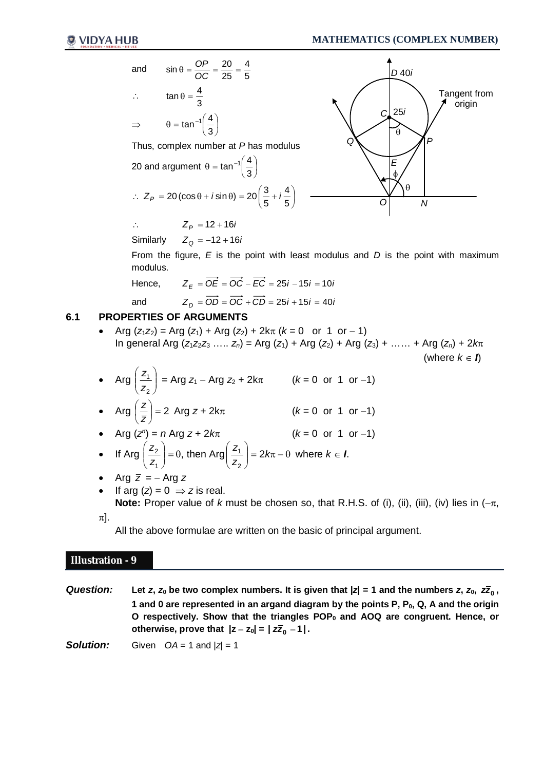

From the figure, *E* is the point with least modulus and *D* is the point with maximum modulus.

Hence,  $Z_F = \overrightarrow{OE} = \overrightarrow{OC} - \overrightarrow{EC} = 25i - 15i = 10i$ and  $Z_D = \overrightarrow{OD} = \overrightarrow{OC} + \overrightarrow{CD} = 25i + 15i = 40i$ 

# **6.1 PROPERTIES OF ARGUMENTS**

- Arg  $(z_1z_2)$  = Arg  $(z_1)$  + Arg  $(z_2)$  + 2k $\pi$  ( $k = 0$  or 1 or  $-1$ ) In general Arg (*z*1*z*2*z*<sup>3</sup> ….. *zn*) = Arg (*z*1) + Arg (*z*2) + Arg (*z*3) + …… + Arg (*zn*) + 2*k* (where  $k \in \mathbb{I}$ )
- Arg  $\left|\frac{z_1}{z}\right|$  $\bigg)$  $\mathcal{L}$  $\overline{\phantom{a}}$  $\overline{\mathcal{L}}$ ſ 2 1 *z*  $\left(\frac{z_1}{z_1}\right)$  = Arg *z*<sub>1</sub> – Arg *z*<sub>2</sub> + 2k $\pi$  (*k* = 0 or 1 or –1) *z*

• Arg 
$$
\left(\frac{z}{\overline{z}}\right) = 2
$$
 Arg  $z + 2k\pi$   $(k = 0 \text{ or } 1 \text{ or } -1)$ 

• Arg 
$$
(z^n) = n
$$
 Arg  $z + 2k\pi$   $(k = 0 \text{ or } 1 \text{ or } -1)$ 

• If Arg 
$$
\left(\frac{z_2}{z_1}\right) = \theta
$$
, then Arg  $\left(\frac{z_1}{z_2}\right) = 2k\pi - \theta$  where  $k \in I$ .

• Arg 
$$
\overline{z} = - \text{Arg } z
$$

If arg  $(z) = 0 \implies z$  is real.

**Note:** Proper value of k must be chosen so, that R.H.S. of (i), (ii), (iii), (iv) lies in  $(-\pi,$  $\pi$ ].

All the above formulae are written on the basic of principal argument.

# **Illustration - 9**

*Question:* Let *z*, *z*<sub>0</sub> be two complex numbers. It is given that  $|z| = 1$  and the numbers *z*, *z*<sub>0</sub>,  $\overline{z_0}$ , **1 and 0 are represented in an argand diagram by the points P, P0, Q, A and the origin O respectively. Show that the triangles POP<sup>0</sup> and AOQ are congruent. Hence, or otherwise, prove that**  $|z - z_0| = |z\overline{z_0} - 1|$ **.** 

**Solution:** Given  $OA = 1$  and  $|z| = 1$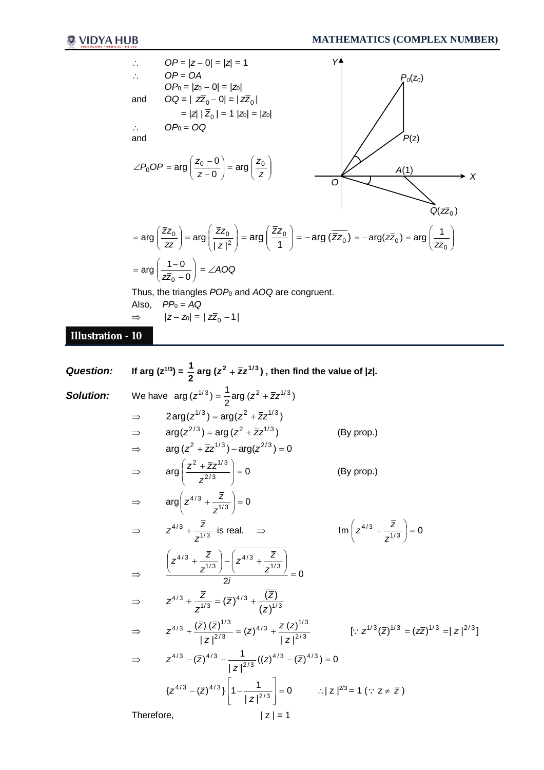

**Illustration - 10**

Question: If arg (z<sup>1/3</sup>) = 
$$
\frac{1}{2}
$$
 arg (z<sup>2</sup> +  $\overline{z}z^{1/3}$ ), then find the value of |z|.  
\nSolution: We have arg (z<sup>1/3</sup>) =  $\frac{1}{2}$  arg (z<sup>2</sup> +  $\overline{z}z^{1/3}$ )  
\n⇒ 2arg(z<sup>2/3</sup>) = arg(z<sup>2</sup> +  $\overline{z}z^{1/3}$ )  
\n⇒ arg (z<sup>2/3</sup>) = arg (z<sup>2</sup> +  $\overline{z}z^{1/3}$ ) (By prop.)  
\n⇒ arg (z<sup>2</sup> +  $\overline{z}z^{1/3}$ ) = 0  
\n⇒ arg  $\left(\frac{z^2 + \overline{z}z^{1/3}}{z^{2/3}}\right) = 0$  (By prop.)  
\n⇒ arg  $\left(z^{4/3} + \frac{\overline{z}}{z^{1/3}}\right) = 0$   
\n⇒  $z^{4/3} + \frac{\overline{z}}{z^{1/3}}$  is real. ⇒ Im  $\left(z^{4/3} + \frac{\overline{z}}{z^{1/3}}\right) = 0$   
\n⇒  $\left(\frac{z^{4/3} + \frac{\overline{z}}{z^{1/3}}\right) - \left(z^{4/3} + \frac{\overline{z}}{z^{1/3}}\right)}{2i} = 0$   
\n⇒  $z^{4/3} + \frac{\overline{z}}{z^{1/3}} = (\overline{z})^{4/3} + \frac{(\overline{z})}{(\overline{z})^{1/3}}$   
\n⇒  $z^{4/3} + \frac{(\overline{z})(\overline{z})^{1/3}}{|z|^{2/3}} = (\overline{z})^{4/3} + \frac{z(z)^{1/3}}{|z|^{2/3}}$  [∴  $z^{1/3}(\overline{z})^{1/3} = (\overline{z})^{1/3} = |z|^{2/3}|$   
\n⇒  $z^{4/3} - (\overline{z})^{4/3} - \frac{1}{|z|^{2/3}}((z)^{4/3} - (\overline{z})^{4/3}) = 0$   
\n{ $z^{4/3} - (\overline{z})^{4/3}$ }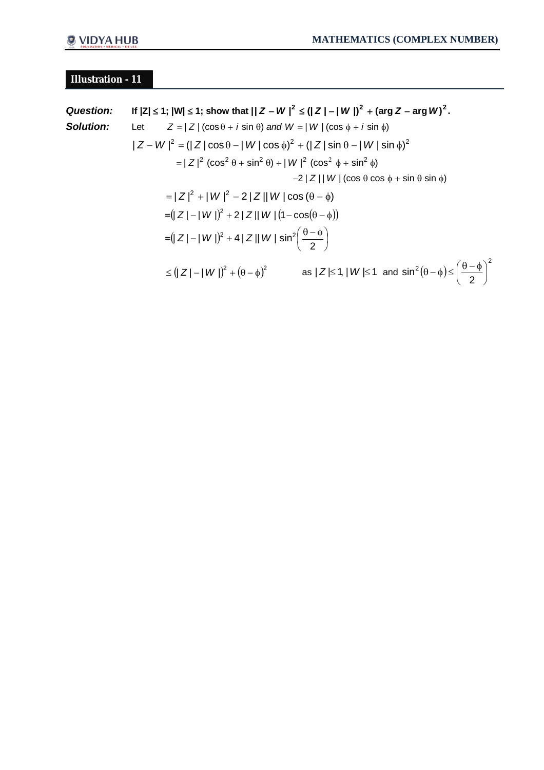# **Illustration - 11**

Question: If |Z| ≤ 1; |W| ≤ 1; show that | |Z – W |<sup>2</sup> ≤ (|Z| – |W|)<sup>2</sup> + (arg Z – arg W)<sup>2</sup>.  
\nSolution: Let 
$$
Z = |Z|(\cos \theta + i \sin \theta)
$$
 and  $W = |W|(\cos \phi + i \sin \phi)$   
\n
$$
|Z – W|2 = (|Z| \cos \theta - |W| \cos \phi)2 + (|Z| \sin \theta - |W| \sin \phi)2
$$
\n
$$
= |Z|2 (\cos2 θ + \sin2 θ) + |W|2 (\cos2 φ + \sin2 φ)
$$
\n
$$
-2|Z||W| (\cos θ \cos φ + \sin θ \sin φ)
$$
\n
$$
= |Z|2 + |W|2 - 2|Z||W| \cos(θ – φ)
$$
\n
$$
= (|Z| – |W|)2 + 2|Z||W| (1 – \cos(θ – φ))
$$
\n
$$
= (|Z| – |W|)2 + 4|Z||W| \sin2(\frac{θ – φ}{2})
$$
\n
$$
\leq (|Z| – |W|)2 + (θ – φ)2 as |Z| ≤ 1, |W| ≤ 1 and sin2(θ – φ) ≤ (\frac{θ – φ}{2})2
$$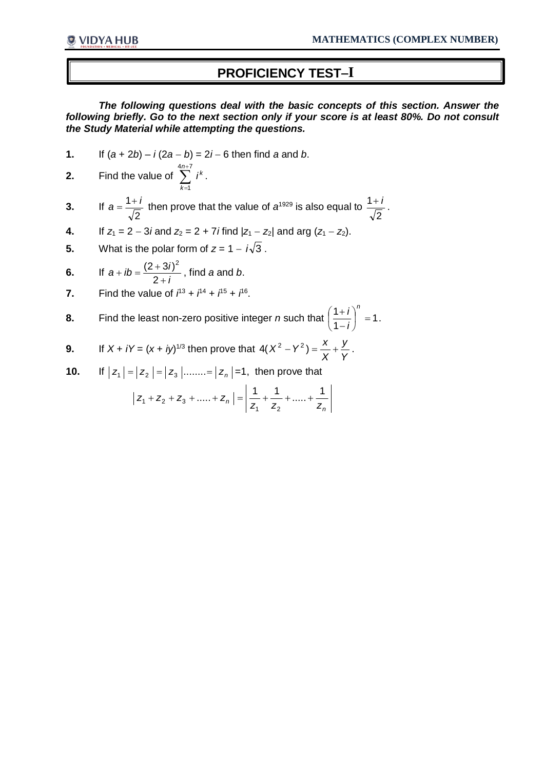# **PROFICIENCY TEST-I**

*The following questions deal with the basic concepts of this section. Answer the following briefly. Go to the next section only if your score is at least 80%. Do not consult the Study Material while attempting the questions.* 

- **1.** If  $(a + 2b) i(2a b) = 2i 6$  then find *a* and *b*.
- **2.** Find the value of  $\sum_{i=1}^{4n+7} i^k$  $\sum_{k=1}^{4n+7} i$  $\overline{a}$  $4n + 7$ 1 .
- **3.** If 2  $a = \frac{1+i}{\sqrt{2}}$  then prove that the value of  $a^{1929}$  is also equal to 2  $\frac{1+i}{\sqrt{}}$ .
- **4.** If  $z_1 = 2 3i$  and  $z_2 = 2 + 7i$  find  $|z_1 z_2|$  and arg  $(z_1 z_2)$ .
- **5.** What is the polar form of  $z = 1 i\sqrt{3}$ .
- **6.** If *i*  $a + ib = \frac{(2+3i)}{2}$  $^{+}$ + ib =  $\frac{(2+1)}{2}$ 2  $(2+3i)^2$ , find *a* and *b*.
- **7.** Find the value of  $i^{13} + i^{14} + i^{15} + i^{16}$ .

8. Find the least non-zero positive integer *n* such that 
$$
\left(\frac{1+i}{1-i}\right)^n = 1
$$
.

9. If 
$$
X + iY = (x + iy)^{1/3}
$$
 then prove that  $4(X^2 - Y^2) = \frac{x}{X} + \frac{y}{Y}$ .

**10.** If 
$$
|z_1| = |z_2| = |z_3|
$$
........=  $|z_n| = 1$ , then prove that

$$
\left| Z_{1} + Z_{2} + Z_{3} + \dots + Z_{n} \right| = \left| \frac{1}{Z_{1}} + \frac{1}{Z_{2}} + \dots + \frac{1}{Z_{n}} \right|
$$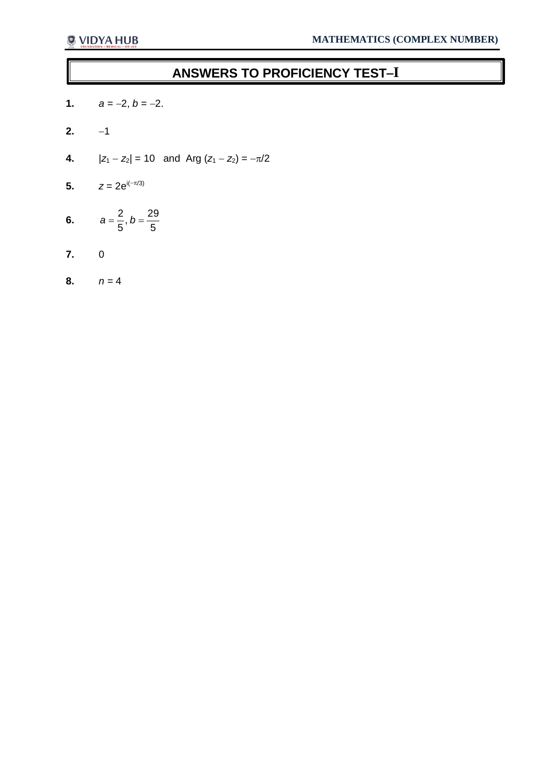# **ANSWERS TO PROFICIENCY TEST-I**

- **1.**  $a = -2, b = -2.$
- **2.**  $-1$
- **4.**  $|z_1 z_2| = 10$  and Arg  $(z_1 z_2) = -\pi/2$
- **5.**  $z = 2e^{i(-\pi/3)}$
- **6.** 5  $, b = \frac{29}{5}$ 5  $a = \frac{2}{5}, b =$
- **7.** 0
- **8.**  $n = 4$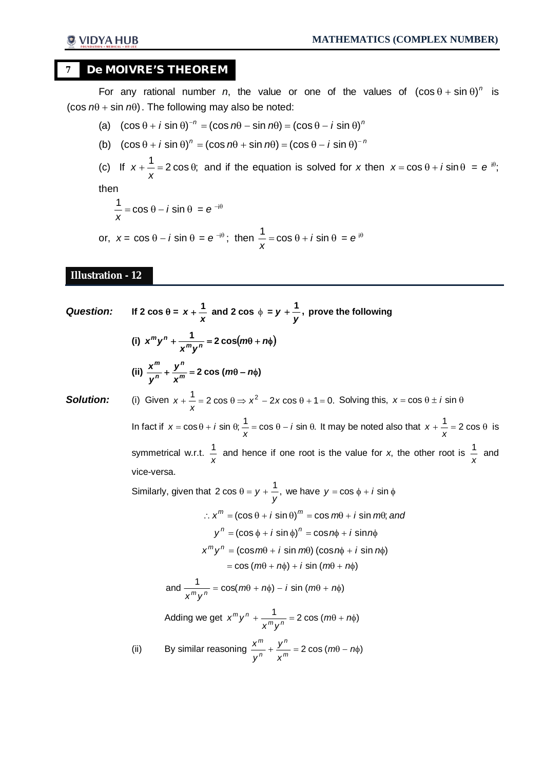# **7 De MOIVRE'S THEOREM**

For any rational number *n*, the value or one of the values of  $(\cos \theta + \sin \theta)^n$  is  $(cos n\theta + sin n\theta)$ . The following may also be noted:

- (a)  $(\cos \theta + i \sin \theta)^{-n} = (\cos n\theta \sin n\theta) = (\cos \theta i \sin \theta)^n$
- (b)  $(\cos \theta + i \sin \theta)^n = (\cos n\theta + \sin n\theta) = (\cos \theta i \sin \theta)^{-n}$
- (c) If  $x + \frac{1}{x} = 2 \cos \theta$ ; *x*  $x + \frac{1}{x} = 2 \cos \theta$ ; and if the equation is solved for *x* then  $x = \cos \theta + i \sin \theta = e^{i\theta}$ ;

then

$$
\frac{1}{x} = \cos \theta - i \sin \theta = e^{-i\theta}
$$

or, 
$$
x = \cos \theta - i \sin \theta = e^{-i\theta}
$$
; then  $\frac{1}{x} = \cos \theta + i \sin \theta = e^{i\theta}$ 

#### **Illustration - 12**

*Question:* If  $2 \cos \theta = x + \frac{1}{x}$  and  $2 \cos \phi = y + \frac{1}{y}$ , *y* **prove the following** (i)  $x^m y^n + \frac{1}{m} = 2 \cos(m\theta + n\phi)$  $x^m y^n + \frac{1}{x^m y^n} = 2 \cos^n$  $\frac{1}{2}$   $\frac{1}{2}$   $\frac{1}{2}$   $\frac{1}{2}$   $\frac{1}{2}$   $\frac{1}{2}$   $\frac{1}{2}$   $\frac{1}{2}$   $\frac{1}{2}$   $\frac{1}{2}$   $\frac{1}{2}$   $\frac{1}{2}$   $\frac{1}{2}$   $\frac{1}{2}$   $\frac{1}{2}$   $\frac{1}{2}$   $\frac{1}{2}$   $\frac{1}{2}$   $\frac{1}{2}$   $\frac{1}{2}$   $\frac{1}{2}$   $\frac{1}{2}$  *x y y x m n n m* **Solution:** (i) Given  $x + \frac{1}{x} = 2 \cos \theta \Rightarrow x^2 - 2x \cos \theta + 1 = 0$ . Solving this,  $x = \cos \theta \pm i \sin \theta$ In fact if  $x = \cos \theta + i \sin \theta$ ;  $\frac{1}{x} = \cos \theta - i \sin \theta$ . It may be noted also that  $x + \frac{1}{x} = 2 \cos \theta$  $x + \frac{1}{x} = 2 \cos \theta$  is symmetrical w.r.t. *x*  $\frac{1}{x}$  and hence if one root is the value for *x*, the other root is  $\frac{1}{x}$  $1$  and vice-versa. Similarly, given that 2 cos  $\theta = y + \frac{1}{y}$ , we have  $y = \cos \phi + i \sin \phi$  $\therefore$   $x^m = (\cos \theta + i \sin \theta)^m = \cos m\theta + i \sin m\theta$ ; and  $y^n = (\cos \phi + i \sin \phi)^n = \cos n\phi + i \sin n\phi$  $x^m y^n = (\cos m\theta + i \sin m\theta) (\cos n\phi + i \sin n\phi)$  $=$  cos  $(m\theta + n\phi) + i \sin (m\theta + n\phi)$ and  $\frac{1}{m}$  = cos(m $\theta$  + n $\phi$ ) – *i* sin (m $\theta$  + n $\phi$ ) *x y m n* Adding we get  $x^m y^n + \frac{1}{m} = 2 \cos (m\theta + n\phi)$ *x y*  $x^m y^n + \frac{1}{x^m y^n}$ *m n* (ii) By similar reasoning  $\frac{1}{n} + \frac{y}{n} = 2 \cos(m\theta - n\phi)$ *x y y x m n n m*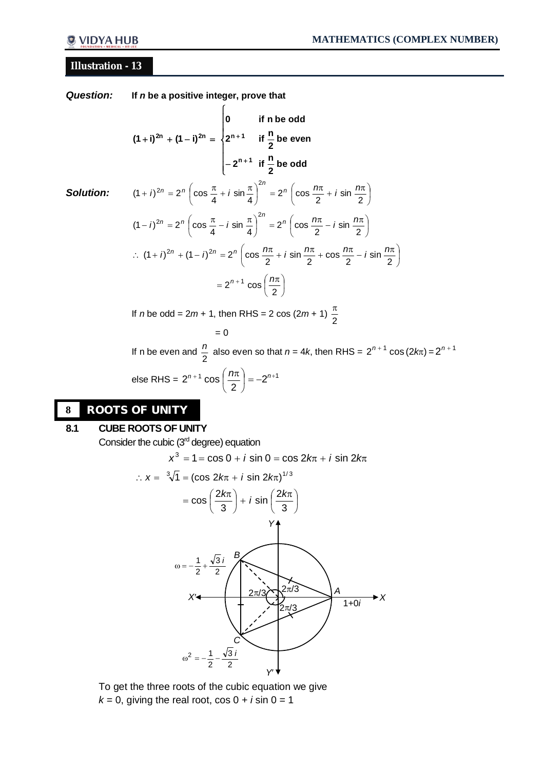# **Illustration - 13**

**(1 i) (1 i)**

*Question:* **If** *n* **be a positive integer, prove that**

$$
(1-i)^{2n} + (1-i)^{2n} = \begin{cases} 0 & \text{if } n \text{ be odd} \\ 2^{n+1} & \text{if } \frac{n}{2} \text{ be even} \\ -2^{n+1} & \text{if } \frac{n}{2} \text{ be odd} \end{cases}
$$

*Solution:*

$$
(1+i)^{2n} = 2^n \left( \cos \frac{\pi}{4} + i \sin \frac{\pi}{4} \right)^{2n} = 2^n \left( \cos \frac{n\pi}{2} + i \sin \frac{n\pi}{2} \right)
$$
  

$$
(1-i)^{2n} = 2^n \left( \cos \frac{\pi}{4} - i \sin \frac{\pi}{4} \right)^{2n} = 2^n \left( \cos \frac{n\pi}{2} - i \sin \frac{n\pi}{2} \right)
$$
  

$$
\therefore (1+i)^{2n} + (1-i)^{2n} = 2^n \left( \cos \frac{n\pi}{2} + i \sin \frac{n\pi}{2} + \cos \frac{n\pi}{2} - i \sin \frac{n\pi}{2} \right)
$$
  

$$
= 2^{n+1} \cos \left( \frac{n\pi}{2} \right)
$$

If *n* be odd = 2*m* + 1, then RHS = 2 cos (2*m* + 1)  $\frac{\pi}{2}$  $\pi$ 

 $= 0$ If n be even and  $\frac{12}{2}$  $\frac{n}{2}$  also even so that *n* = 4*k*, then RHS =  $2^{n+1}$  cos (2*k* $\pi$ ) =  $2^{n+1}$ else RHS =  $2^{n+1}$  cos  $\left|\frac{m}{2}\right|$  $\bigg)$  $\left(\frac{n\pi}{2}\right)$  $\setminus$ +1  $\cos \left( n\pi \right)$ 2  $2^{n+1} \cos \left( \frac{n \pi}{2} \right) = -2^{n+1}$ 

# **8 ROOTS OF UNITY**

#### **8.1 CUBE ROOTS OF UNITY**

Consider the cubic (3rd degree) equation

$$
x^{3} = 1 = \cos 0 + i \sin 0 = \cos 2k\pi + i \sin 2k\pi
$$
  
\n
$$
\therefore x = \sqrt[3]{1} = (\cos 2k\pi + i \sin 2k\pi)^{1/3}
$$
\n
$$
= \cos \left(\frac{2k\pi}{3}\right) + i \sin \left(\frac{2k\pi}{3}\right)
$$
\n
$$
\vee \uparrow
$$
\n
$$
\omega = -\frac{1}{2} + \frac{\sqrt{3}}{2}i
$$
\n
$$
x^{2}\uparrow
$$
\n
$$
\therefore x = \sqrt[3]{2\pi/3}
$$
\n
$$
\therefore x = \sqrt[3]{2\pi/3}
$$
\n
$$
\therefore x = \sqrt[3]{2\pi/3}
$$
\n
$$
\therefore x = \sqrt[3]{2\pi/3}
$$
\n
$$
\therefore x = \sqrt[3]{2\pi/3}
$$
\n
$$
\therefore x = \sqrt[3]{2\pi/3}
$$
\n
$$
\therefore x = \sqrt[3]{2\pi/3}
$$
\n
$$
\therefore x = \sqrt[3]{2\pi/3}
$$
\n
$$
\therefore x = \sqrt[3]{2\pi/3}
$$
\n
$$
\therefore x = \sqrt[3]{2\pi/3}
$$
\n
$$
\therefore x = \sqrt[3]{2\pi/3}
$$
\n
$$
\therefore x = \sqrt[3]{2\pi/3}
$$
\n
$$
\therefore x = \sqrt[3]{2\pi/3}
$$
\n
$$
\therefore x = \sqrt[3]{2\pi/3}
$$
\n
$$
\therefore x = \sqrt[3]{2\pi/3}
$$
\n
$$
\therefore x = \sqrt[3]{2\pi/3}
$$
\n
$$
\therefore x = \sqrt[3]{2\pi/3}
$$
\n
$$
\therefore x = \sqrt[3]{2\pi/3}
$$
\n
$$
\therefore x = \sqrt[3]{2\pi/3}
$$
\n
$$
\therefore x = \sqrt[3]{2\pi/3}
$$
\n
$$
\therefore x = \sqrt[3]{2\pi/3}
$$
\n
$$
\therefore x = \sqrt[3]{2\pi/3}
$$
\n
$$
\therefore x = \sqrt[3]{2\pi/3}
$$
\n
$$
\therefore x = \sqrt[3]{2
$$

To get the three roots of the cubic equation we give  $k = 0$ , giving the real root,  $cos 0 + i sin 0 = 1$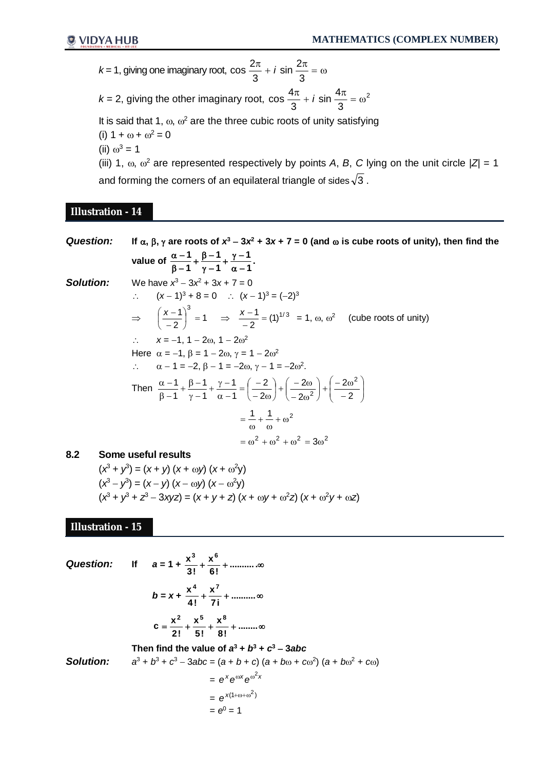$k$  = 1, giving one imaginary root,  $\cos \frac{2\pi}{\alpha} + i \sin \frac{2\pi}{\alpha} = \omega$ 3  $\sin \frac{2}{3}$ 3  $\cos \frac{2\pi}{2} + i$ 

 $k = 2$ , giving the other imaginary root,  $\cos \frac{4\pi}{2} + i \sin \frac{4\pi}{2} = \omega^2$ 3  $\sin \frac{4}{5}$ 3  $\cos \frac{4\pi}{3} + i \sin \frac{4\pi}{3} = \omega$ 

It is said that 1,  $\omega$ ,  $\omega^2$  are the three cubic roots of unity satisfying

(i)  $1 + \omega + \omega^2 = 0$ 

(ii)  $\omega^3 = 1$ 

(iii) 1,  $\omega$ ,  $\omega^2$  are represented respectively by points *A*, *B*, *C* lying on the unit circle  $|Z| = 1$ and forming the corners of an equilateral triangle of sides  $\sqrt{3}$ .

# **Illustration - 14**

*Question:* If  $\alpha$ ,  $\beta$ ,  $\gamma$  are roots of  $x^3 - 3x^2 + 3x + 7 = 0$  (and  $\omega$  is cube roots of unity), then find the value of  $\frac{\alpha}{\beta-1}+\frac{\beta}{\gamma-1}+\frac{\beta}{\alpha-1}$ **1 1 1 1 1**  $\alpha \frac{\beta-1}{\gamma-1}+\frac{\gamma}{\alpha-1}$  $\frac{\alpha-1}{\beta-1}+\frac{\beta-1}{\gamma-1}$  $\frac{\alpha-1}{\alpha-1}+\frac{\beta-1}{\alpha}+\frac{\gamma-1}{\alpha}.$ **Solution:** We have  $x^3 - 3x^2 + 3x + 7 = 0$  $\therefore$   $(x-1)^3 + 8 = 0$   $\therefore$   $(x-1)^3 = (-2)^3$  $\Rightarrow$   $\left(\frac{2}{-2}\right) = 1$  $1)^3$  $\vert$  = J  $\left(\frac{x-1}{2}\right)$  $\backslash$ ſ - $\left(\frac{x-1}{2}\right)^3 = 1 \Rightarrow \frac{x-1}{-2} = (1)^{1/3}$  $\frac{x-1}{-2}$  =  $\frac{x-1}{2} = (1)^{1/3} = 1$ ,  $\omega$ ,  $\omega^2$  (cube roots of unity)  $\therefore$   $x = -1, 1 - 2\omega, 1 - 2\omega^2$ Here  $\alpha = -1$ ,  $\beta = 1 - 2\omega$ ,  $\gamma = 1 - 2\omega^2$ ∴  $\alpha - 1 = -2, \beta - 1 = -2\omega, \gamma - 1 = -2\omega^2$ . Then  $\frac{\alpha-1}{\beta-1} + \frac{\beta-1}{\gamma-1} + \frac{\gamma-1}{\alpha-1} = \left(\frac{-2}{\beta-2\omega}\right) + \left(\frac{-2\omega}{\beta-2\omega^2}\right) + \left(\frac{-2\omega}{\beta-2}\right)$ J  $\mathcal{L}$  $\overline{\phantom{a}}$  $\overline{\phantom{0}}$ ſ - $+\frac{-2\omega}{2}$ J  $\mathcal{L}$  $\overline{\phantom{a}}$  $\backslash$ ſ  $-2\omega$  $-\left(-\frac{2\omega}{\sigma}\right)$ J  $\left(\frac{-2}{2}\right)$  $\overline{\phantom{0}}$ ſ  $-2\omega$  $\frac{\gamma-1}{\alpha-1} = \left(\frac{-1}{-1}\right)$  $\frac{\beta-1}{\gamma-1}+\frac{\gamma-1}{\alpha-1}$  $\frac{\alpha-1}{\beta-1} + \frac{\beta-1}{\gamma-1}$  $\alpha -$ 2 2 2 2 2 2 1 1 1 1 1 1 β - 1 γ - 1 (-2) (-2ω) (-2ω<sup>2</sup> 2  $=\frac{1}{\omega}+\frac{1}{\omega}+\omega^2$  $= \omega^2 + \omega^2 + \omega^2 = 3\omega^2$ 

#### **8.2 Some useful results**

 $(x^3 + y^3) = (x + y)(x + \omega y)(x + \omega^2 y)$  $(x^3 - y^3) = (x - y) (x - \omega y) (x - \omega^2 y)$  $(x^3 + y^3 + z^3 - 3xyz) = (x + y + z)(x + \omega y + \omega^2 z)(x + \omega^2 y + \omega z)$ 

# **Illustration - 15**

**Question: If**  $a = 1 + \frac{\lambda}{3!} + \frac{\lambda}{6!} + \dots$   $\infty$ **x 3! x 3 6**  $b = x + \frac{x}{4!} + \frac{x}{7!} + \dots \infty$ **x 4! x 4 7**  $=\frac{\pi}{2!}+\frac{\pi}{5!}+\frac{\pi}{8!}+\dots$ **x 5! x 2!**  $c = \frac{x}{x}$ **2 5 8** Then find the value of  $a^3 + b^3 + c^3 - 3abc$ *Solution: a*  $3 + b^3 + c^3 - 3abc = (a + b + c) (a + b\omega + c\omega^2) (a + b\omega^2 + c\omega)$  $= e^{x} e^{\omega x} e^{\omega^2 x}$  $= e^{x(1+\omega+\omega^2)}$ 

$$
= e^0 = 1
$$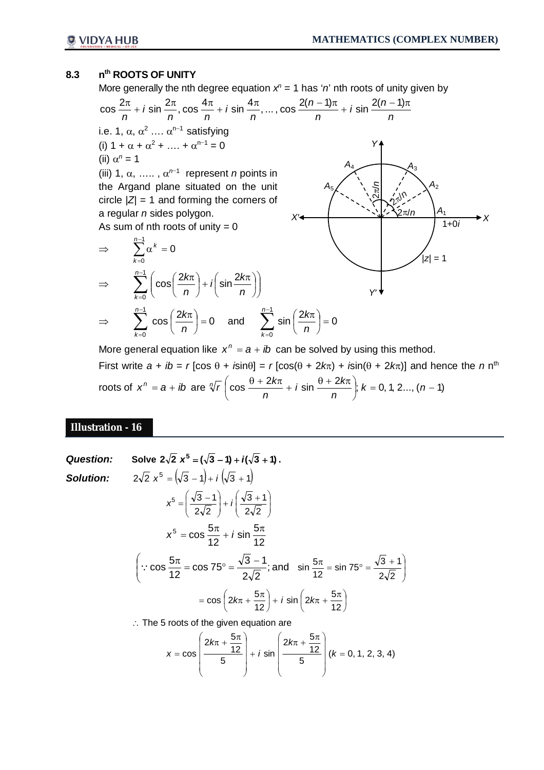#### **8.3 n th ROOTS OF UNITY**

More generally the nth degree equation  $x^n = 1$  has 'n' nth roots of unity given by *n*  $i \sin \frac{2(n)}{n}$ *n n n i n n i n*  $\cos \frac{2\pi}{n} + i \sin \frac{2\pi}{n}$ ,  $\cos \frac{4\pi}{n} + i \sin \frac{4\pi}{n}$ , ...,  $\cos \frac{2(n-1)\pi}{n} + i \sin \frac{2(n-1)\pi}{n}$ i.e. 1,  $\alpha$ ,  $\alpha^2$  ....  $\alpha^{n-1}$  satisfying (i)  $1 + \alpha + \alpha^2 + \dots + \alpha^{n-1} = 0$ (ii)  $\alpha^n = 1$ (iii) 1,  $\alpha$ , .....,  $\alpha^{n-1}$  represent *n* points in the Argand plane situated on the unit circle  $|Z| = 1$  and forming the corners of a regular *n* sides polygon. As sum of nth roots of unity  $= 0$  $\Rightarrow$   $\sum \alpha^{k} = 0$  $\sum_{k=1}^{n-1} \alpha^k =$ 0  $\overline{a}$ *k*  $\Rightarrow$   $\sum_{i=1}^{n-1}$ =  $\overline{\phantom{a}}$  $\bigg)$  $\setminus$  $\overline{\phantom{a}}$  $\setminus$ ſ  $\overline{\phantom{a}}$ J  $\sin \frac{2k\pi}{\pi}$  $\setminus$  $\bigg)+i\bigg(\sin\frac{2k\pi}{n}\bigg)$ J  $\left(\frac{2k\pi}{\pi}\right)$  $\setminus$  $\frac{1}{2} \int_{\cos} 2k\pi$ 0  $\cos\left(\frac{2k\pi}{n}\right) + i\sin\frac{2\pi}{n}$ *n k*<sub>=0</sub> ( *n* ) ( *n*  $\int \sin \frac{2k}{2}$ *n k Y Y*  $X$   $\leftarrow$   $\leftarrow$   $\leftarrow$   $\leftarrow$   $\leftarrow$   $\leftarrow$   $\leftarrow$   $\leftarrow$   $\rightarrow$   $X$ 2/*n*  $\scriptstyle\sim$  $\frac{d}{dx}$ <sup>2</sup>/*<sup>n</sup>*  $A_{5}$ *A*<sup>4</sup> *A*<sup>3</sup>  $A<sub>2</sub>$  $A<sub>1</sub>$ 1+0*i* |*z*| = 1  $\Rightarrow$   $\sum_{n=1}^{n-1} \cos \left( \frac{2k\pi}{n} \right) = 0$ 1  $\vert$  = )  $\left(\frac{2k\pi}{\pi}\right)$  $\sum_{k=0}^{n-1} \cos \left( \frac{2k\pi}{n} \right)$ *n k n*  $\left(\frac{k\pi}{2}\right) = 0$  and  $\sum_{n=1}^{\infty} \sin\left(\frac{2k\pi}{2}\right) = 0$ 1  $\vert$  = )  $\left(\frac{2k\pi}{\pi}\right)$  $\sum_{k=0}^{n-1} \sin\left(\frac{2k\pi}{n}\right)$ *n k n k*

0 = More general equation like  $x^n = a + ib$  can be solved by using this method.

First write  $a + ib = r$  [cos  $\theta + i\sin\theta$ ] =  $r$  [cos( $\theta + 2k\pi$ ) +  $i\sin(\theta + 2k\pi)$ ] and hence the *n* n<sup>th</sup> roots of  $x^n = a + ib$  are  $\sqrt[n]{r} \left( \cos \frac{\theta + 2k\pi}{n} + i \sin \frac{\theta + 2k\pi}{n} \right)$ ;  $k = 0, 1, 2..., (n - 1)$  $\bigg)$  $\left(\cos\frac{\theta+2k\pi}{1}+i\sin\frac{\theta+2k\pi}{1}\right)$  $\setminus$  $\left(\cos\frac{\theta+2k\pi}{n}+i\sin\frac{\theta+2k\pi}{n}\right]$ ;  $k=0,1,2...,$  (*n n i* sin  $\frac{\theta + 2k}{\theta}$ *n*  $\sqrt[n]{r}$   $\left(\cos \frac{\theta + 2k}{\theta}\right)$ 

## **Illustration - 16**

0

=

**Question:** Solve 
$$
2\sqrt{2}x^5 = (\sqrt{3} - 1) + i(\sqrt{3} + 1)
$$
.  
\n**Solution:**  $2\sqrt{2}x^5 = (\sqrt{3} - 1) + i(\sqrt{3} + 1)$   
\n $x^5 = (\frac{\sqrt{3} - 1}{2\sqrt{2}}) + i(\frac{\sqrt{3} + 1}{2\sqrt{2}})$   
\n $x^5 = \cos \frac{5\pi}{12} + i \sin \frac{5\pi}{12}$   
\n $\left(\because \cos \frac{5\pi}{12} = \cos 75^\circ = \frac{\sqrt{3} - 1}{2\sqrt{2}}; \text{ and } \sin \frac{5\pi}{12} = \sin 75^\circ = \frac{\sqrt{3} + 1}{2\sqrt{2}}\right)$   
\n $= \cos \left(2k\pi + \frac{5\pi}{12}\right) + i \sin \left(2k\pi + \frac{5\pi}{12}\right)$ 

 $\therefore$  The 5 roots of the given equation are

$$
x = \cos\left(\frac{2k\pi + \frac{5\pi}{12}}{5}\right) + i \sin\left(\frac{2k\pi + \frac{5\pi}{12}}{5}\right) (k = 0, 1, 2, 3, 4)
$$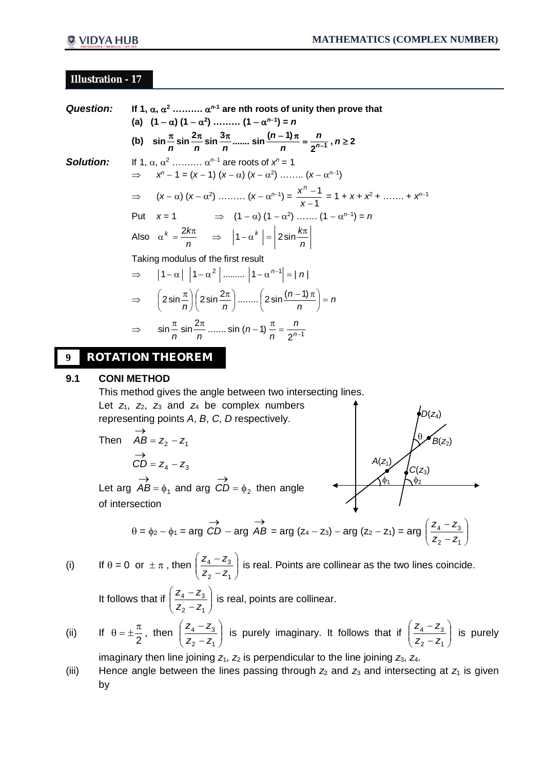# **Illustration - 17**

| <b>Question:</b> | If 1, $\alpha$ , $\alpha^2$ $\alpha^{n-1}$ are nth roots of unity then prove that<br>(a) $(1 - \alpha) (1 - \alpha^2) \dots (1 - \alpha^{n-1}) = n$ |  |  |
|------------------|-----------------------------------------------------------------------------------------------------------------------------------------------------|--|--|
|                  | (b) $\sin \frac{\pi}{n} \sin \frac{2\pi}{n} \sin \frac{3\pi}{n} \dots \sin \frac{(n-1)\pi}{n} = \frac{n}{2^{n-1}}$ , $n \ge 2$                      |  |  |
| Solution:        | If 1, $\alpha$ , $\alpha^2$ $\alpha^{n-1}$ are roots of $x^n = 1$                                                                                   |  |  |
|                  | $\Rightarrow$ $x^n - 1 = (x - 1)(x - \alpha)(x - \alpha^2)$ $(x - \alpha^{n-1})$                                                                    |  |  |
|                  | ⇒ $(x - \alpha) (x - \alpha^2)$ $(x - \alpha^{n-1}) = \frac{x^{n-1}}{x-1} = 1 + x + x^2 + \dots + x^{n-1}$                                          |  |  |
|                  | Put $x = 1$ $\implies$ $(1 - \alpha) (1 - \alpha^2) \dots (1 - \alpha^{n-1}) = n$                                                                   |  |  |
|                  | Also $\alpha^k = \frac{2k\pi}{n}$ $\Rightarrow$ $\left 1 - \alpha^k\right  = \left 2\sin\frac{k\pi}{n}\right $                                      |  |  |
|                  | Taking modulus of the first result                                                                                                                  |  |  |
|                  | $\Rightarrow  1-\alpha   1-\alpha^2  \dots  1-\alpha^{n-1}  =  n $                                                                                  |  |  |
|                  | $\Rightarrow$ $\left(2\sin{\frac{\pi}{n}}\right)\left(2\sin{\frac{2\pi}{n}}\right)$ $\left(2\sin{\frac{(n-1)\pi}{n}}\right) = n$                    |  |  |
|                  | $\Rightarrow$ $\sin \frac{\pi}{n} \sin \frac{2\pi}{n}$ $\sin (n-1) \frac{\pi}{n} = \frac{n}{2^{n-1}}$                                               |  |  |
| 9                | <b>ROTATION THEOREM</b>                                                                                                                             |  |  |

## **9.1 CONI METHOD**

This method gives the angle between two intersecting lines. Let  $z_1$ ,  $z_2$ ,  $z_3$  and  $z_4$  be complex numbers representing points *A*, *B*, *C*, *D* respectively.

Then 
$$
\overrightarrow{AB} = z_2 - z_1
$$
  
\n $\overrightarrow{CD} = z_4 - z_3$ 

Let arg  $AB = \phi_1$  $\rightarrow$  $AB = \phi_1$  and arg  $CD = \phi_2$  $\rightarrow$  $CD = \phi_2$  then angle of intersection



$$
\theta = \phi_2 - \phi_1 = \arg \overrightarrow{CD} - \arg \overrightarrow{AB} = \arg (z_4 - z_3) - \arg (z_2 - z_1) = \arg \left(\frac{z_4 - z_3}{z_2 - z_1}\right)
$$

$$
(\mathsf{i})
$$

(i) If  $\theta = 0$  or  $\pm \pi$ , then  $\frac{24}{7} \frac{23}{7}$ J  $\mathcal{L}$  $\overline{\phantom{a}}$  $\setminus$ ſ - $\overline{a}$  $2 - 4$ 4  $-$  4 3  $z_2 - z$  $\left(\frac{z_4 - z_3}{z_4 - z_3}\right)$  is real. Points are collinear as the two lines coincide.

It follows that if 
$$
\left(\frac{Z_4 - Z_3}{Z_2 - Z_1}\right)
$$
 is real, points are collinear.

 $(ii)$ 2  $\theta = \pm \frac{\pi}{2}$ , then  $\left(\frac{Z_4 - Z_3}{Z_1 - Z_2}\right)$ J  $\setminus$ l  $\setminus$ ſ  $\overline{\phantom{0}}$  $\overline{a}$  $2 - 4$  $4 - 23$  $z_2 - z$  $\left(\frac{Z_4 - Z_3}{Z_1 - Z_2}\right)$  is purely imaginary. It follows that if  $\left(\frac{Z_4 - Z_3}{Z_1 - Z_2}\right)$  $\bigg)$  $\setminus$  $\overline{\phantom{a}}$  $\setminus$ ſ  $\overline{\phantom{a}}$  $\overline{\phantom{0}}$  $2 - 21$  $4 - 23$  $z_2 - z$  $\left(\frac{z_4 - z_3}{z_1}\right)$  is purely

imaginary then line joining  $z_1$ ,  $z_2$  is perpendicular to the line joining  $z_3$ ,  $z_4$ .

(iii) Hence angle between the lines passing through  $z_2$  and  $z_3$  and intersecting at  $z_1$  is given by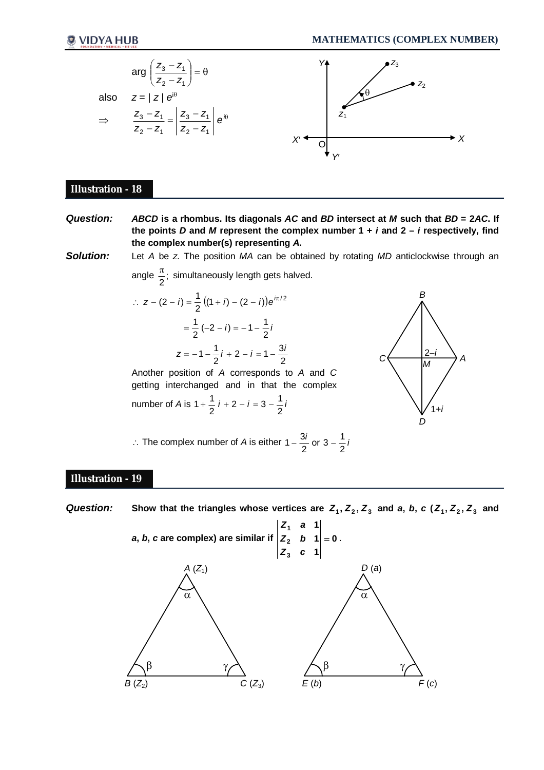

### **Illustration - 18**

*Question: ABCD* **is a rhombus. Its diagonals** *AC* **and** *BD* **intersect at** *M* **such that** *BD* **= 2***AC***. If**  the points *D* and *M* represent the complex number  $1 + i$  and  $2 - i$  respectively, find **the complex number(s) representing** *A***.**

*Solution:* Let *A* be *z*. The position *MA* can be obtained by rotating *MD* anticlockwise through an

angle 
$$
\frac{\pi}{2}
$$
; simultaneously length gets halved.  
\n
$$
\therefore z - (2 - i) = \frac{1}{2} ((1 + i) - (2 - i))e^{i\pi/2}
$$
\n
$$
= \frac{1}{2} (-2 - i) = -1 - \frac{1}{2}i
$$
\n
$$
z = -1 - \frac{1}{2}i + 2 - i = 1 - \frac{3i}{2}
$$
\nAnother position of *A* corresponds to *A* and *C* getting interchanged and in that the complex number of *A* is  $1 + \frac{1}{2}i + 2 - i = 3 - \frac{1}{2}i$ 

 $\therefore$  The complex number of *A* is either  $1 - \frac{3i}{6}$  or  $3 - \frac{1}{6}i$ 2  $\frac{3i}{2}$  or 3 –  $\frac{1}{2}$  $1 - \frac{3i}{6}$  or 3 –

# **Illustration - 19**

Question: Show that the triangles whose vertices are  $Z_1, Z_2, Z_3$  and a, b, c ( $Z_1, Z_2, Z_3$  and

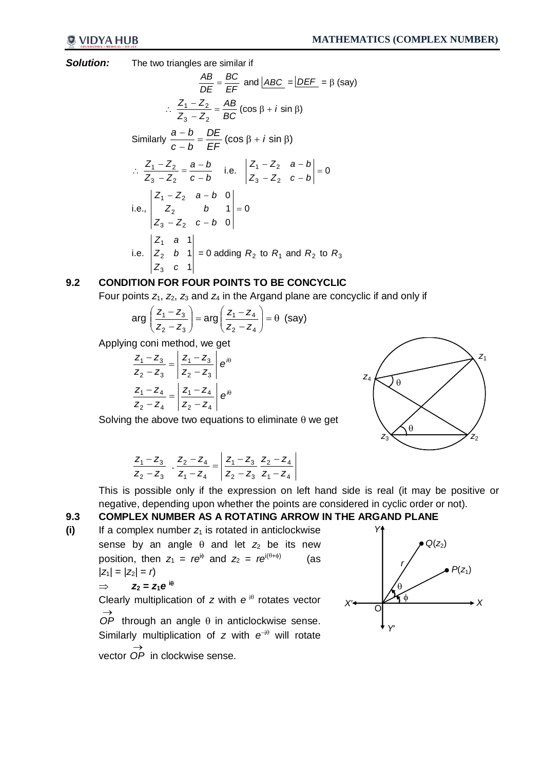**Solution:** The two triangles are similar if

$$
\frac{AB}{DE} = \frac{BC}{EF} \text{ and } \boxed{ABC} = \boxed{DEF}} = \beta \text{ (say)}
$$
\n
$$
\therefore \frac{Z_1 - Z_2}{Z_3 - Z_2} = \frac{AB}{BC} \text{ (cos } \beta + i \text{ sin } \beta)
$$
\nSimilarly  $\frac{a - b}{c - b} = \frac{DE}{EF} \text{ (cos } \beta + i \text{ sin } \beta)$   
\n
$$
\therefore \frac{Z_1 - Z_2}{Z_3 - Z_2} = \frac{a - b}{c - b} \text{ i.e. } \begin{vmatrix} Z_1 - Z_2 & a - b \\ Z_3 - Z_2 & c - b \end{vmatrix} = 0
$$
\n
$$
\text{i.e., } \begin{vmatrix} Z_1 - Z_2 & a - b & 0 \\ Z_2 & b & 1 \\ Z_3 - Z_2 & c - b & 0 \end{vmatrix} = 0
$$
\n
$$
\text{i.e. } \begin{vmatrix} Z_1 & a & 1 \\ Z_2 & b & 1 \\ Z_3 & c & 1 \end{vmatrix} = 0 \text{ adding } R_2 \text{ to } R_1 \text{ and } R_2 \text{ to } R_3
$$

# **9.2 CONDITION FOR FOUR POINTS TO BE CONCYCLIC**

Four points  $z_1$ ,  $z_2$ ,  $z_3$  and  $z_4$  in the Argand plane are concyclic if and only if

$$
\arg\left(\frac{z_1 - z_3}{z_2 - z_3}\right) = \arg\left(\frac{z_1 - z_4}{z_2 - z_4}\right) = \theta \text{ (say)}
$$

Applying coni method, we get

$$
\frac{Z_1 - Z_3}{Z_2 - Z_3} = \left| \frac{Z_1 - Z_3}{Z_2 - Z_3} \right| e^{i\theta}
$$

$$
\frac{Z_1 - Z_4}{Z_2 - Z_4} = \left| \frac{Z_1 - Z_4}{Z_2 - Z_4} \right| e^{i\theta}
$$

Solving the above two equations to eliminate  $\theta$  we get

$$
\frac{Z_1 - Z_3}{Z_2 - Z_3} \cdot \frac{Z_2 - Z_4}{Z_1 - Z_4} = \left| \frac{Z_1 - Z_3}{Z_2 - Z_3} \frac{Z_2 - Z_4}{Z_1 - Z_4} \right|
$$



This is possible only if the expression on left hand side is real (it may be positive or negative, depending upon whether the points are considered in cyclic order or not).

# **9.3 COMPLEX NUMBER AS A ROTATING ARROW IN THE ARGAND PLANE**

 $(i)$  If a complex number  $z_1$  is rotated in anticlockwise sense by an angle  $\theta$  and let  $z_2$  be its new position, then  $z_1 = re^{i\phi}$  and  $z_2 = re^{i(\theta+\phi)}$  (as  $|z_1| = |z_2| = r$ 

$$
\Rightarrow \qquad \mathbf{z}_2 = \mathbf{z}_1 e^{i\theta}
$$

Clearly multiplication of z with e<sup>iθ</sup> rotates vector  $\rightarrow$ *OP* through an angle  $\theta$  in anticlockwise sense.

Similarly multiplication of  $z$  with  $e^{-i\theta}$  will rotate  $\rightarrow$ 

vector *OP* in clockwise sense.

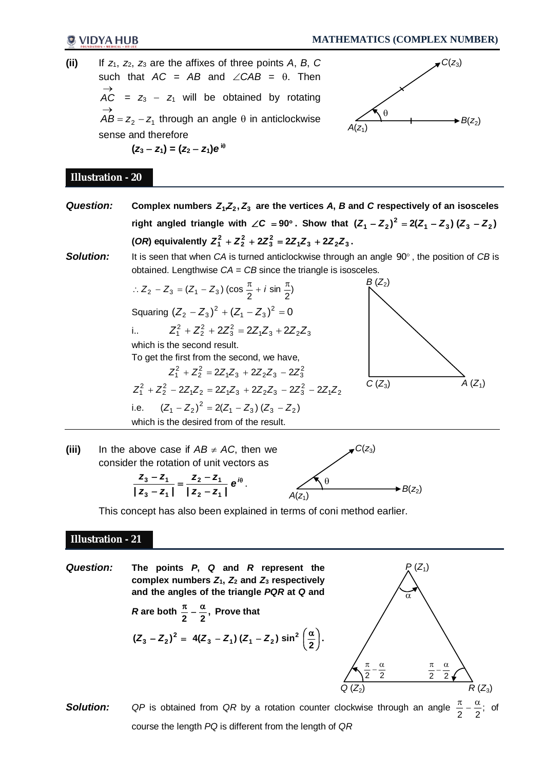(ii) If  $z_1$ ,  $z_2$ ,  $z_3$  are the affixes of three points  $A$ ,  $B$ ,  $C$ such that  $AC = AB$  and  $\angle CAB = \theta$ . Then  $\rightarrow$  $AC = z_3 - z_1$  will be obtained by rotating  $AB = z_2 - z_1$  $\rightarrow$ through an angle  $\theta$  in anticlockwise sense and therefore  $(Z_3 - Z_1) = (Z_2 - Z_1)e^{i\theta}$ 



# **Illustration - 20**

*Question:* **Complex numbers <sup>1</sup> <sup>2</sup> <sup>3</sup>** *Z* **,***Z* **,** *Z* **are the vertices** *A***,** *B* **and** *C* **respectively of an isosceles**  right angled triangle with  $\angle C = 90^{\circ}$ . Show that  $(Z_1 - Z_2)^2 = 2(Z_1 - Z_3) (Z_3 - Z_2)$ (*OR*) equivalently  $Z_1^2 + Z_2^2 + 2Z_3^2 = 2Z_1Z_3 + 2Z_2Z_3$ .

**Solution:** It is seen that when *CA* is turned anticlockwise through an angle 90°, the position of *CB* is obtained. Lengthwise *CA* = *CB* since the triangle is isosceles.



**(iii)** In the above case if  $AB \neq AC$ , then we consider the rotation of unit vectors as

 $|\mathbf{z}_3 - \mathbf{z}_1| |\mathbf{z}_2 - \mathbf{z}_1|$ 

-

**3 1**

 $\overline{z}_3 - \overline{z}$  $\overline{z}_3 - \overline{z}$ 



Į

J

This concept has also been explained in terms of coni method earlier.

θ

#### **Illustration - 21**

*Question:* **The points** *P***,** *Q* **and** *R* **represent the**  complex numbers  $Z_1$ ,  $Z_2$  and  $Z_3$  respectively **and the angles of the triangle** *PQR* **at** *Q* **and**  *R* are both  $\frac{\pi}{2} - \frac{\alpha}{2}$ ,  $\frac{\pi}{2} - \frac{\alpha}{2}$ , Prove that  $(Z_3 - Z_2)^2 = 4(Z_3 - Z_1)(Z_1 - Z_2) \sin^2 \left(\frac{\alpha}{2}\right)$  $\left(\frac{\alpha}{2}\right)$ **4**(**Z**<sub>3</sub> - **Z**<sub>1</sub>) (**Z**<sub>1</sub> - **Z**<sub>2</sub>) sin<sup>2</sup>  $\left(\frac{\alpha}{2}\right)$ .

- $=\frac{z_2 - z_3}{1-z_2-z_1}$ 

**2 1**

 $\frac{-z_1}{z_1} = \frac{z_2 - z_1}{z_2 - z_1} e^{iz}$  $\overline{z}_2 - \overline{z}$  $\overline{z}_2 - \overline{z}$ 

 $\frac{3-21}{1} = \frac{22-21}{1}$  **e**<sup>i0</sup>.



**Solution:** QP is obtained from QR by a rotation counter clockwise through an angle  $\frac{\pi}{2} - \frac{\alpha}{2}$ ;  $\frac{\pi}{2} - \frac{\alpha}{2}$ ; of course the length *PQ* is different from the length of *QR*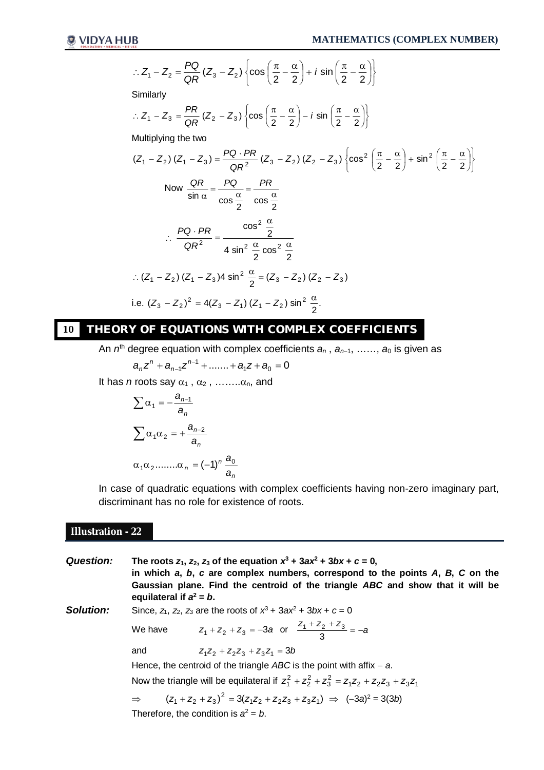$$
\therefore Z_1 - Z_2 = \frac{PQ}{QR} (Z_3 - Z_2) \left\{ \cos \left( \frac{\pi}{2} - \frac{\alpha}{2} \right) + i \sin \left( \frac{\pi}{2} - \frac{\alpha}{2} \right) \right\}
$$

**Similarly** 

$$
\therefore Z_1 - Z_3 = \frac{PR}{QR} (Z_2 - Z_3) \left\{ \cos \left( \frac{\pi}{2} - \frac{\alpha}{2} \right) - i \sin \left( \frac{\pi}{2} - \frac{\alpha}{2} \right) \right\}
$$

Multiplying the two

$$
(Z_{1} - Z_{2}) (Z_{1} - Z_{3}) = \frac{PQ \cdot PR}{QR^{2}} (Z_{3} - Z_{2}) (Z_{2} - Z_{3}) \left\{ \cos^{2} \left( \frac{\pi}{2} - \frac{\alpha}{2} \right) + \sin^{2} \left( \frac{\pi}{2} - \frac{\alpha}{2} \right) \right\}
$$
  
\nNow  $\frac{QR}{\sin \alpha} = \frac{PQ}{\cos \frac{\alpha}{2}} = \frac{PR}{\cos \frac{\alpha}{2}}$   
\n $\therefore \frac{PQ \cdot PR}{QR^{2}} = \frac{\cos^{2} \frac{\alpha}{2}}{4 \sin^{2} \frac{\alpha}{2} \cos^{2} \frac{\alpha}{2}}$   
\n $\therefore (Z_{1} - Z_{2}) (Z_{1} - Z_{3}) 4 \sin^{2} \frac{\alpha}{2} = (Z_{3} - Z_{2}) (Z_{2} - Z_{3})$   
\ni.e.  $(Z_{3} - Z_{2})^{2} = 4(Z_{3} - Z_{1}) (Z_{1} - Z_{2}) \sin^{2} \frac{\alpha}{2}$ .

# **10 THEORY OF EQUATIONS WITH COMPLEX COEFFICIENTS**

An  $n^{\text{th}}$  degree equation with complex coefficients  $a_n$  ,  $a_{n-1},$  ……,  $a_0$  is given as

 $a_n z^n + a_{n-1} z^{n-1} + \dots + a_1 z + a_0 = 0$ It has *n* roots say  $\alpha_1$  ,  $\alpha_2$  , ........ $\alpha_n$ , and

$$
\sum \alpha_1 = -\frac{a_{n-1}}{a_n}
$$

$$
\sum \alpha_1 \alpha_2 = +\frac{a_{n-2}}{a_n}
$$

$$
\alpha_1 \alpha_2 \dots \dots \alpha_n = (-1)^n \frac{a_0}{a_n}
$$

In case of quadratic equations with complex coefficients having non-zero imaginary part, discriminant has no role for existence of roots.

#### **Illustration - 22**

| <b>Question:</b> | equilateral if $a^2 = b$ .                                                                                                               | The roots $z_1$ , $z_2$ , $z_3$ of the equation $x^3 + 3ax^2 + 3bx + c = 0$ ,<br>in which $a, b, c$ are complex numbers, correspond to the points $A, B, C$ on the<br>Gaussian plane. Find the centroid of the triangle ABC and show that it will be |  |  |
|------------------|------------------------------------------------------------------------------------------------------------------------------------------|------------------------------------------------------------------------------------------------------------------------------------------------------------------------------------------------------------------------------------------------------|--|--|
| Solution:        | Since, $z_1$ , $z_2$ , $z_3$ are the roots of $x^3 + 3ax^2 + 3bx + c = 0$                                                                |                                                                                                                                                                                                                                                      |  |  |
|                  | We have                                                                                                                                  | $z_1 + z_2 + z_3 = -3a$ or $\frac{z_1 + z_2 + z_3}{3} = -a$                                                                                                                                                                                          |  |  |
|                  | and                                                                                                                                      | $Z_1Z_2 + Z_2Z_3 + Z_3Z_1 = 3b$                                                                                                                                                                                                                      |  |  |
|                  | Hence, the centroid of the triangle ABC is the point with affix $- a$ .                                                                  |                                                                                                                                                                                                                                                      |  |  |
|                  | Now the triangle will be equilateral if $z_1^2 + z_2^2 + z_3^2 = z_1z_2 + z_2z_3 + z_3z_4$                                               |                                                                                                                                                                                                                                                      |  |  |
|                  | $(z_1 + z_2 + z_3)^2 = 3(z_1z_2 + z_2z_3 + z_3z_1) \implies (-3a)^2 = 3(3b)$<br>$\Rightarrow$<br>Therefore, the condition is $a^2 = b$ . |                                                                                                                                                                                                                                                      |  |  |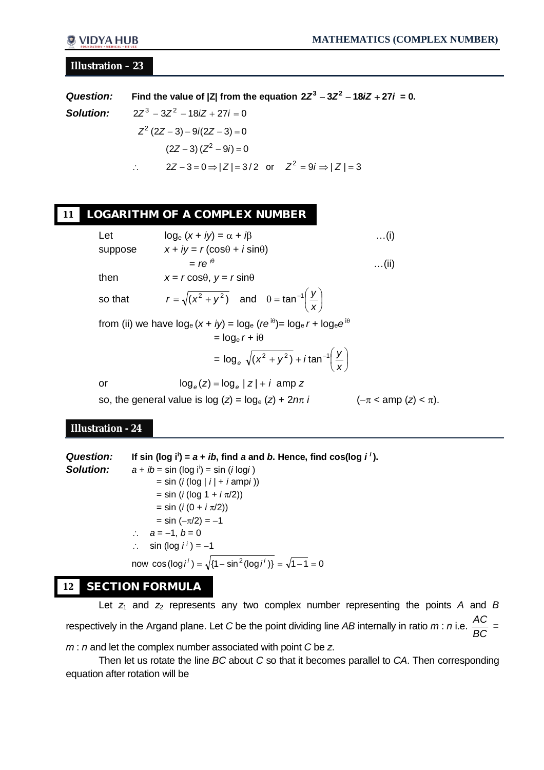# **Illustration – 23**

*Question:* Find the value of  $|Z|$  from the equation  $2Z^3 - 3Z^2 - 18iZ + 27i = 0$ . *Solution:*  $2Z^3 - 3Z^2 - 18iZ + 27i = 0$  $Z^2$  (2Z – 3) – 9*i*(2Z – 3) = 0  $(ZZ - 3)(Z<sup>2</sup> – 9i) = 0$  $\therefore$  2Z-3=0 $\Rightarrow$  | Z | = 3/2 or  $Z^2 = 9i \Rightarrow$  | Z | = 3

# **11 LOGARITHM OF A COMPLEX NUMBER**

| Let     | $log_e (x + iy) = \alpha + i\beta$                                                    | $\dots(i)$                      |
|---------|---------------------------------------------------------------------------------------|---------------------------------|
| suppose | $x + iy = r (cos \theta + i sin \theta)$                                              |                                 |
|         | $=$ re $^{10}$                                                                        | $\dots$ (ii)                    |
| then    | $x = r \cos\theta$ , $y = r \sin\theta$                                               |                                 |
| so that | $r = \sqrt{(x^2 + y^2)}$ and $\theta = \tan^{-1}\left(\frac{y}{x}\right)$             |                                 |
|         | from (ii) we have $log_e(x + iy) = log_e(re^{i\theta}) = log_e r + log_e e^{i\theta}$ |                                 |
|         | $=$ $log_e r + i\theta$                                                               |                                 |
|         | = $\log_e \sqrt{(x^2 + y^2)} + i \tan^{-1} \left(\frac{y}{x}\right)$                  |                                 |
| or      | $\log_e(z) = \log_e  z  + i$ amp z                                                    |                                 |
|         | so, the general value is log $(z) = \log_e(z) + 2n\pi i$                              | $(-\pi < \text{amp}(z) < \pi).$ |

**Illustration - 24**

*Question:* **If sin (log i<sup>i</sup> ) =** *a* **+** *ib***, find** *a* **and** *b***. Hence, find cos(log** *i <sup>i</sup>***). Solution:**  $a + ib = \sin(\log i) = \sin(i \log i)$  $=$  sin (*i* (log | *i* | + *i* amp*i*))  $=$  sin (*i* (log 1 + *i*  $\pi$ /2))  $=$  sin (*i* (0 + *i*  $\pi$ /2))  $=$  sin  $(-\pi/2) = -1$  $\therefore$   $a = -1, b = 0$  $\therefore$  sin (log *i*<sup>*i*</sup>) = -1  ${\sf now\,\,} \cos{(\log{i}^i)} = \sqrt{\{1-\sin^2{(\log{i}^i)}\}} = \sqrt{1-1} = 0$ 

# **12 SECTION FORMULA**

Let  $z_1$  and  $z_2$  represents any two complex number representing the points  $A$  and  $B$ respectively in the Argand plane. Let *C* be the point dividing line *AB* internally in ratio *m* : *n* i.e. *BC*  $\frac{AC}{DC}$  = *m* : *n* and let the complex number associated with point *C* be *z*.

Then let us rotate the line *BC* about *C* so that it becomes parallel to *CA*. Then corresponding equation after rotation will be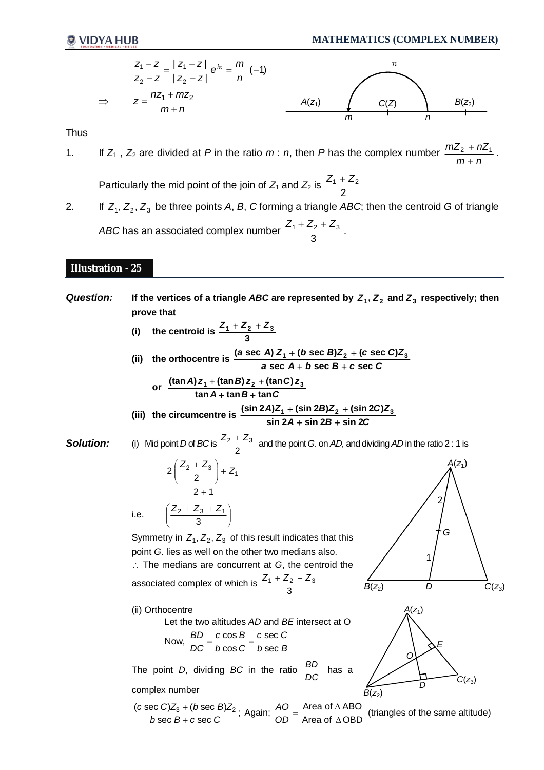

Thus

1. If *Z*<sup>1</sup> , *Z*<sup>2</sup> are divided at *P* in the ratio *m* : *n*, then *P* has the complex number *m n*  $mZ_2 + nZ$  $^{+}$  $\frac{2}{2} + nZ_1$ .

Particularly the mid point of the join of  $Z_1$  and  $Z_2$  is 2  $Z_1 + Z_2$ 

2. If  $Z_1, Z_2, Z_3$  be three points A, B, C forming a triangle ABC; then the centroid G of triangle *ABC* has an associated complex number 3  $\frac{Z_1 + Z_2 + Z_3}{2}$ .

# **Illustration - 25**

- *Question:* If the vertices of a triangle ABC are represented by  $Z_1$ ,  $Z_2$  and  $Z_3$  respectively; then **prove that**
	- (i) the centroid is  $\frac{24+2}{3}$  $Z_1 + Z_2 + Z_3$
	- (ii) the orthocentre is  $\frac{a^2(1+a)^2 + b^2(1+a)^2 b^2}{a \sec A + b \sec B + c \sec C}$ *a* sec  $A$ )  $Z_1$  + (*b* sec  $B$ ) $Z_2$  + (*c* sec  $C$ ) $Z$  $\mathbf{sec}\;A+\mathbf{\textit{b}}\;\mathbf{sec}\;\mathbf{\textit{B}}+\mathbf{\textit{c}}\;\mathbf{sec}$  $({\bf a}\,\sec\,A)\,{\bf Z}_{\rm 1} + ({\bf b}\,\sec\,B){\bf Z}_{\rm 2} + ({\bf c}\,\sec\,C){\bf Z}_{\rm 3}$  $+$   $\bm{b}$  sec  $\bm{B}$  +  $+$  (*b* sec *B*)Z<sub>2</sub> +

or 
$$
\frac{(\tan A) z_1 + (\tan B) z_2 + (\tan C) z_3}{\tan A + \tan B + \tan C}
$$
  
(sin 2A)Z<sub>1</sub> + (sin 2B)Z<sub>2</sub> + (sin 2C)Z<sub>3</sub>

(iii) the circumference is 
$$
\frac{\sin 2\theta_1 + \sin 2\theta_2 + \sin 2\theta_3}{\sin 2\theta + \sin 2\theta + \sin 2\theta}
$$
  
on: (i) Mid point *D* of *BC* is  $\frac{Z_2 + Z_3}{\sin 2\theta + \sin 2\theta}$  and the point *G* on *AD* and dividing *AD* in the ratio?

 $Solution$ *Solutio* 

 $\overline{\phantom{0}}$ and the point *G*. on *AD*, and dividing *AD* in the ratio 2 : 1 is  $\mathcal{L}$  $\left(\frac{Z_2+Z_3}{2}\right)+Z$  $A(z_1)$ 

$$
\frac{2\left(\frac{Z_2 + Z_3}{2}\right) + Z_1}{2 + 1}
$$
  
i.e. 
$$
\left(\frac{Z_2 + Z_3 + Z_1}{3}\right)
$$

 $\overline{\phantom{a}}$ 

(ii) Orthocentre

complex number

Symmetry in  $Z_1, Z_2, Z_3$  of this result indicates that this point *G*. lies as well on the other two medians also. ∴ The medians are concurrent at *G*, the centroid the

Let the two altitudes *AD* and *BE* intersect at O

*c C*

sec sec

associated complex of which is  $\frac{21+22}{3}$  $Z_1 + Z_2 + Z_3$ 

Now,  $\frac{BD}{DC} = \frac{0.005 \text{ B}}{b \cos C} = \frac{0.005 \text{ C}}{b \sec B}$ 

*DC BD* *b C c B*

The point *D*, dividing *BC* in the ratio  $\frac{BD}{DC}$  has a

cos  $=\frac{c\cos B}{1}$ 



;  $\sec B + c \sec$  $(c \sec C)Z_3 + (b \sec B)Z_2$  $b$  sec  $B + c$  sec  $C$ *c* sec  $C)Z_3 + (b \sec B)Z$  $^{+}$  $\frac{+(b\sec B)Z_2}{+c\sec C}$ ; Again;  $\frac{AO}{OD} = \frac{\text{Area of } \triangle\text{ABO}}{\text{Area of }\triangle\text{OBD}}$ Area of  $\Delta$  ABO Δ  $=\frac{\text{Area of }\Delta}{\Delta}$ *OD* (triangles of the same altitude)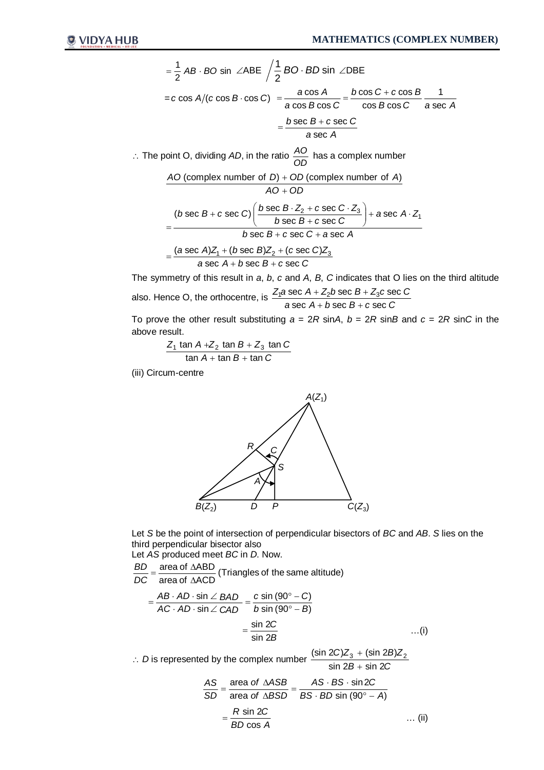$$
= \frac{1}{2} AB \cdot BO \sin \angle ABE \quad \boxed{\frac{1}{2} BO \cdot BD \sin \angle DBE}
$$
\n
$$
= c \cos A/(c \cos B \cdot \cos C) = \frac{a \cos A}{a \cos B \cos C} = \frac{b \cos C + c \cos B}{\cos B \cos C} = \frac{1}{a \sec A}
$$
\n
$$
= \frac{b \sec B + c \sec C}{a \sec A}
$$
\n
$$
\therefore \text{ The point O, dividing } AD, \text{ in the ratio } \frac{AO}{OD} \text{ has a complex number}
$$
\n
$$
\frac{AO \text{ (complex number of } D) + OD \text{ (complex number of } A)}{AO + OD}
$$
\n
$$
\frac{(b \sec B + c \sec C) \left(\frac{b \sec B \cdot Z_2 + c \sec C \cdot Z_3}{b \sec B + c \sec C}\right) + a \sec A \cdot Z_1}{b \sec B + c \sec C + a \sec A}
$$
\n
$$
= \frac{(a \sec A)Z_1 + (b \sec B)Z_2 + (c \sec C)Z_3}{a \sec A + b \sec B + c \sec C}
$$

The symmetry of this result in *a*, *b*, *c* and *A*, *B*, *C* indicates that O lies on the third altitude also. Hence O, the orthocentre, is  $\frac{Z_1a \sec A + Z_2b \sec B + Z_3c \sec C}{4}$  $a$  sec  $A + b$  sec  $B + c$  sec  $C$ 

To prove the other result substituting  $a = 2R \sin A$ ,  $b = 2R \sin B$  and  $c = 2R \sin C$  in the above result.

$$
\frac{Z_1 \tan A + Z_2 \tan B + Z_3 \tan C}{\tan A + \tan B + \tan C}
$$

(iii) Circum-centre



Let *S* be the point of intersection of perpendicular bisectors of *BC* and *AB*. *S* lies on the third perpendicular bisector also

Let *AS* produced meet *BC* in *D*. Now.

(Triangles of the same altitude) area of ACD area of ABD Δ  $=\frac{\text{area of }\Delta}{\sqrt{2}}$ *DC BD* sin (90° – *B*) sin (90° – C) sin sin  $b$  sin (90° –  $B$ *c C AC AD CAD AB AD BAD*  $\circ$   $\frac{A D \cdot \sin \angle BAD}{\Delta A D \cdot \sin \angle CAD} = \frac{c \sin (90^\circ - b)}{b \sin (90^\circ - b)}$  $\cdot$  AD  $\cdot$  sin  $\angle$  $=$ *B C* sin 2  $=$   $\frac{\sin 2C}{1.25}$  ...(i)  $\therefore$  *D* is represented by the complex number  $\frac{\sin 2B + \sin 2B}{\sin 2B + \sin 2C}$  $2C$  $Z_3$  + (sin 2*B*) $Z$ sin 2 $B+$  sin 2 (sin 2C) $Z_3$  + (sin 2B) $Z_2$  $^{+}$  $^{+}$  $\frac{AS}{AS} = \frac{\text{area of } \triangle ASB}{SASB}$ 

$$
\frac{AS}{SD} = \frac{\text{area of } \triangle ASB}{\text{area of } \triangle BSD} = \frac{AS \cdot BS \cdot \sin 2C}{BS \cdot BD \sin (90^\circ - A)}
$$

$$
= \frac{R \sin 2C}{BD \cos A} \qquad \qquad \dots \text{ (ii)}
$$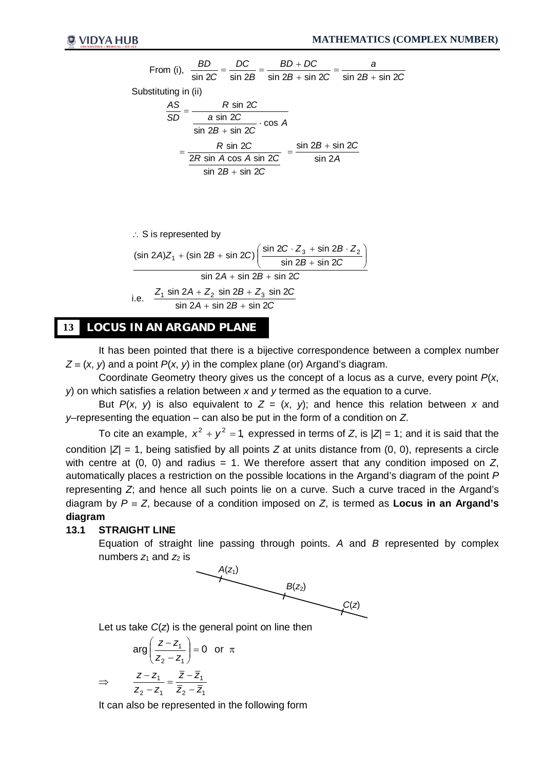From (i), 
$$
\frac{BD}{\sin 2C} = \frac{DC}{\sin 2B} = \frac{BD + DC}{\sin 2B + \sin 2C} = \frac{a}{\sin 2B + \sin 2C}
$$
  
\nSubstituting in (ii)  
\n
$$
\frac{AS}{SD} = \frac{R \sin 2C}{\frac{a \sin 2C}{\sin 2B + \sin 2C} \cdot \cos A}
$$
\n
$$
= \frac{R \sin 2C}{\frac{2R \sin A \cos A \sin 2C}{\sin 2B + \sin 2C}} = \frac{\sin 2B + \sin 2C}{\sin 2A}
$$

 $\therefore$  S is represented by

$$
\frac{(\sin 2A)Z_1 + (\sin 2B + \sin 2C)\left(\frac{\sin 2C \cdot Z_3 + \sin 2B \cdot Z_2}{\sin 2B + \sin 2C}\right)}{\sin 2A + \sin 2B + \sin 2C}
$$
  
i.e. 
$$
\frac{Z_1 \sin 2A + Z_2 \sin 2B + Z_3 \sin 2C}{\sin 2A + \sin 2B + \sin 2C}
$$

# **13 LOCUS IN AN ARGAND PLANE**

It has been pointed that there is a bijective correspondence between a complex number  $Z = (x, y)$  and a point  $P(x, y)$  in the complex plane (or) Argand's diagram.

Coordinate Geometry theory gives us the concept of a locus as a curve, every point *P*(*x*, *y*) on which satisfies a relation between *x* and *y* termed as the equation to a curve.

But  $P(x, y)$  is also equivalent to  $Z = (x, y)$ ; and hence this relation between x and *y*–representing the equation – can also be put in the form of a condition on *Z*.

To cite an example,  $x^2 + y^2 = 1$ , expressed in terms of *Z*, is  $|Z| = 1$ ; and it is said that the condition  $|Z| = 1$ , being satisfied by all points  $Z$  at units distance from  $(0, 0)$ , represents a circle with centre at  $(0, 0)$  and radius = 1. We therefore assert that any condition imposed on  $Z$ , automatically places a restriction on the possible locations in the Argand's diagram of the point *P* representing *Z*; and hence all such points lie on a curve. Such a curve traced in the Argand's diagram by  $P = Z$ , because of a condition imposed on  $Z$ , is termed as **Locus in an Argand's diagram**

## **13.1 STRAIGHT LINE**

Equation of straight line passing through points. *A* and *B* represented by complex numbers  $z_1$  and  $z_2$  is



Let us take *C*(*z*) is the general point on line then

$$
\arg\left(\frac{z-z_1}{z_2-z_1}\right) = 0 \text{ or } \pi
$$
  
\n
$$
\Rightarrow \qquad \frac{z-z_1}{z_2-z_1} = \frac{\overline{z}-\overline{z}_1}{\overline{z}_2-\overline{z}_1}
$$

It can also be represented in the following form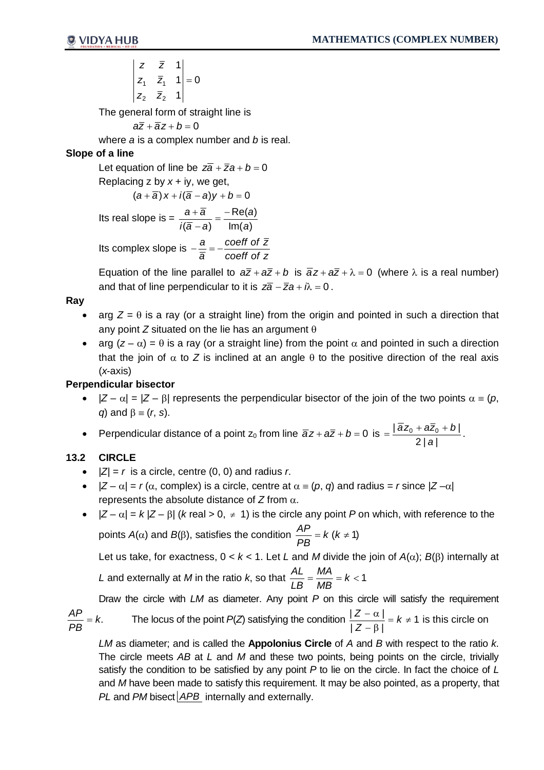$$
\begin{vmatrix} z & \bar{z} & 1 \\ z_1 & \bar{z}_1 & 1 \\ z_2 & \bar{z}_2 & 1 \end{vmatrix} = 0
$$

The general form of straight line is

$$
a\overline{z}+\overline{a}z+b=0
$$

where *a* is a complex number and *b* is real.

# **Slope of a line**

Let equation of line be  $z\overline{a} + \overline{z}a + b = 0$ 

Replacing z by x + iy, we get,  
\n
$$
(a + \overline{a}) x + i(\overline{a} - a)y + b = 0
$$

Its real slope is =  $Im(a)$  $Re(a)$ (<del>a</del> – a) Im(*a a i a a*  $\frac{a + \overline{a}}{a - \overline{a}} = \overline{\phantom{a}}$  $^{+}$ Its complex slope is *coeff of z coeff of z a*  $-\frac{a}{a}=-$ 

Equation of the line parallel to  $a\overline{z} + a\overline{z} + b$  is  $\overline{a}z + a\overline{z} + \lambda = 0$  (where  $\lambda$  is a real number) and that of line perpendicular to it is  $z\overline{a} - \overline{z}a + i\lambda = 0$ .

# **Ray**

- arg  $Z = \theta$  is a ray (or a straight line) from the origin and pointed in such a direction that any point  $Z$  situated on the lie has an argument  $\theta$
- arg  $(z \alpha) = \theta$  is a ray (or a straight line) from the point  $\alpha$  and pointed in such a direction that the join of  $\alpha$  to Z is inclined at an angle  $\theta$  to the positive direction of the real axis (*x*-axis)

# **Perpendicular bisector**

 $|Z - \alpha| = |Z - \beta|$  represents the perpendicular bisector of the join of the two points  $\alpha \equiv (p, p)$ *q*) and  $\beta$  = (*r*, *s*).

• Perpendicular distance of a point  $z_0$  from line  $\overline{a}z + a\overline{z} + b = 0$  is  $2 |a|$  $|\overline{a}z_0 + a\overline{z}_0 + b|$ *a*  $=\frac{|\overline{a}z_0+a\overline{z}_0+b|}{2}$ .

# **13.2 CIRCLE**

- $|Z| = r$  is a circle, centre (0, 0) and radius *r*.
- $|Z \alpha| = r(\alpha, \text{complex})$  is a circle, centre at  $\alpha = (p, q)$  and radius = *r* since  $|Z \alpha|$ represents the absolute distance of  $Z$  from  $\alpha$ .
- $|Z \alpha| = k |Z \beta|$  (*k* real > 0,  $\neq$  1) is the circle any point *P* on which, with reference to the points  $A(\alpha)$  and  $B(\beta)$ , satisfies the condition  $\frac{\pi}{\beta} = k (k \neq 1)$ *PB AP*

Let us take, for exactness,  $0 < k < 1$ . Let L and M divide the join of  $A(\alpha)$ :  $B(\beta)$  internally at *L* and externally at *M* in the ratio *k*, so that  $\frac{1}{10} = \frac{1}{10} = k < 1$ *MB MA LB AL*

Draw the circle with *LM* as diameter. Any point *P* on this circle will satisfy the requirement

$$
\frac{AP}{PB} =
$$

$$
= k.
$$
 The locus of the point *P*(*Z*) satisfying the condition  $\frac{|Z - \alpha|}{|Z - \beta|} = k \neq 1$  is this circle on

*LM* as diameter; and is called the **Appolonius Circle** of *A* and *B* with respect to the ratio *k*. The circle meets *AB* at *L* and *M* and these two points, being points on the circle, trivially satisfy the condition to be satisfied by any point *P* to lie on the circle. In fact the choice of *L* and *M* have been made to satisfy this requirement. It may be also pointed, as a property, that *PL* and *PM* bisect *APB* internally and externally.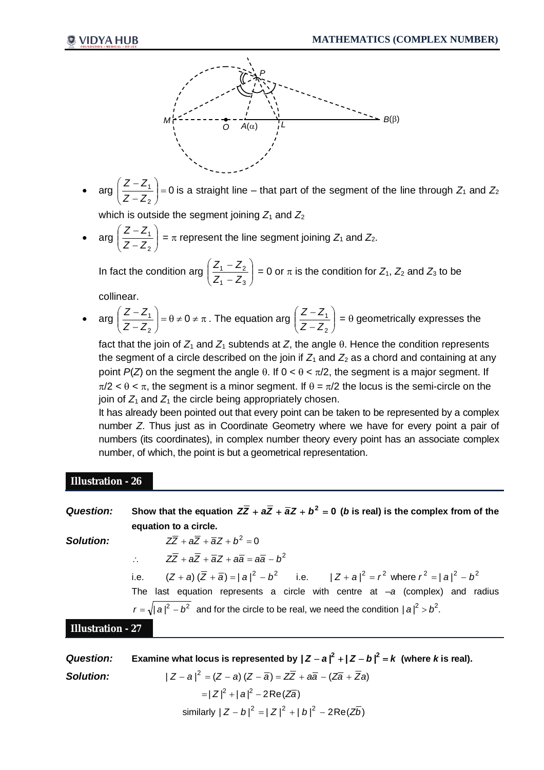

• arg  $\frac{1}{2}$  =  $\frac{1}{2}$  = 0 2  $\frac{1}{\cdot}$  =  $\bigg)$  $\setminus$  $\overline{\phantom{a}}$  $\setminus$ ſ  $\overline{\phantom{a}}$  $\overline{\phantom{a}}$ *Z Z*  $\left(\frac{Z-Z_1}{Z} \right)$  = 0 is a straight line – that part of the segment of the line through  $Z_1$  and  $Z_2$ 

which is outside the segment joining  $Z_1$  and  $Z_2$ 

• arg  $\left| \frac{2}{7-z_1} \right|$  $\bigg)$  $\setminus$ l  $\setminus$ ſ - $\overline{\phantom{a}}$ 2 1 *Z Z*  $\left(\frac{Z-Z_1}{Z_1}-\frac{Z_2}{Z_2}\right)=\pi$  represent the line segment joining  $Z_1$  and  $Z_2$ .

In fact the condition arg  $\left| \frac{Z_1 - Z_2}{Z_1 - Z_2} \right|$  $\bigg)$  $\setminus$  $\overline{\phantom{a}}$  $\setminus$ ſ  $\overline{a}$  $\overline{\phantom{a}}$  $1 - 23$  $1 - 2$ *Z Z*  $\left(\frac{Z_1 - Z_2}{Z_1 - Z_2}\right) = 0$  or  $\pi$  is the condition for  $Z_1$ ,  $Z_2$  and  $Z_3$  to be

collinear.

• arg  $\left|\frac{2}{7-z}\right| = \theta \neq 0 \neq \pi$  $\bigg)$  $\mathcal{L}$  $\overline{\phantom{a}}$  $\overline{\mathcal{L}}$ ſ  $\overline{\phantom{a}}$  $\left(\frac{-Z_1}{Z}\right) = \theta \neq 0$ 2 1 *Z Z*  $\left(\frac{Z-Z_1}{Z-Z_1}\right)$  =  $\theta \neq 0 \neq \pi$  . The equation arg  $\left(\frac{Z-Z_1}{Z-Z_2}\right)$  $\bigg)$  $\setminus$  $\parallel$  $\setminus$ ſ  $\overline{\phantom{a}}$ -2 1 *Z Z*  $\left(\frac{Z-Z_1}{Z-Z_1}\right)=\theta$  geometrically expresses the

fact that the join of  $Z_1$  and  $Z_1$  subtends at  $Z$ , the angle  $\theta$ . Hence the condition represents the segment of a circle described on the join if  $Z_1$  and  $Z_2$  as a chord and containing at any point  $P(Z)$  on the segment the angle  $\theta$ . If  $0 < \theta < \pi/2$ , the segment is a major segment. If  $\pi/2 < \theta < \pi$ , the segment is a minor segment. If  $\theta = \pi/2$  the locus is the semi-circle on the ioin of  $Z_1$  and  $Z_1$  the circle being appropriately chosen.

It has already been pointed out that every point can be taken to be represented by a complex number *Z*. Thus just as in Coordinate Geometry where we have for every point a pair of numbers (its coordinates), in complex number theory every point has an associate complex number, of which, the point is but a geometrical representation.

# **Illustration - 26**

*Question:* Show that the equation  $Z\bar{Z} + a\bar{Z} + \bar{a}Z + b^2 = 0$  (*b* is real) is the complex from of the **equation to a circle.**

**Solution:**  $Z\overline{Z} + a\overline{Z} + \overline{a}Z + b^2 = 0$ 

$$
Z\overline{Z} + a\overline{Z} + \overline{a}Z + a\overline{a} = a\overline{a} - b^2
$$

i.e.  $(Z+a)(\overline{Z}+\overline{a})=|a|^2-b^2$  i.e.  $|Z+a|^2=r^2$  where  $r^2=|a|^2-b^2$ The last equation represents a circle with centre at –*a* (complex) and radius

$$
r = \sqrt{|a|^2 - b^2}
$$
 and for the circle to be real, we need the condition  $|a|^2 > b^2$ .

**Illustration - 27**

 $\therefore$ 

| <b>Question:</b> | Examine what locus is represented by $ Z - a ^2 +  Z - b ^2 = k$ (where k is real).                 |
|------------------|-----------------------------------------------------------------------------------------------------|
| Solution:        | $ Z-a ^2 = (Z-a)(Z-\overline{a}) = Z\overline{Z} + a\overline{a} - (Z\overline{a} + \overline{Z}a)$ |
|                  | $=  Z ^2 +  a ^2 - 2Re(Za)$                                                                         |
|                  | similarly $ Z-b ^2 =  Z ^2 +  b ^2 - 2Re(Z\overline{b})$                                            |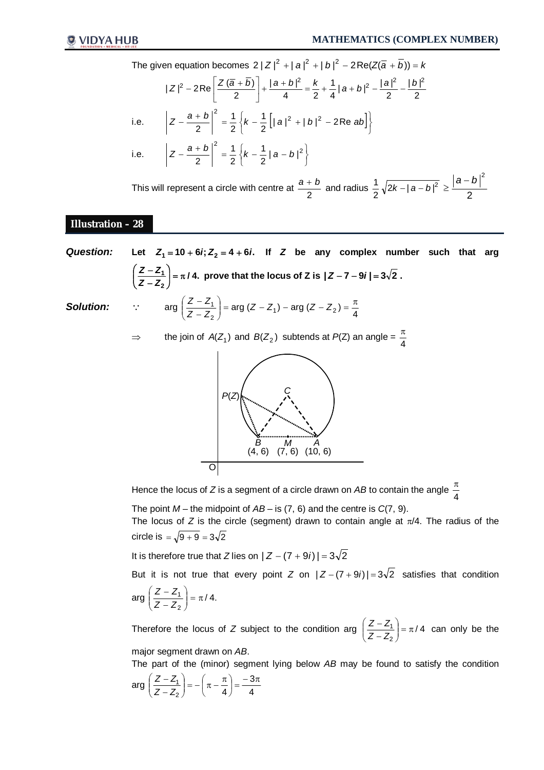The given equation becomes 2 | Z | $^2$  + | a | $^2$  + | b | $^2$  – 2Re(Z( $\overline{\overline{a}}$  +  $\overline{b}$ )) =  $k$ 2 | | 2  $\frac{1}{4} |a+b|^2 - \frac{|a|}{2}$ 1 4 2  $|a + b|$ 2  $|Z|^2 - 2Re\left| \frac{Z(\overline{a}+b)}{2}\right|$  $|Z|^2 - 2Re\left[\frac{Z(\overline{a} + \overline{b})}{2}\right] + \frac{|a + b|^2}{4} = \frac{k}{2} + \frac{1}{4}|a + b|^2 - \frac{|a|^2}{2} - \frac{|b|^2}{2}$  $\frac{1}{2}$  $\overline{\phantom{a}}$  $\mathbf{r}$  $\overline{\mathsf{L}}$  $-2Re\left[\frac{Z(\overline{a}+)}{2}\right]$ i.e.  $|Z - \frac{u^2 - u^2}{2} | = \frac{1}{2} \{ k - \frac{1}{2} | |a|^2 + |b|^2 - 2 \text{Re } ab |$  $\Bigg\}$  $Z - \frac{a+b}{2} \bigg|^{2} = \frac{1}{2} \left\{ k - \frac{1}{2} \left[ |a|^2 + |b|^2 - 2 \text{Re } ab \right] \right\}$ 1 2 1 2  $2^{2}$   $1 \int_{k} 1 \int_{|z| \ge 1^{2}} |b|^{2}$ i.e.  $\left\{\begin{array}{c} \phantom{a}\\ \phantom{a}\\ \phantom{a}\end{array}\right\}$  $-\frac{a+b}{2}\bigg|^2 = \frac{1}{2}\bigg\{k-\frac{1}{2}|a-b|^2\bigg\}$  $\frac{1}{2}$ |a – b| 1 2 1  $Z - \frac{a+b}{2}\Big|^{2} = \frac{1}{2}\Big\{k - \frac{1}{2} |a-b\Big\}$ 

This will represent a circle with centre at  $\frac{a}{2}$  $\frac{a+b}{2}$  and radius  $\frac{1}{2}\sqrt{2k-|a-b|^2}$  $\frac{1}{2}\sqrt{2k-|a-b|^2} \ge \frac{|a-2|}{2}$  $a - b \big|^2$  $\geq$ 

# **Illustration – 28**

*Question:* Let  $Z_1 = 10 + 6i$ ;  $Z_2 = 4 + 6i$ . If Z be any complex number such that arg **/ 4. 2**  $\left(\frac{1}{\epsilon}\right) = \pi$ J Ì l l ſ --*Z Z*  $\left[ \frac{Z - Z_1}{Z} \right] = \pi / 4$ . prove that the locus of Z is  $|Z - 7 - 9i| = 3\sqrt{2}$ . **Solution:**  $\therefore$  arg  $\left( \frac{2 - z_1}{Z - Z_2} \right) = \arg (Z - Z_1) - \arg (Z - Z_2) = \frac{\pi}{4}$  $\left(\frac{1}{2}\right)$  = arg (Z – Z<sub>1</sub>) – arg (Z – Z<sub>2</sub>) =  $\frac{\pi}{4}$ J  $\mathcal{L}$  $\overline{\phantom{a}}$  $\backslash$ ſ  $\overline{\phantom{0}}$  $\left(\frac{Z - Z_1}{Z - Z_2}\right)$  = arg (*Z* – *Z*<sub>1</sub>) – arg (*Z* – *Z Z Z*  $\Rightarrow$  the join of  $A(Z_1)$  and  $B(Z_2)$  subtends at  $P(Z)$  an angle =  $\frac{\pi}{4}$ π *C P*(*Z*)

> Hence the locus of *Z* is a segment of a circle drawn on *AB* to contain the angle 4 π

*B M A* (4, 6) (7, 6) (10, 6)

The point *M* – the midpoint of *AB* – is (7, 6) and the centre is *C*(7, 9). The locus of  $Z$  is the circle (segment) drawn to contain angle at  $\pi/4$ . The radius of the circle is =  $\sqrt{9 + 9} = 3\sqrt{2}$ 

It is therefore true that *Z* lies on  $|Z - (7 + 9i)| = 3\sqrt{2}$ 

 $\overline{O}$ 

But it is not true that every point *Z* on  $|Z-(7+9i)|=3\sqrt{2}$  satisfies that condition

$$
\arg\left(\frac{Z-Z_1}{Z-Z_2}\right)=\pi/4.
$$

Therefore the locus of Z subject to the condition arg  $\frac{2}{\pi}$  =  $\frac{2}{\pi}$  =  $\pi$ /4 2  $\left(\frac{1}{2}\right) = \pi$ J  $\mathcal{L}$  $\parallel$  $\overline{\phantom{0}}$ ſ  $\overline{a}$ -*Z Z*  $\left(\frac{Z-Z_1}{Z-Z_1}\right)$  =  $\pi$  / 4 can only be the

major segment drawn on *AB*.

The part of the (minor) segment lying below *AB* may be found to satisfy the condition

$$
arg\left(\frac{Z-Z_1}{Z-Z_2}\right)=-\left(\pi-\frac{\pi}{4}\right)=\frac{-3\pi}{4}
$$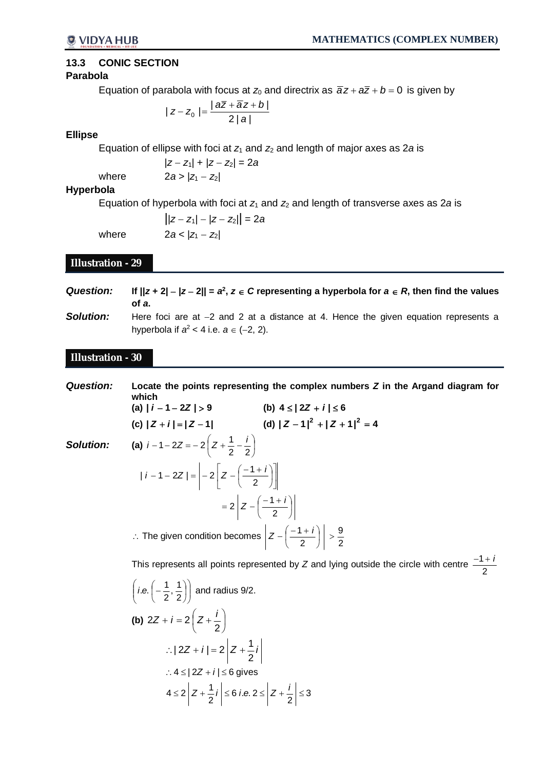# **13.3 CONIC SECTION**

# **Parabola**

Equation of parabola with focus at  $z_0$  and directrix as  $\overline{a}z + a\overline{z} + b = 0$  is given by

$$
|z-z_0|=\frac{|\overline{az}+\overline{a}z+b|}{2|a|}
$$

### **Ellipse**

Equation of ellipse with foci at  $z_1$  and  $z_2$  and length of major axes as 2*a* is

 $|z - z_1| + |z - z_2| = 2a$ where  $2a > |z_1 - z_2|$ 

# **Hyperbola**

Equation of hyperbola with foci at  $z_1$  and  $z_2$  and length of transverse axes as 2*a* is

 $||z - z_1| - |z - z_2|| = 2a$ where  $2a < |z_1 - z_2|$ 

# **Illustration - 29**

| <b>Question:</b> | If $  z + 2  -  z - 2   = a^2$ , $z \in C$ representing a hyperbola for $a \in R$ , then find the values<br>of a.                      |
|------------------|----------------------------------------------------------------------------------------------------------------------------------------|
| Solution:        | Here foci are at $-2$ and 2 at a distance at 4. Hence the given equation represents a<br>hyperbola if $a^2 < 4$ i.e. $a \in (-2, 2)$ . |

# **Illustration - 30**

*Question:* **Locate the points representing the complex numbers** *Z* **in the Argand diagram for which**   $(a) | i - 1 - 2Z| > 9$  <br> (b)  $4 \le |2Z + i| \le 6$  $|Z - 1|^2 + |Z + 1|^2 = 4$ **Solution: (a)**  $i - 1 - 2Z = -2|Z + \frac{1}{2} - \frac{1}{2}|$  $\bigg)$  $\left( Z + \frac{1}{2} - \frac{i}{2} \right)$  $\setminus$  $-1-2Z = -2\left(Z + \frac{1}{2} - \frac{i}{2}\right)$  $i - 1 - 2Z = -2\left(Z + \frac{1}{2} - \frac{i}{2}\right)$  $|i-1-2Z| = |-2|Z - \frac{|\cdot|}{2}|$ J  $\overline{\phantom{a}}$  $\mathbf{r}$ L  $Z-\left(\frac{-1+i}{2}\right)$  $\bigg)$  $\left(\frac{-1+i}{2}\right)$  $\overline{\phantom{0}}$  $-1-2Z$  | =  $\Big| -2 \Big| Z - \Big( \frac{-1+2}{2} \Big)$  $|i-1-2Z| = -2Z$  $=2|Z-|$   $\frac{1}{2}|$ J  $\left(\frac{-1+i}{2}\right)$  $\backslash$  $=2\left|Z-\left(\frac{-1+}{2}\right)\right|$  $2|Z - \frac{-1+i}{2}$ ∴ The given condition becomes  $\left|Z-\left(\frac{1}{2}\right)\right|>\frac{3}{2}$ 9 2  $\left|\frac{1+i}{2}\right|\right|>$ J  $\left(\frac{-1+i}{2}\right)$  $\overline{\phantom{0}}$  $Z - \left(\frac{-1+i}{2}\right)$ This represents all points represented by *Z* and lying outside the circle with centre  $\frac{1}{2}$  $-1 + i$  $\overline{\phantom{a}}$  $\bigg)$  $\mathcal{L}$  $\overline{\phantom{a}}$  $\backslash$  $\left(i.e. \left(-\frac{1}{2},\frac{1}{2}\right)\right)$ J  $\left(-\frac{1}{6},\frac{1}{6}\right)$  $\overline{\phantom{0}}$  $\left(-\frac{1}{2},\frac{1}{2}\right)$  $\frac{1}{2}, \frac{1}{2}$ *i.e.*  $\left(-\frac{1}{2}, \frac{1}{2}\right)$  and radius 9/2. **(b)**  $2Z + i = 2 | Z + \frac{1}{2} |$ J  $\left( Z+\frac{i}{2}\right)$  $\setminus$  $+ i = 2 | Z +$ 2  $2Z + i = 2\left(Z + \frac{i}{Z}\right)$  $|Z+i|=2|Z+\frac{1}{2}i|$ 2 :.  $|2Z + i| = 2|Z + \frac{1}{2}|$ 

$$
\therefore 4 \le |2Z + i| \le 6 \text{ gives}
$$
  

$$
4 \le 2 \left| Z + \frac{1}{2}i \right| \le 6 \text{ i.e. } 2 \le \left| Z + \frac{i}{2} \right| \le 3
$$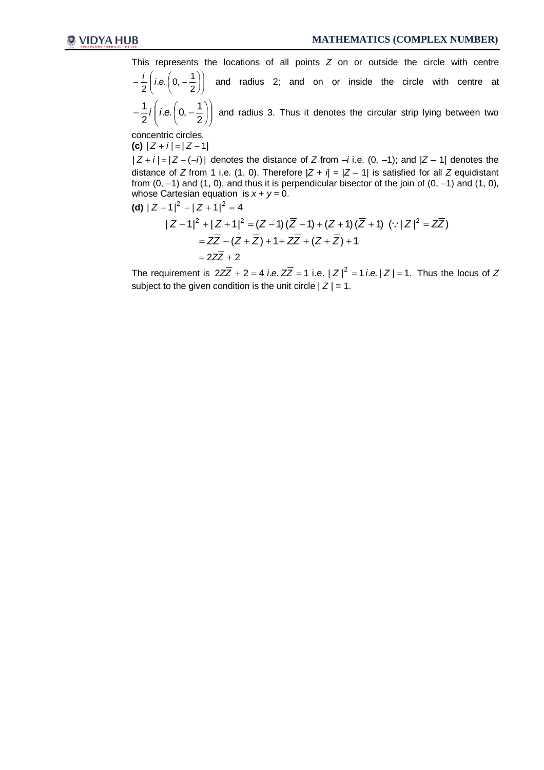This represents the locations of all points *Z* on or outside the circle with centre

J J  $\mathcal{L}$  $\overline{\phantom{a}}$  $\overline{\mathcal{L}}$  $\left(i.e.\right.\left(0,-\frac{1}{2}\right)$  $\bigg)$  $\left(0, -\frac{1}{2}\right)$  $\backslash$  $-\frac{i}{2}$   $\bigg($  *i.e.*  $\bigg($  0,  $-\frac{1}{2}$  $\frac{i}{2}$   $\bigg($  *i.e.*  $\bigg($  0,  $-\frac{1}{2}$ and radius 2; and on or inside the circle with centre at  $\overline{\phantom{a}}$  $\bigg)$  $\setminus$  $\overline{\phantom{a}}$  $\setminus$  $\left(i.e.\right.\left(0,-\frac{1}{2}\right)$  $\bigg)$  $\left(0, -\frac{1}{2}\right)$  $\setminus$  $-\frac{1}{2}i\int$  *i.e.*  $\left(0,-\right)$ 2  $\cdot$  e.  $\left(0, -\frac{1}{2}\right)$ 2  $\frac{1}{2}i\left(i.e.\left(0,-\frac{1}{2}\right)\right)$  and radius 3. Thus it denotes the circular strip lying between two

concentric circles.

**(c)**  $|Z + i| = |Z - 1|$ 

 $|Z+i|=|Z-(-i)|$  denotes the distance of Z from  $-i$  i.e.  $(0, -1)$ ; and  $|Z-1|$  denotes the distance of *Z* from 1 i.e. (1, 0). Therefore  $|Z + i| = |Z - 1|$  is satisfied for all *Z* equidistant from  $(0, -1)$  and  $(1, 0)$ , and thus it is perpendicular bisector of the join of  $(0, -1)$  and  $(1, 0)$ , whose Cartesian equation is  $x + y = 0$ .

(d) 
$$
|Z-1|^2 + |Z+1|^2 = 4
$$
  
\n $|Z-1|^2 + |Z+1|^2 = (Z-1)(\overline{Z}-1) + (Z+1)(\overline{Z}+1) \quad (\because |Z|^2 = \overline{Z})$   
\n $= Z\overline{Z} - (Z+\overline{Z}) + 1 + Z\overline{Z} + (Z+\overline{Z}) + 1$   
\n $= 2Z\overline{Z} + 2$ 

The requirement is 2 $Z\bar{Z}$  + 2 = 4 *i.e.*  $Z\bar{Z}$  = 1 i.e.  $|Z|^2$  = 1 *i.e.*  $|Z|$  = 1. Thus the locus of Z subject to the given condition is the unit circle  $|Z| = 1$ .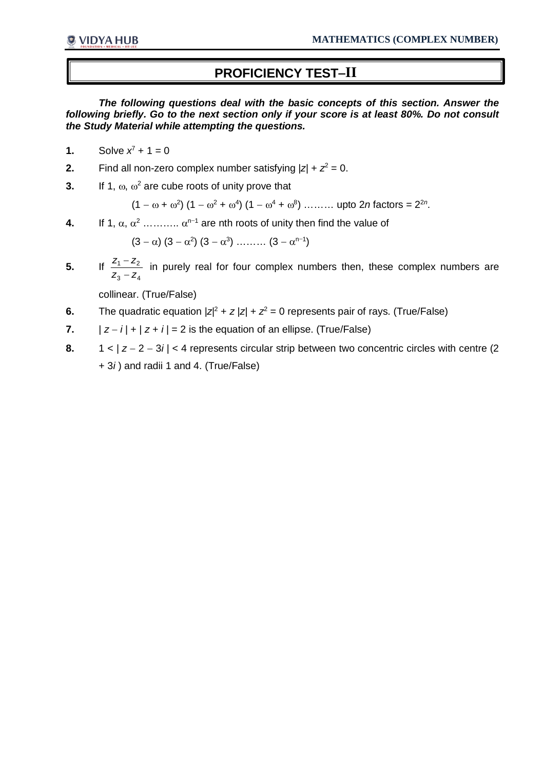# **PROFICIENCY TESTII**

*The following questions deal with the basic concepts of this section. Answer the following briefly. Go to the next section only if your score is at least 80%. Do not consult the Study Material while attempting the questions.* 

- **1.** Solve  $x^7 + 1 = 0$
- **2.** Find all non-zero complex number satisfying  $|z| + z^2 = 0$ .
- **3.** If 1,  $\omega$ ,  $\omega^2$  are cube roots of unity prove that

$$
(1 - \omega + \omega^2) (1 - \omega^2 + \omega^4) (1 - \omega^4 + \omega^8) \dots
$$
 upto 2*n* factors = 2<sup>2n</sup>.

**4.** If 1,  $\alpha$ ,  $\alpha^2$  ...........  $\alpha^{n-1}$  are nth roots of unity then find the value of

$$
(3-\alpha) (3-\alpha^2) (3-\alpha^3) \dots \dots (3-\alpha^{n-1})
$$

**5.** If  $_3$  –  $_{4}$  $\frac{1}{2}$  2  $Z_3 - Z$  $Z_1 - Z$  $\overline{a}$  $\frac{-z_2}{z}$  in purely real for four complex numbers then, these complex numbers are

collinear. (True/False)

- **6.** The quadratic equation  $|z|^2 + z |z| + z^2 = 0$  represents pair of rays. (True/False)
- **7.**  $|z-i|+|z+i|=2$  is the equation of an ellipse. (True/False)
- **8.** 1 <  $|z 2 3i|$  < 4 represents circular strip between two concentric circles with centre (2) + 3*i* ) and radii 1 and 4. (True/False)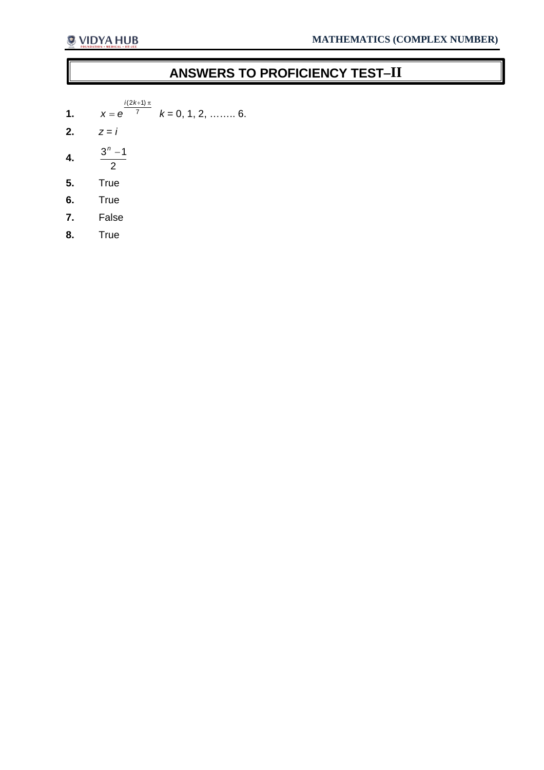# **ANSWERS TO PROFICIENCY TEST-II**

- **1.**  $x = e^7$  $(2k+1)$   $\pi$  $=$ *i k*  $x = e^{-7}$   $k = 0, 1, 2, \dots$ ......... 6.
- **2.**  $z = i$
- **4.** 2  $3^n - 1$
- **5.** True
- **6.** True
- **7.** False
- **8.** True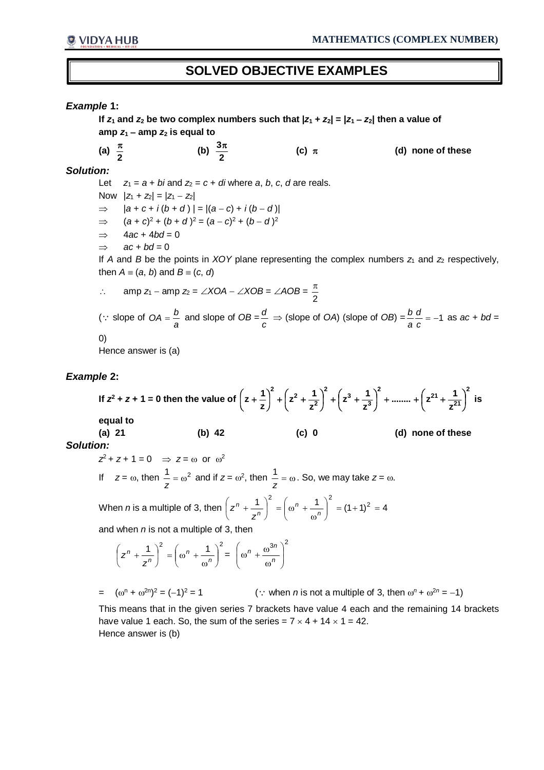# **SOLVED OBJECTIVE EXAMPLES**

### *Example* **1:**

If  $z_1$  and  $z_2$  be two complex numbers such that  $|z_1 + z_2| = |z_1 - z_2|$  then a value of amp  $z_1$  – amp  $z_2$  is equal to (a)  $\frac{\pi}{2}$ π (b)  $\frac{0.9}{2}$ **3 (c)**  $\pi$  **(d)** none of these *Solution:*  Let  $z_1 = a + bi$  and  $z_2 = c + di$  where *a*, *b*, *c*, *d* are reals. Now  $|z_1 + z_2| = |z_1 - z_2|$  $\Rightarrow$  |a + c + *i*(b + d) | = |(a - c) + *i*(b - d)|  $\Rightarrow$   $(a + c)^2 + (b + d)^2 = (a - c)^2 + (b - d)^2$  $\Rightarrow$  4*ac* + 4*bd* = 0  $\Rightarrow$  *ac* + *bd* = 0 If *A* and *B* be the points in *XOY* plane representing the complex numbers  $z_1$  and  $z_2$  respectively, then  $A = (a, b)$  and  $B = (c, d)$  $\therefore$  amp *z*<sub>1</sub> – amp *z*<sub>2</sub> =  $\angle$ *XOA* –  $\angle$ *XOB* =  $\angle$ *AOB* =  $\frac{\pi}{2}$ π  $\therefore$  slope of  $OA = \frac{B}{a}$  $OA = \frac{b}{a}$  and slope of  $OB = \frac{a}{c}$  $\frac{d}{c}$   $\Rightarrow$  (slope of *OA*) (slope of *OB*) =  $\frac{b}{a} \frac{d}{c}$  = -1 *d a*  $\frac{b}{c}$   $\frac{d}{c}$  = -1 as *ac* + *bd* = 0) Hence answer is (a)

## *Example* **2:**

If  $z^2 + z + 1 = 0$  then the value of **2 21**  $\int \frac{2}{2}$ **3**  $\int_{2}^{2}$ **2**  $\int_{2}^{2}$ **z**  $\frac{1}{2}$  **z**<sup>21</sup> +  $\frac{1}{2}$ **z**  $z^3 + \frac{1}{2}$ **z**  $\left(\frac{1}{z}\right)^2 + \left(z^2 + \frac{1}{z^2}\right)$  $\left[\mathbf{z}+\frac{1}{2}\right]^{2}+\left[\mathbf{z}^{2}+\frac{1}{2}\right]^{2}+\left[\mathbf{z}^{3}+\frac{1}{3}\right]^{2}+\dots+\left[\mathbf{z}^{21}+\frac{1}{21}\right]^{2}$ J  $\left( z^{21} + \frac{1}{21} \right)$ J  $\int_{0}^{2} + \dots + \int_{0}^{21} z^{21} +$ J  $\left(z^3+\frac{1}{3}\right)$ J  $\int$  +  $\int$  z<sup>3</sup> + J  $\left(z^2+\frac{1}{2}\right)$ J  $\int$  +  $\int$  z<sup>2</sup> + Į  $\left(z+\frac{1}{z}\right)$  $\overline{\phantom{0}}$  $\left(z+\frac{1}{z}\right)^{2}+\left(z^{2}+\frac{1}{z}\right)^{2}+\left(z^{3}+\frac{1}{z}\right)^{2}+\dots+\left(z^{21}+\frac{1}{z^{21}}\right)^{2}$  is **equal to (a) 21 (b) 42 (c) 0 (d) none of these**  *Solution:*   $z^2$  +  $z$  + 1 = 0  $\Rightarrow$   $z$  =  $\omega$  or  $\omega^2$ 

If 
$$
z = \omega
$$
, then  $\frac{1}{z} = \omega^2$  and if  $z = \omega^2$ , then  $\frac{1}{z} = \omega$ . So, we may take  $z = \omega$ .

When *n* is a multiple of 3, then  $\left(z^{n} + \frac{1}{n}\right)^{2} = \left(\omega^{n} + \frac{1}{n}\right)^{2} = (1+1)^{2} = 4$  $\vert$  =  $(1+1)^2$  = J  $\mathcal{L}_{\mathcal{L}}$  $\overline{\phantom{a}}$  $\overline{\phantom{0}}$ ſ  $\omega$  $\vert$  =  $\vert$   $\omega$ <sup>n</sup> + J  $\left(z^n+\frac{1}{\alpha}\right)$  $\backslash$  $\left(z^{n}+\frac{1}{z^{n}}\right)^{2}=\left(\omega^{n}+\frac{1}{z^{n}}\right)^{2}$ *n n n z z*

and when *n* is not a multiple of 3, then

$$
\left(z^n + \frac{1}{z^n}\right)^2 = \left(\omega^n + \frac{1}{\omega^n}\right)^2 = \left(\omega^n + \frac{\omega^{3n}}{\omega^n}\right)^2
$$

 $=$   $(\omega^n + \omega^{2n})$  $2^2 = (-1)^2 = 1$  (: when *n* is not a multiple of 3, then  $\omega^n + \omega^{2n} = -1$ )

This means that in the given series 7 brackets have value 4 each and the remaining 14 brackets have value 1 each. So, the sum of the series =  $7 \times 4 + 14 \times 1 = 42$ . Hence answer is (b)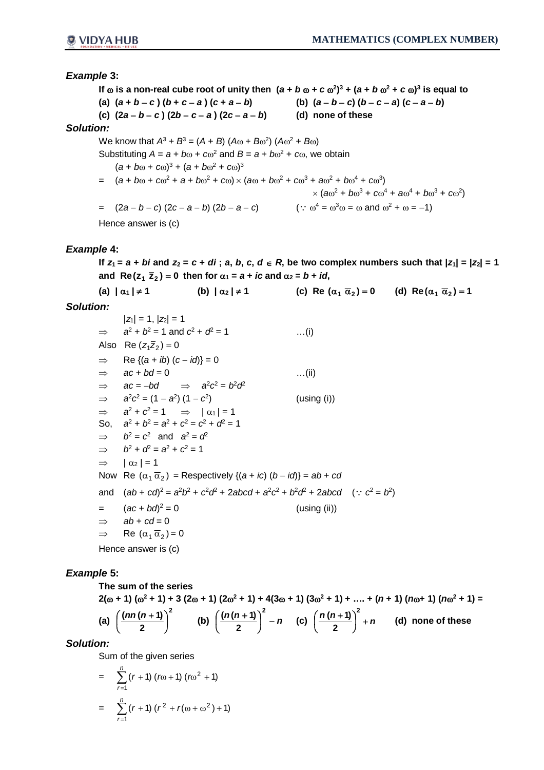#### *Example* **3:**

If  $\omega$  is a non-real cube root of unity then  $(a + b \omega + c \omega^2)^3 + (a + b \omega^2 + c \omega)^3$  is equal to (a)  $(a + b - c)(b + c - a)(c + a - b)$  (b)  $(a - b - c)(b - c - a)(c - a - b)$ **(c)**  $(2a - b - c) (2b - c - a) (2c - a - b)$  **(d)** none of these *Solution:*  We know that  $A^3 + B^3 = (A + B) (Aω + Bω^2) (Aω^2 + Bω)$ Substituting  $A = a + b\omega + c\omega^2$  and  $B = a + b\omega^2 + c\omega$ , we obtain  $(a + b\omega + c\omega)^3 + (a + b\omega^2 + c\omega)^3$  $=$   $(a + b\omega + c\omega^2 + a + b\omega^2 + c\omega) \times (a\omega + b\omega^2 + c\omega^3 + a\omega^2 + b\omega^4 + c\omega^3)$  $\times$  ( $a\omega^2 + b\omega^3 + c\omega^4 + a\omega^4 + b\omega^3 + c\omega^2$ )  $= (2a - b - c) (2c - a - b) (2b - a - c)$   $(\because \omega^4 = \omega^3 \omega = \omega \text{ and } \omega^2 + \omega = -1)$ 

Hence answer is (c)

#### *Example* **4:**

If  $z_1 = a + bi$  and  $z_2 = c + di$ ; a, b, c,  $d \in R$ , be two complex numbers such that  $|z_1| = |z_2| = 1$ and  $\text{Re}(z_1, \overline{z}_2) = 0$  then for  $\alpha_1 = a + ic$  and  $\alpha_2 = b + id$ ,

(a)  $|\alpha_1| \neq 1$  (b)  $|\alpha_2| \neq 1$  (c) Re  $(\alpha_1 \overline{\alpha}_2) = 0$  (d) Re  $(\alpha_1 \overline{\alpha}_2) = 1$ *Solution:*   $|z_1| = 1, |z_2| = 1$  $\Rightarrow$   $a^2 + b^2 = 1$  and  $c^2 + d$  $\dots$  (i) Also Re  $(z_1 \bar{z}_2) = 0$  $\Rightarrow$  Re {(a + *ib*) (c - *id*)} = 0  $\Rightarrow$  ac + *bd* = 0 …(ii)  $\Rightarrow$   $ac = -bd$   $\Rightarrow$   $a^2c^2 = b^2d^2$  $\Rightarrow$   $a^2c^2 = (1 - a^2)(1 - c^2)$  $(using (i))$  $\Rightarrow$   $a^2 + c^2 = 1$   $\Rightarrow$   $|\alpha_1| = 1$ So,  $a^2 + b^2 = a^2 + c^2 = c^2 + d^2 = 1$  *b*  $x^2 = c^2$  and  $a^2 = d^2$  $\Rightarrow$  *b*<sup>2</sup> + *d*<sup>2</sup> = *a*<sup>2</sup> + *c*<sup>2</sup> = 1

 $\Rightarrow$   $|\alpha_2| = 1$ Now Re  $(\alpha_1 \overline{\alpha}_2)$  = Respectively  $\{(a + ic) (b - id)\}$  =  $ab + cd$ and  $(ab + cd)^2 = a^2b^2 + c^2d^2 + 2abcd + a^2c^2 + b^2d^2 + 2abcd$   $(c:c^2 = b^2)$  $=$   $(a + b d)^2 = 0$  $($ using  $(ii)$ )  $\Rightarrow$   $ab + cd = 0$  $\Rightarrow$  Re  $(\alpha_1 \overline{\alpha}_2) = 0$ 

Hence answer is (c)

#### *Example* **5:**

**The sum of the series** 

 $2(\omega + 1)(\omega^2 + 1) + 3(2\omega + 1)(2\omega^2 + 1) + 4(3\omega + 1)(3\omega^2 + 1) + ... + (n + 1)(n\omega + 1)(n\omega^2 + 1) =$ **(a) 2 2**  $\left(\frac{nn(n+1)}{2}\right)$ Į  $\left(\frac{(n n (n+1))}{2}\right)$ J  $\left(\frac{(nn(n+1))}{2}\right)^2$  (b)  $\left(\frac{(n(n+1))}{2}\right)^2 - n$ Į  $\left(\frac{(n(n+1))}{2}\right)$  $\overline{\phantom{0}}$  $( (n(n+1))^{2})$ **2**  $\left(\frac{n(n+1)}{2}\right)^2 - n$  (c)  $\left(\frac{n(n+1)}{2}\right)^2 + n$ J  $\left(\frac{n(n+1)}{2}\right)$ J  $\left(n(n+1)\right)^2$ **2**  $\left(\frac{(n+1)}{2}\right)^2 + n$  (d) none of these

*Solution:* 

Sum of the given series

$$
= \sum_{r=1}^{n} (r+1) (r\omega + 1) (r\omega^{2} + 1)
$$
  

$$
= \sum_{r=1}^{n} (r+1) (r^{2} + r(\omega + \omega^{2}) + 1)
$$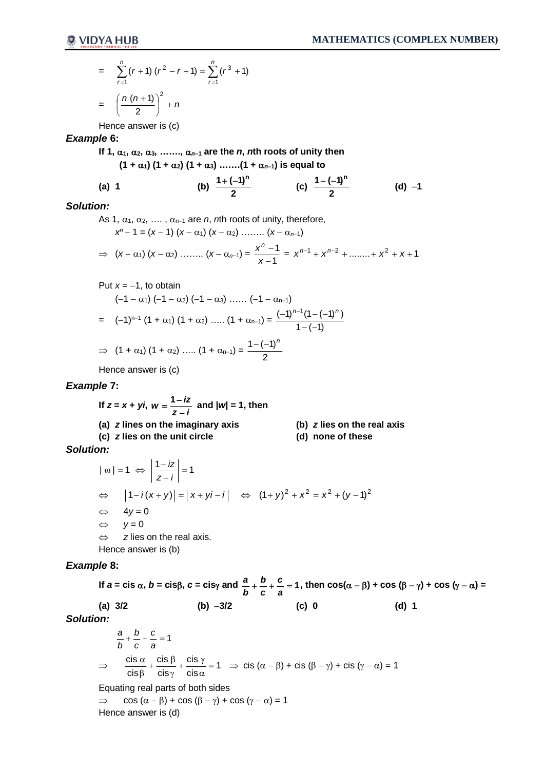$$
= \sum_{r=1}^{n} (r+1) (r^{2} - r + 1) = \sum_{r=1}^{n} (r^{3} + 1)
$$

$$
= \left(\frac{n (n+1)}{2}\right)^{2} + n
$$

Hence answer is (c)

### *Example* **6:**

If 1,  $\alpha_1$ ,  $\alpha_2$ ,  $\alpha_3$ , .......,  $\alpha_{n-1}$  are the *n*, *n*th roots of unity then  $(1 + \alpha_1) (1 + \alpha_2) (1 + \alpha_3) \dots (1 + \alpha_{n-1})$  is equal to

(a) 1 (b) 
$$
\frac{1+(-1)^n}{2}
$$
 (c)  $\frac{1-(-1)^n}{2}$  (d) -1

# *Solution:*

As 1,  $\alpha_1, \alpha_2, \ldots, \alpha_{n-1}$  are *n*, *n*th roots of unity, therefore,

$$
x^{n}-1 = (x - 1) (x - \alpha_{1}) (x - \alpha_{2}) \dots (x - \alpha_{n-1})
$$
  
\n
$$
\Rightarrow (x - \alpha_{1}) (x - \alpha_{2}) \dots (x - \alpha_{n-1}) = \frac{x^{n} - 1}{x - 1} = x^{n-1} + x^{n-2} + \dots + x^{2} + x + 1
$$

Put 
$$
x = -1
$$
, to obtain

$$
(-1 - \alpha_1) (-1 - \alpha_2) (-1 - \alpha_3) \dots (-1 - \alpha_{n-1})
$$
\n
$$
= (-1)^{n-1} (1 + \alpha_1) (1 + \alpha_2) \dots (1 + \alpha_{n-1}) = \frac{(-1)^{n-1} (1 - (-1)^n)}{1 - (-1)}
$$
\n
$$
\Rightarrow (1 + \alpha_1) (1 + \alpha_2) \dots (1 + \alpha_{n-1}) = \frac{1 - (-1)^n}{2}
$$

Hence answer is (c)

### *Example* **7:**

If 
$$
z = x + yi
$$
,  $w = \frac{1 - iz}{z - i}$  and  $|w| = 1$ , then  
\n(a) z lines on the imaginary axis\n  
\n(c) z lies on the unit circle\n  
\n(

- **(a)** *z* **lines on the imaginary axis (b)** *z* **lies on the real axis**
- **(d)** none of these

*Solution:* 

$$
|\omega| = 1 \Leftrightarrow \left| \frac{1 - iz}{z - i} \right| = 1
$$
  
\n
$$
\Leftrightarrow |1 - i(x + y)| = |x + yi - i| \Leftrightarrow (1 + y)^2 + x^2 = x^2 + (y - 1)^2
$$
  
\n
$$
\Leftrightarrow 4y = 0
$$
  
\n
$$
\Leftrightarrow z \text{ lies on the real axis.}
$$
  
\nHence answer is (b)

#### *Example* **8:**

If  $a = \text{cis} \alpha$ ,  $b = \text{cis} \beta$ ,  $c = \text{cis} \gamma$  and  $\frac{a}{b} + \frac{b}{c} + \frac{b}{a} = 1$ *c c b b*  $\frac{a}{b} + \frac{b}{c} + \frac{c}{c} = 1$ , then  $\cos(\alpha - \beta) + \cos(\beta - \gamma) + \cos(\gamma - \alpha) = 0$ **(a) 3/2 (b) 3/2 (c) 0 (d) 1** *Solution:* 

$$
\frac{a}{b} + \frac{b}{c} + \frac{c}{a} = 1
$$
\n
$$
\Rightarrow \quad \frac{\text{cis } \alpha}{\text{cis } \beta} + \frac{\text{cis } \beta}{\text{cis } \gamma} + \frac{\text{cis } \gamma}{\text{cis } \alpha} = 1 \Rightarrow \text{cis } (\alpha - \beta) + \text{cis } (\beta - \gamma) + \text{cis } (\gamma - \alpha) = 1
$$

Equating real parts of both sides

 $\Rightarrow$  cos  $(\alpha - \beta)$  + cos  $(\beta - \gamma)$  + cos  $(\gamma - \alpha) = 1$ Hence answer is (d)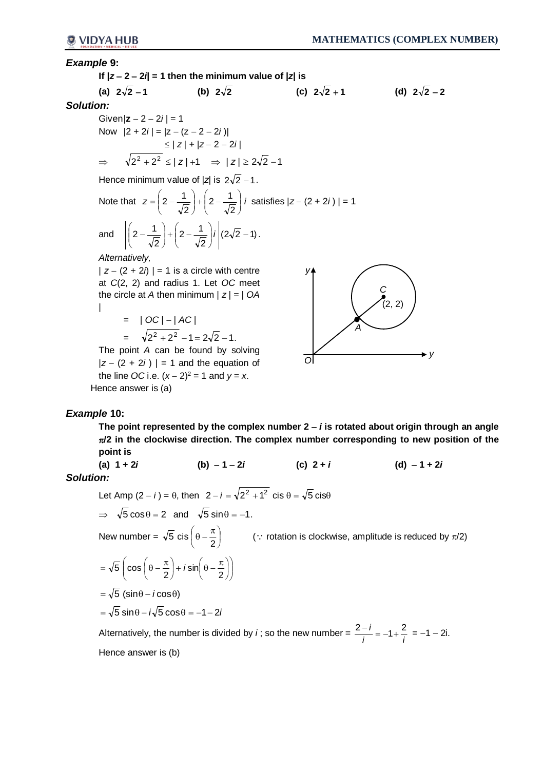#### *Example* **9:** If  $|z - 2 - 2i| = 1$  then the minimum value of  $|z|$  is **(a)**  $2\sqrt{2} - 1$  **(b)**  $2\sqrt{2}$  **(c)**  $2\sqrt{2} + 1$  **(d)**  $2\sqrt{2} - 2$ *Solution:*   $Given|z - 2 - 2i| = 1$ Now  $|2 + 2i| = |z - (z - 2 - 2i)|$  $\le |z| + |z - 2 - 2i|$  $\Rightarrow \sqrt{2^2+2^2} \le |z|+1 \Rightarrow |z| \ge 2\sqrt{2}-1$ Hence minimum value of  $|z|$  is  $2\sqrt{2} - 1$ . Note that  $z = \left(2 - \frac{1}{\sqrt{2}}\right) + \left(2 - \frac{1}{\sqrt{2}}\right)$ J  $\setminus$  $\overline{\phantom{a}}$  $\backslash$  $+$   $\left( 2 - \right)$ J  $\mathcal{L}$  $\overline{\phantom{a}}$  $\backslash$  $=\left( 2-\right)$ 2  $2 - \frac{1}{2}$ 2  $\left(2-\frac{1}{\sqrt{2}}\right)+\left(2-\frac{1}{\sqrt{2}}\right)i$  satisfies  $|z-(2+2i)|=1$ and  $|2 - \frac{1}{2} + |2 - \frac{1}{2} |i| (2\sqrt{2} - 1)$ 2  $2 - \frac{1}{2}$ 2  $2-\frac{1}{\sqrt{2}}$  +  $\left(2-\frac{1}{\sqrt{2}}\right)i\left|(2\sqrt{2}-$ J  $\setminus$  $\overline{\phantom{a}}$  $\overline{\phantom{0}}$  $+$   $\left( 2 - \right)$ J  $\mathcal{L}$  $\overline{\phantom{a}}$  $\overline{\phantom{0}}$  $\left(2-\frac{1}{\sqrt{2}}\right)+\left(2-\frac{1}{\sqrt{2}}\right)i\left|(2\sqrt{2}-1)\right.$ *Alternatively,*  $| z - (2 + 2i) | = 1$  is a circle with centre at *C*(2, 2) and radius 1. Let *OC* meet the circle at *A* then minimum | *z* | = | *OA* |  $= |OC| - |AC|$  $= \sqrt{2^2 + 2^2} - 1 = 2\sqrt{2} - 1$ . The point *A* can be found by solving *y O A*

 $|z - (2 + 2i)| = 1$  and the equation of the line *OC* i.e.  $(x - 2)^2 = 1$  and  $y = x$ . Hence answer is (a)



# *Example* **10:**

The point represented by the complex number 2 – *i* is rotated about origin through an angle  $\pi/2$  in the clockwise direction. The complex number corresponding to new position of the **point is**

 $(a) 1 + 2i$  (b)  $-1 - 2i$  (c)  $2 + i$  (d)  $-1 + 2i$ *Solution:* 

Let Amp  $(2 - i) = \theta$ , then  $2 - i = \sqrt{2^2 + 1^2}$  cis  $\theta = \sqrt{5}$  cis $\theta$  $\Rightarrow \sqrt{5} \cos \theta = 2$  and  $\sqrt{5} \sin \theta = -1$ . New number =  $\sqrt{5}$  cis  $\left|\theta - \frac{\pi}{2}\right|$ J  $\left(\theta-\frac{\pi}{2}\right)$  $\setminus$  $\overline{5}$  cis $\left(\theta - \frac{\pi}{2}\right)$  ( $\because$  rotation is clockwise, amplitude is reduced by  $\pi/2$ )  $\bigg\}$ J  $\mathcal{L}$  $\overline{\phantom{a}}$  $\overline{\phantom{0}}$  $\left(\cos\left(\theta-\frac{\pi}{2}\right)+i\sin\left(\theta-\frac{\pi}{2}\right)\right)$  $\bigg)$  $\left(\theta-\frac{\pi}{2}\right)$  $\backslash$  $\int + i \sin \left( \theta - \frac{\pi}{2} \right)$ J  $\left(\theta-\frac{\pi}{2}\right)$  $\setminus$  $=\sqrt{5}\left(\cos\left(\theta-\frac{\pi}{2}\right)+i\sin\right(\theta-\frac{\pi}{2})\right)$  $=\sqrt{5}$  (sin $\theta - i\cos\theta$ )  $=$   $\sqrt{5}$  sin $\theta$  –  $i\sqrt{5}$  cos $\theta$  = -1 – 2*i* 

Alternatively, the number is divided by *i*; so the new number =  $\frac{2}{i}i = -1 + \frac{2}{i}$  $\frac{2-i}{i} = -1 + \frac{2}{i} = -1 - 2i$ . Hence answer is (b)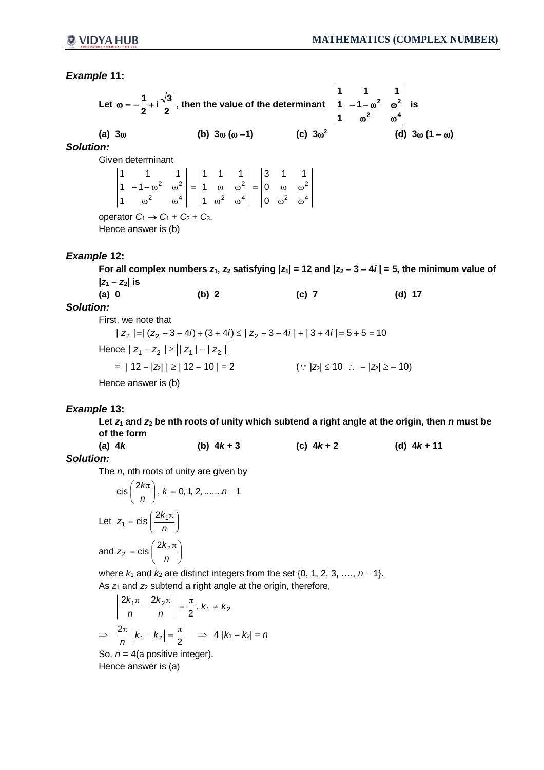# *Example* **11:**

Let  $\omega = -\frac{1}{2} + i\frac{\sqrt{2}}{2}$  $\frac{1}{2}$  + i  $\frac{\sqrt{3}}{2}$  $\omega = -\frac{1}{2} + i\frac{\sqrt{3}}{2}$ , then the value of the determinant **2 4 2 2 1 1 1 1 1 1**  $\omega^2$   $\omega$  $-1-\omega^2$   $\omega^2$  is **(a)**  $3\omega$  **(b)**  $3\omega (\omega - 1)$ **(c)**  $3\omega^2$ **(d)**  $3\omega(1-\omega)$ *Solution:*  Given determinant 2  $\sim$  4 2 2  $\sim$  4 2 2  $\sim$  4 2  $\sim$  2 0 0 3 1 1 1 1 1 1 1 1  $1 - 1$ 1 1 1  $\omega^2$   $\omega$  $= |0 \quad \omega \quad \omega$  $\omega^2$   $\omega$  $=$  |1  $\omega$   $\omega$  $\omega^2$   $\omega$  $-1-\omega^2$   $\omega$ operator  $C_1 \rightarrow C_1 + C_2 + C_3$ . Hence answer is (b) *Example* **12:** For all complex numbers  $z_1$ ,  $z_2$  satisfying  $|z_1| = 12$  and  $|z_2 - 3 - 4i| = 5$ , the minimum value of  $|z_1 - z_2|$  is **(a) 0 (b) 2 (c) 7 (d) 17** *Solution:*  First, we note that  $| z_2 | = | (z_2 - 3 - 4i) + (3 + 4i) \le | z_2 - 3 - 4i | + | 3 + 4i | = 5 + 5 = 10$  $Hence | z_1 - z_2 | \ge | | z_1 | - | z_2 |$  $= | 12 - |z_2| | \ge | 12 - 10 | = 2$  (:  $|z_2| \le 10$   $\therefore -|z_2| \ge -10$ ) Hence answer is (b)

#### *Example* **13:**

Let  $z_1$  and  $z_2$  be nth roots of unity which subtend a right angle at the origin, then  $n$  must be **of the form**

**(a) 4***k* **(b) 4***k* **+ 3 (c) 4***k* **+ 2 (d) 4***k* **+ 11** *Solution:* 

The *n*, nth roots of unity are given by

$$
\text{cis}\left(\frac{2k\pi}{n}\right), k = 0, 1, 2, \dots, n-1
$$
\n
$$
\text{Let } z_1 = \text{cis}\left(\frac{2k_1\pi}{n}\right)
$$
\n
$$
\text{and } z_2 = \text{cis}\left(\frac{2k_2\pi}{n}\right)
$$

where  $k_1$  and  $k_2$  are distinct integers from the set  $\{0, 1, 2, 3, \ldots, n-1\}$ . As  $z_1$  and  $z_2$  subtend a right angle at the origin, therefore,

$$
\left|\frac{2k_1\pi}{n} - \frac{2k_2\pi}{n}\right| = \frac{\pi}{2}, k_1 \neq k_2
$$
  
\n
$$
\Rightarrow \frac{2\pi}{n} |k_1 - k_2| = \frac{\pi}{2} \Rightarrow 4 |k_1 - k_2| = n
$$
  
\nSo,  $n = 4$ (a positive integer).

Hence answer is (a)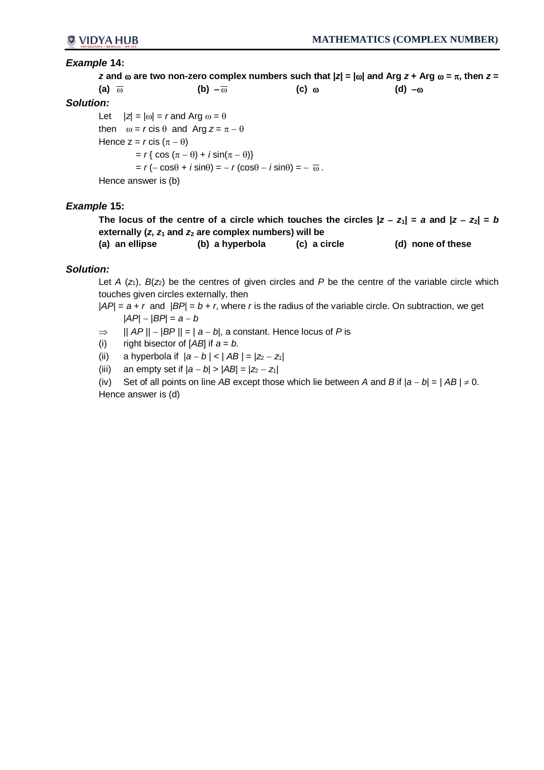## *Example* **14:**

*z* and  $\omega$  are two non-zero complex numbers such that  $|z| = |\omega|$  and Arg  $z + \text{Arg } \omega = \pi$ , then  $z =$ (a)  $\overline{\omega}$  (b)  $-\overline{\omega}$  (c)  $\omega$  (d)  $-\omega$ *Solution:*  Let  $|z| = |\omega| = r$  and Arg  $\omega = \theta$ then  $\omega = r \text{ cis } \theta$  and Arg  $z = \pi - \theta$ Hence  $z = r \text{ cis } (\pi - \theta)$ 

> $= r \{ \cos (\pi - \theta) + i \sin(\pi - \theta) \}$  $= r(-\cos\theta + i\sin\theta) = -r(\cos\theta - i\sin\theta) = -\overline{\omega}$ .

Hence answer is (b)

# *Example* **15:**

The locus of the centre of a circle which touches the circles  $|z - z_1| = a$  and  $|z - z_2| = b$ externally  $(z, z_1)$  and  $z_2$  are complex numbers) will be **(a) an ellipse (b) a hyperbola (c) a circle (d) none of these** 

# *Solution:*

Let  $A$  ( $z_1$ ),  $B(z_2)$  be the centres of given circles and  $P$  be the centre of the variable circle which touches given circles externally, then

 $|AP| = a + r$  and  $|BP| = b + r$ , where *r* is the radius of the variable circle. On subtraction, we get  $|AP| - |BP| = a - b$ 

- $\Rightarrow$  || *AP* || |*BP* || = | *a b*|, a constant. Hence locus of *P* is
- (i) right bisector of  $[AB]$  if  $a = b$ .
- (ii) a hyperbola if  $|a b| < |AB| = |z_2 z_1|$
- (iii) an empty set if  $|a b| > |AB| = |z_2 z_1|$

(iv) Set of all points on line AB except those which lie between A and B if  $|a - b| = |AB| \neq 0$ . Hence answer is (d)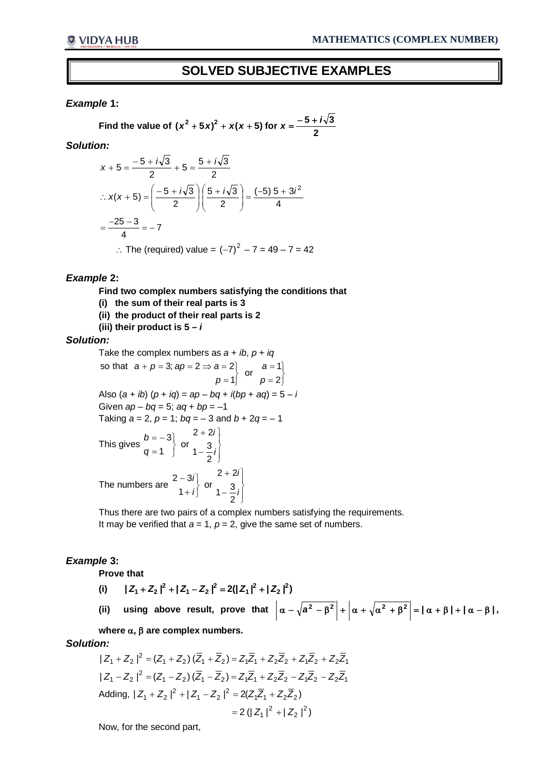# **SOLVED SUBJECTIVE EXAMPLES**

### *Example* **1:**

Find the value of 
$$
(x^2 + 5x)^2 + x(x+5)
$$
 for  $x = \frac{-5 + i\sqrt{3}}{2}$ 

*Solution:*

$$
x + 5 = \frac{-5 + i\sqrt{3}}{2} + 5 = \frac{5 + i\sqrt{3}}{2}
$$
  
\n
$$
\therefore x(x + 5) = \left(\frac{-5 + i\sqrt{3}}{2}\right) \left(\frac{5 + i\sqrt{3}}{2}\right) = \frac{(-5) + 3i^2}{4}
$$
  
\n
$$
= \frac{-25 - 3}{4} = -7
$$

∴ The (required) value =  $(-7)^{2}$  – 7 = 49 – 7 = 42

#### *Example* **2:**

**Find two complex numbers satisfying the conditions that** 

**(i) the sum of their real parts is 3**

- **(ii) the product of their real parts is 2**
- **(iii) their product is 5 –** *i*

#### *Solution:*

Take the complex numbers as  $a + ib$ ,  $p + iq$ J  $\left\{ \right\}$  $\mathbf{I}$  $\equiv$  $=$ J  $\left\{ \right\}$  $\mathbf{I}$  $\equiv$  $+$   $p = 3$ ; ap = 2  $\Rightarrow$  a = 2 2 or  $\begin{cases} a=1 \\ 1 \end{cases}$  or  $\begin{cases} a=1 \\ p=2 \end{cases}$ so that  $a + p = 3$ ;  $ap = 2 \Rightarrow a = 2$ *p a p*  $a + p = 3$ ;  $ap = 2 \Rightarrow a$ Also  $(a + ib)$   $(p + iq) = ap - bq + i(bp + aq) = 5 - i$ Given *ap* – *bq* = 5; *aq* + *bp* = –1 Taking  $a = 2$ ,  $p = 1$ ;  $bq = -3$  and  $b + 2q = -1$ This gives J  $\left\{ \right\}$  $\mathbf{I}$  $=$  $=$   $-$ 1 3 *q*  $b = -3$  or  $\int$  $\left\{ \right.$  $\mathbf{I}$  $\overline{a}$  $^{+}$ *i i* 2  $1-\frac{3}{5}$  $2 + 2$ The numbers are J  $\left\{ \right\}$  $\left| \right|$  $^{+}$  $\overline{a}$ *i i* 1  $\begin{bmatrix} 2-3i \\ 1 \end{bmatrix}$  or  $\int$  $\left\{ \right.$  $\mathbf{I}$ - $^{+}$ *i i* 2  $1-\frac{3}{5}$  $2 + 2$ 

Thus there are two pairs of a complex numbers satisfying the requirements. It may be verified that  $a = 1$ ,  $p = 2$ , give the same set of numbers.

#### *Example* **3:**

**Prove that**

(i) 
$$
|Z_1 + Z_2|^2 + |Z_1 - Z_2|^2 = 2(|Z_1|^2 + |Z_2|^2)
$$
  
\n(ii) using above result, prove that  $|\alpha - \sqrt{a^2 - \beta^2}| + |\alpha + \sqrt{\alpha^2 + \beta^2}| = |\alpha + \beta| + |\alpha - \beta|$ ,  
\nwhere  $\alpha$ ,  $\beta$  are complex numbers

**where , are complex numbers.**

### *Solution:*

$$
|Z_1 + Z_2|^2 = (Z_1 + Z_2)(\overline{Z}_1 + \overline{Z}_2) = Z_1\overline{Z}_1 + Z_2\overline{Z}_2 + Z_1\overline{Z}_2 + Z_2\overline{Z}_1
$$
  
\n
$$
|Z_1 - Z_2|^2 = (Z_1 - Z_2)(\overline{Z}_1 - \overline{Z}_2) = Z_1\overline{Z}_1 + Z_2\overline{Z}_2 - Z_1\overline{Z}_2 - Z_2\overline{Z}_1
$$
  
\nAdding, 
$$
|Z_1 + Z_2|^2 + |Z_1 - Z_2|^2 = 2(Z_1\overline{Z}_1 + Z_2\overline{Z}_2)
$$
  
\n
$$
= 2(|Z_1|^2 + |Z_2|^2)
$$

Now, for the second part,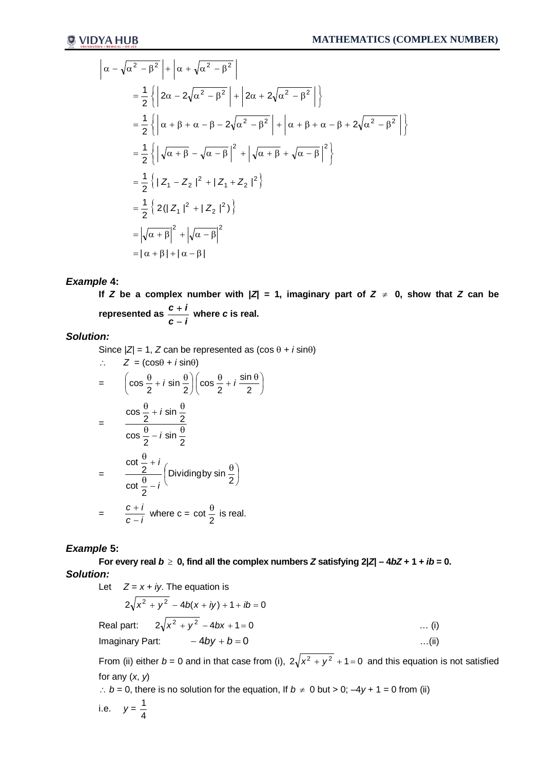$$
\begin{aligned}\n\left|\alpha - \sqrt{\alpha^2 - \beta^2}\right| &+ \left|\alpha + \sqrt{\alpha^2 - \beta^2}\right| \\
&= \frac{1}{2} \left\{ \left|2\alpha - 2\sqrt{\alpha^2 - \beta^2}\right| + \left|2\alpha + 2\sqrt{\alpha^2 - \beta^2}\right| \right\} \\
&= \frac{1}{2} \left\{ \left|\alpha + \beta + \alpha - \beta - 2\sqrt{\alpha^2 - \beta^2}\right| + \left|\alpha + \beta + \alpha - \beta + 2\sqrt{\alpha^2 - \beta^2}\right| \right\} \\
&= \frac{1}{2} \left\{ \left|\sqrt{\alpha + \beta} - \sqrt{\alpha - \beta}\right|^2 + \left|\sqrt{\alpha + \beta} + \sqrt{\alpha - \beta}\right|^2 \right\} \\
&= \frac{1}{2} \left\{ |Z_1 - Z_2|^2 + |Z_1 + Z_2|^2 \right\} \\
&= \frac{1}{2} \left\{ 2(|Z_1|^2 + |Z_2|^2) \right\} \\
&= \left|\sqrt{\alpha + \beta}\right|^2 + \left|\sqrt{\alpha - \beta}\right|^2 \\
&= |\alpha + \beta| + |\alpha - \beta|\n\end{aligned}
$$

#### *Example* **4:**

If *Z* be a complex number with  $|Z| = 1$ , imaginary part of  $Z \neq 0$ , show that *Z* can be represented as  $\frac{1}{c}$ *c i* - $\frac{+i}{i}$  where *c* is real.

### *Solution:*

Since  $|Z| = 1$ ,  $Z$  can be represented as  $(\cos \theta + i \sin \theta)$  $\therefore$   $Z = (\cos\theta + i\sin\theta)$  $=$   $\left| \cos \frac{\pi}{6} + i \sin \frac{\pi}{6} \right| |\cos \frac{\pi}{6} + i \frac{\sin \pi}{6} |$  $\bigg)$  $\left(\cos\frac{\theta}{2}+i\frac{\sin\theta}{2}\right)$  $\setminus$  $\left| \int \cos \frac{\theta}{2} + i \frac{\sin \theta}{2} \right|$ J  $\left(\cos\frac{\theta}{2}+i\sin\frac{\theta}{2}\right)$  $\backslash$  $\left(\cos\frac{\theta}{2}+i\sin\frac{\theta}{2}\right)$ 2 sin  $\cos\frac{\theta}{2}+i\sin\frac{\theta}{2}\right]\left(\cos\frac{\theta}{2}+i\right)$ =  $\cos\frac{\theta}{2} - i\sin\frac{\theta}{2}$  $\frac{6}{2} + i \sin \frac{6}{2}$  $\frac{\theta}{2}$  – *i* sin  $\frac{\theta}{2}$  $\frac{\theta}{2}$  + *i* sin  $\frac{\theta}{2}$ *i i*  $=$   $\frac{2}{2}$  Dividingby sin  $\frac{3}{2}$ J  $\left($  Dividingby sin  $\frac{\theta}{2}$  $\setminus$  $\int$  Dividing by ain  $\theta$  $\frac{\theta}{2}$  –  $\frac{\theta}{2}$  + Dividingby sin  $\frac{8}{2}$  $\cot \frac{\theta}{2}$  $\frac{cot \frac{\theta}{2}}{2}$ *i i*  $=$   $\frac{c+i}{c-i}$ *c i*  $\overline{a}$  $\frac{+i}{-i}$  where c = cot  $\frac{\theta}{2}$  is real.

## *Example* **5:**

For every real  $b \ge 0$ , find all the complex numbers  $\overline{Z}$  satisfying  $2|\overline{Z}| - 4b\overline{Z} + 1 + ib = 0$ . *Solution:*

Let 
$$
Z = x + iy
$$
. The equation is  
\n $2\sqrt{x^2 + y^2} - 4b(x + iy) + 1 + ib = 0$   
\nReal part:  $2\sqrt{x^2 + y^2} - 4bx + 1 = 0$  ... (i)  
\nImaginary Part:  $-4by + b = 0$  ... (ii)

From (ii) either  $b = 0$  and in that case from (i),  $2\sqrt{x^2 + y^2 + 1} = 0$  and this equation is not satisfied for any (*x*, *y*)

 $\therefore$  *b* = 0, there is no solution for the equation, If *b*  $\neq$  0 but > 0; -4*y* + 1 = 0 from (ii)

i.e. 
$$
y = \frac{1}{4}
$$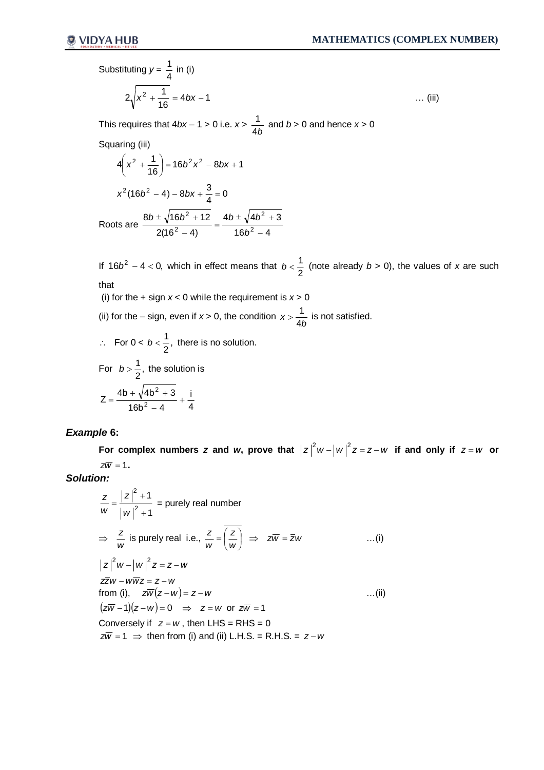Substituting 
$$
y = \frac{1}{4}
$$
 in (i)  

$$
2\sqrt{x^2 + \frac{1}{16}} = 4bx - 1
$$
 ... (iii)

This requires that  $4bx - 1 > 0$  i.e.  $x > \frac{1}{4b}$  $\frac{1}{\sqrt{1}}$  and *b* > 0 and hence *x* > 0

Squaring (iii)

$$
4\left(x^2 + \frac{1}{16}\right) = 16b^2x^2 - 8bx + 1
$$
  

$$
x^2(16b^2 - 4) - 8bx + \frac{3}{4} = 0
$$
  
Roots are 
$$
\frac{8b \pm \sqrt{16b^2 + 12}}{2(16^2 - 4)} = \frac{4b \pm \sqrt{4b^2 + 3}}{16b^2 - 4}
$$

If  $16b^2 - 4 < 0$ , which in effect means that  $b < \frac{1}{2}$  $b < \frac{1}{2}$  (note already  $b > 0$ ), the values of *x* are such that (i) for the  $+$  sign  $x < 0$  while the requirement is  $x > 0$ 

(ii) for the – sign, even if  $x > 0$ , the condition  $x > \frac{1}{4b}$  $>$  $\frac{1}{4}$  is not satisfied.

.. For 
$$
0 < b < \frac{1}{2}
$$
, there is no solution.  
For  $b > \frac{1}{2}$ , the solution is  

$$
Z = \frac{4b + \sqrt{4b^2 + 3}}{16b^2 - 4} + \frac{1}{4}
$$

#### *Example* **6:**

For complex numbers *z* and *w*, prove that  $|z|^2w-|w|^2z=z-w$  if and only if  $z=w$  or  $z\overline{w} = 1$ .

# *Solution:*

$$
\frac{z}{w} = \frac{|z|^2 + 1}{|w|^2 + 1} = \text{purely real number}
$$
\n
$$
\Rightarrow \frac{z}{w} \text{ is purely real i.e., } \frac{z}{w} = \frac{z}{w} \Rightarrow z\overline{w} = \overline{z}w \qquad ...(i)
$$
\n
$$
|z|^2 w - |w|^2 z = z - w
$$
\n
$$
z\overline{z}w - w\overline{w}z = z - w
$$
\nfrom (i),  $z\overline{w}(z - w) = z - w$  ...(ii)\n
$$
(z\overline{w} - 1)(z - w) = 0 \Rightarrow z = w \text{ or } z\overline{w} = 1
$$
\nConversely if  $z = w$ , then LHS = RHS = 0  
\n $z\overline{w} = 1 \Rightarrow$  then from (i) and (ii) L.H.S. = R.H.S. = z - w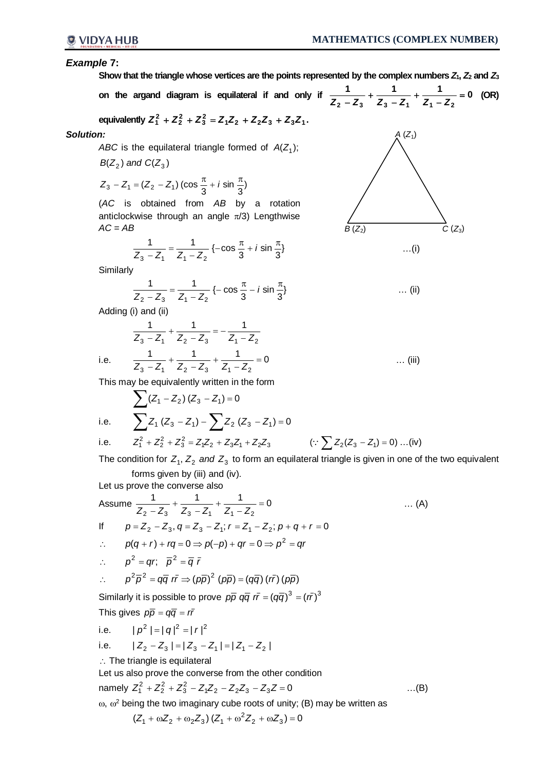#### *Example* **7:**

Show that the triangle whose vertices are the points represented by the complex numbers  $Z_1$ ,  $Z_2$  and  $Z_3$ 

on the argand diagram is equilateral if and only if  $\frac{1}{\frac{1}{\frac{1}{1-\frac{1}{1-\frac{1}{1-\frac{1}{1-\frac{1}{1-\frac{1}{1-\frac{1}{1-\frac{1}{1-\frac{1}{1-\frac{1}{1-\frac{1}{1-\frac{1}{1-\frac{1}{1-\frac{1}{1-\frac{1}{1-\frac{1}{1-\frac{1}{1-\frac{1}{1-\frac{1}{1-\frac{1}{1-\frac{1}{1-\frac{1}{1-\frac{1}{1-\frac{1}{1-\frac{1}{1-\frac{1}{1-\frac$ **2**  $-$  **4**  $-$  **4**  $-$  **4**  $-$  **4**  $-$  **4**  $-$  **4**  $-$  **4**  $-$  **4**  $-$  **4**  $-$  **4**  $-$  **4**  $-$  **4**  $-$  **4**  $-$  **4**  $-$  **4**  $-$  **4**  $-$  **4**  $-$  **4**  $-$  **4**  $-$  **4**  $-$  **4**  $-$  **4**  $-$  **4**  $-$  **4**  $-$  **4**  $-$  **4**  $-$  **4** = - $\ddot{\phantom{1}}$ - $\ddot{}$  $\overline{Z_2 - Z_3} + \overline{Z_3 - Z_1} + \overline{Z_1 - Z_2} = 0$  (OR)

**equivalently**  $Z_1^2 + Z_2^2 + Z_3^2 = Z_1Z_2 + Z_2Z_3 + Z_3Z_1$ .

#### *Solution:*

*ABC* is the equilateral triangle formed of  $A(Z_1)$ ;  $B(Z_2)$  and  $C(Z_3)$ 

$$
Z_3 - Z_1 = (Z_2 - Z_1) (\cos \frac{\pi}{3} + i \sin \frac{\pi}{3})
$$

(*AC* is obtained from *AB* by a rotation anticlockwise through an angle  $\pi/3$ ) Lengthwise *AC* = *AB*

$$
\frac{1}{Z_3 - Z_1} = \frac{1}{Z_1 - Z_2} \left\{ -\cos\frac{\pi}{3} + i\sin\frac{\pi}{3} \right\}
$$

**Similarly** 

$$
\frac{1}{Z_2 - Z_3} = \frac{1}{Z_1 - Z_2} \left\{ -\cos\frac{\pi}{3} - i\sin\frac{\pi}{3} \right\} \qquad \qquad \dots \text{ (ii)}
$$

Adding (i) and (ii)

i.e. 
$$
\frac{1}{Z_3 - Z_1} + \frac{1}{Z_2 - Z_3} = -\frac{1}{Z_1 - Z_2}
$$
  
\ni.e. 
$$
\frac{1}{Z_3 - Z_1} + \frac{1}{Z_2 - Z_3} + \frac{1}{Z_1 - Z_2} = 0
$$
 ... (iii)

This may be equivalently written in the form

$$
\sum (Z_1 - Z_2) (Z_3 - Z_1) = 0
$$
  
\ni.e. 
$$
\sum Z_1 (Z_3 - Z_1) - \sum Z_2 (Z_3 - Z_1) = 0
$$
  
\ni.e. 
$$
Z_1^2 + Z_2^2 + Z_3^2 = Z_1 Z_2 + Z_3 Z_1 + Z_2 Z_3 \qquad (\because \sum Z_2 (Z_3 - Z_1) = 0) \dots (iv)
$$

The condition for  $Z_1$ ,  $Z_2$  *and*  $Z_3$  to form an equilateral triangle is given in one of the two equivalent forms given by (iii) and (iv).

Let us prove the converse also

Assume 
$$
\frac{1}{Z_2 - Z_3} + \frac{1}{Z_3 - Z_1} + \frac{1}{Z_1 - Z_2} = 0
$$
 ... (A)  
\nIf  $p = Z_2 - Z_3$ ,  $q = Z_3 - Z_1$ ;  $r = Z_1 - Z_2$ ;  $p + q + r = 0$   
\n $\therefore p(q + r) + rq = 0 \Rightarrow p(-p) + qr = 0 \Rightarrow p^2 = qr$   
\n $\therefore p^2 = qr$ ;  $\overline{p}^2 = \overline{q} \ \overline{r}$   
\n $\therefore p^2 \overline{p}^2 = q\overline{q} \ \overline{r} \Rightarrow (p\overline{p})^2 (p\overline{p}) = (q\overline{q}) (r\overline{r}) (p\overline{p})$   
\nSimilarly it is possible to prove  $p\overline{p} q\overline{q} \ \overline{r} = (q\overline{q})^3 = (r\overline{r})^3$   
\nThis gives  $p\overline{p} = q\overline{q} = r\overline{r}$   
\ni.e.  $|p^2| = |q|^2 = |r|^2$   
\ni.e.  $|Z_2 - Z_3| = |Z_3 - Z_1| = |Z_1 - Z_2|$   
\n $\therefore$  The triangle is equilateral  
\nLet us also prove the converse from the other condition  
\nnamely  $Z_1^2 + Z_2^2 + Z_3^2 - Z_1Z_2 - Z_2Z_3 - Z_3Z = 0$  ... (B)

 $\omega$ ,  $\omega^2$  being the two imaginary cube roots of unity; (B) may be written as

$$
(Z_1 + \omega Z_2 + \omega_2 Z_3) (Z_1 + \omega^2 Z_2 + \omega Z_3) = 0
$$

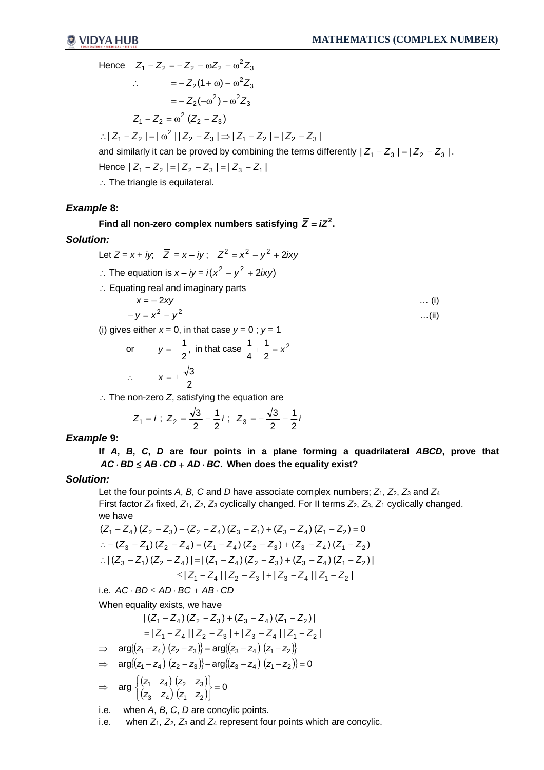Hence  $Z_1 - Z_2 = -Z_2 - \omega Z_2 - \omega^2 Z_3$  $\therefore$  = -  $Z_2(1+\omega) - \omega^2 Z_3$  $= -Z_2(-\omega^2) - \omega^2 Z_3$  $Z_1 - Z_2 = \omega^2 (Z_2 - Z_3)$  $\therefore$  | Z<sub>1</sub> - Z<sub>2</sub> | = |  $\omega^2$  || Z<sub>2</sub> - Z<sub>3</sub> |  $\Rightarrow$  | Z<sub>1</sub> - Z<sub>2</sub> | = | Z<sub>2</sub> - Z<sub>3</sub> | and similarly it can be proved by combining the terms differently  $| \, Z_1 - Z_3 \, | = | \, Z_2 - Z_3 \, | \, .$ Hence  $|Z_1 - Z_2| = |Z_2 - Z_3| = |Z_3 - Z_1|$ 

 $\therefore$  The triangle is equilateral.

### *Example* **8:**

Find all non-zero complex numbers satisfying  $\overline{Z} = iZ^2$ .

#### *Solution:*

Let *Z* = *x* + *iy*; *Z* = *x* – *iy* ; *Z*<sup>2</sup> = *x*<sup>2</sup> – *y*<sup>2</sup> + 2*ixy* 

- $\therefore$  The equation is  $x iy = i(x^2 y^2 + 2ixy)$
- $\therefore$  Equating real and imaginary parts

$$
x = -2xy
$$
 ... (i)  
-y = x<sup>2</sup> - y<sup>2</sup> ... (ii)

(i) gives either  $x = 0$ , in that case  $y = 0$ ;  $y = 1$ 

or 
$$
y = -\frac{1}{2}
$$
, in that case  $\frac{1}{4} + \frac{1}{2} = x^2$   
\n $\therefore$   $x = \pm \frac{\sqrt{3}}{2}$ 

 $\therefore$  The non-zero Z, satisfying the equation are

$$
Z_1 = i \; ; \; Z_2 = \frac{\sqrt{3}}{2} - \frac{1}{2}i \; ; \; Z_3 = -\frac{\sqrt{3}}{2} - \frac{1}{2}i
$$

## *Example* **9:**

**If** *A***,** *B***,** *C***,** *D* **are four points in a plane forming a quadrilateral** *ABCD***, prove that**   $AC \cdot BD \le AB \cdot CD + AD \cdot BC$ . When does the equality exist?

#### *Solution:*

Let the four points *A*, *B*, *C* and *D* have associate complex numbers; *Z*1, *Z*2, *Z*<sup>3</sup> and *Z*<sup>4</sup> First factor *Z*<sup>4</sup> fixed, *Z*1, *Z*2, *Z*<sup>3</sup> cyclically changed. For II terms *Z*2, *Z*3, *Z*<sup>1</sup> cyclically changed. we have

 $(Z_1 - Z_4)(Z_2 - Z_3) + (Z_2 - Z_4)(Z_3 - Z_1) + (Z_3 - Z_4)(Z_1 - Z_2) = 0$  $\therefore$   $-(Z_3 - Z_1)(Z_2 - Z_4) = (Z_1 - Z_4)(Z_2 - Z_3) + (Z_3 - Z_4)(Z_1 - Z_2)$  $\therefore$   $|(Z_3 - Z_1)(Z_2 - Z_4)| = |(Z_1 - Z_4)(Z_2 - Z_3) + (Z_3 - Z_4)(Z_1 - Z_2)|$  $\leq |Z_1 - Z_4| |Z_2 - Z_3| + |Z_3 - Z_4| |Z_1 - Z_2|$ 

i.e.  $AC \cdot BD \le AD \cdot BC + AB \cdot CD$ When equality exists, we have

$$
|(Z_1 - Z_4)(Z_2 - Z_3) + (Z_3 - Z_4)(Z_1 - Z_2)|
$$
  
= |Z\_1 - Z\_4||Z\_2 - Z\_3| + |Z\_3 - Z\_4||Z\_1 - Z\_2|  

$$
\Rightarrow \arg((z_1 - z_4)(z_2 - z_3)) = \arg((z_3 - z_4)(z_1 - z_2))
$$
  

$$
\Rightarrow \arg((z_1 - z_4)(z_2 - z_3)) - \arg((z_3 - z_4)(z_1 - z_2)) = 0
$$

$$
\Rightarrow \quad \arg \left\{\frac{\left(z_1-z_4\right)\left(z_2-z_3\right)}{\left(z_3-z_4\right)\left(z_1-z_2\right)}\right\}=0
$$

i.e. when *A*, *B*, *C*, *D* are concylic points.

i.e. when  $Z_1$ ,  $Z_2$ ,  $Z_3$  and  $Z_4$  represent four points which are concylic.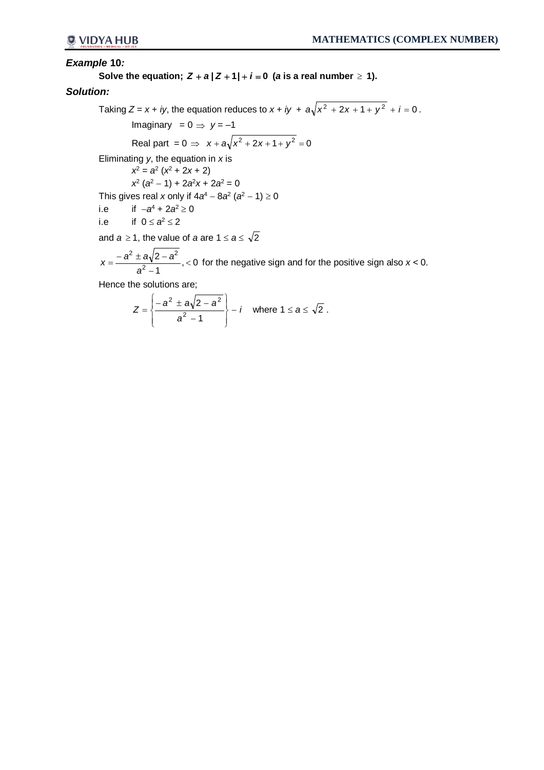#### *Example* **10***:*

Solve the equation;  $Z + a |Z + 1| + i = 0$  (*a* is a real number  $\geq 1$ ).

#### *Solution:*

Taking *Z* = *x* + *iy*, the equation reduces to *x* + *iy* +  $a\sqrt{x^2 + 2x + 1 + y^2 + i} = 0$ . Imaginary =  $0 \Rightarrow y = -1$ Real part =  $0 \Rightarrow x + a\sqrt{x^2 + 2x + 1 + y^2} = 0$ Eliminating *y*, the equation in *x* is  $x^2 = a^2 (x^2 + 2x + 2)$  $x^2 (a^2 - 1) + 2a^2x + 2a^2 = 0$ This gives real *x* only if 4 $a^4$  – 8 $a^2$  ( $a^2$  – 1)  $\geq$  0 i.e if  $-a^4 + 2a^2 \ge 0$ i.e if  $0 \le a^2 \le 2$ and  $a \ge 1$ , the value of a are  $1 \le a \le \sqrt{2}$ , 0 1 2 2  $2 + 2 \times 2$  $\lt$  $\overline{a}$  $=\frac{-a^2\pm a\sqrt{2-1}}{2}$ *a*  $x = \frac{-a^2 \pm a\sqrt{2-a^2}}{2}$ , < 0 for the negative sign and for the positive sign also *x* < 0. Hence the solutions are;

$$
Z = \left\{ \frac{-a^2 \pm a\sqrt{2-a^2}}{a^2 - 1} \right\} - i \quad \text{where } 1 \le a \le \sqrt{2}.
$$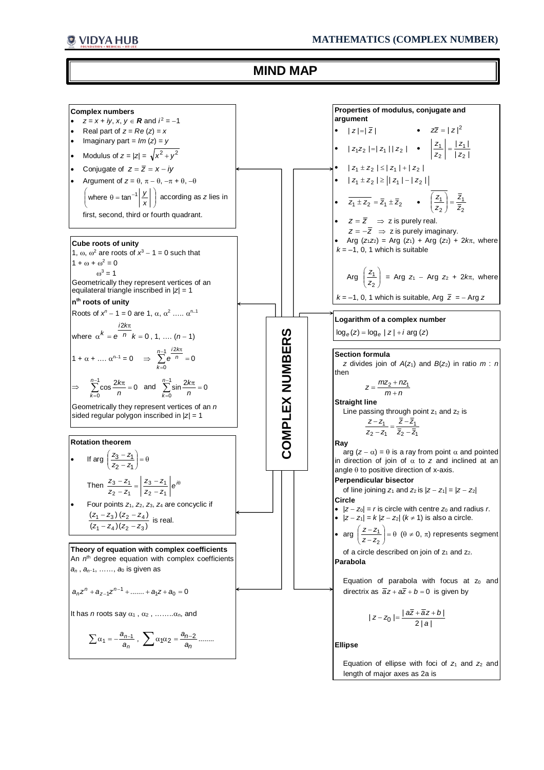# **MIND MAP**

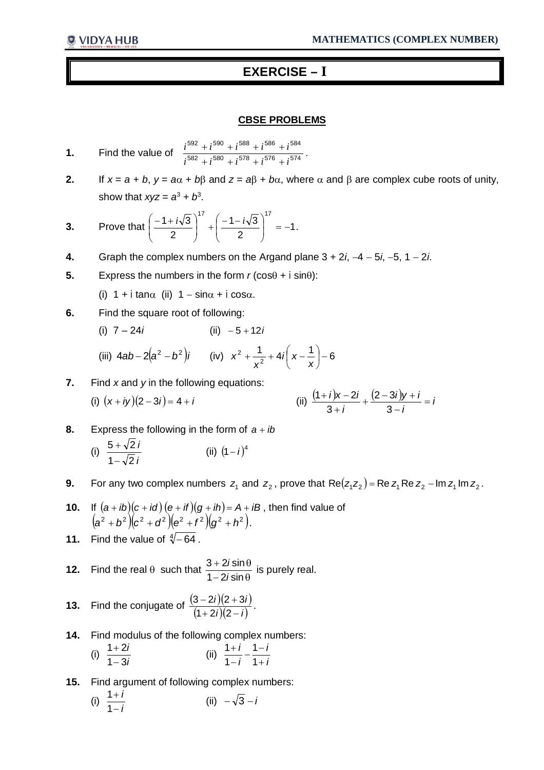# **EXERCISE – I**

## **CBSE PROBLEMS**

**1.** Find the value of 
$$
\frac{i^{592} + i^{590} + i^{588} + i^{586} + i^{584}}{i^{582} + i^{580} + i^{578} + i^{576} + i^{574}}.
$$

**2.** If  $x = a + b$ ,  $y = a\alpha + b\beta$  and  $z = a\beta + b\alpha$ , where  $\alpha$  and  $\beta$  are complex cube roots of unity, show that  $xyz = a^3 + b^3$ .

3. Prove that 
$$
\left(\frac{-1+i\sqrt{3}}{2}\right)^{17} + \left(\frac{-1-i\sqrt{3}}{2}\right)^{17} = -1.
$$

- **4.** Graph the complex numbers on the Argand plane  $3 + 2i$ ,  $-4 5i$ ,  $-5$ ,  $1 2i$ .
- **5.** Express the numbers in the form  $r$  (cos $\theta$  + *i* sin $\theta$ ):

(i)  $1 + i \tan \alpha$  (ii)  $1 - \sin \alpha + i \cos \alpha$ .

- **6.** Find the square root of following:
	- (i)  $7 24i$  (ii)  $-5 + 12i$

(iii) 
$$
4ab - 2(a^2 - b^2)i
$$
 (iv)  $x^2 + \frac{1}{x^2} + 4i\left(x - \frac{1}{x}\right) - 6$ 

**7.** Find *x* and *y* in the following equations:

(i) 
$$
(x + iy)(2-3i) = 4 + i
$$
  
\n(ii) 
$$
\frac{(1+i)x-2i}{3+i} + \frac{(2-3i)y+i}{3-i} = i
$$

- **8.** Express the following in the form of  $a + ib$ (i) *i i*  $1 - \sqrt{2}$  $5 + \sqrt{2}$ - $+$ (ii)  $(1-i)^4$
- **9.** For any two complex numbers  $z_1$  and  $z_2$  , prove that  $\text{Re}(z_1z_2)$  =  $\text{Re }z_1\text{Re }z_2$  Im  $z_1$  Im  $z_2$  .
- **10.** If  $(a + ib)(c + id)(e + if)(g + ih) = A + iB$ , then find value of  $(a^2 + b^2)(c^2 + d^2)(e^2 + f^2)(g^2 + h^2).$
- **11.** Find the value of  $\sqrt[4]{-64}$ .
- **12.** Find the real  $\theta$  such that  $-2i\sin\theta$  $+2i\sin\theta$  $1 - 2i \sin$  $3 + 2i \sin$ *i*  $\frac{i \sin \theta}{\sin \theta}$  is purely real.
- **13.** Find the conjugate of  $\frac{(3-2i)(2+3i)}{(4-2i)(2-i)}$  $(1+2i)(2-i)$ *i i* + 2*i* )(2 – – 2i)(2 +  $(1 + 2i)(2)$  $\frac{(3-2i)(2+3i)}{(4-2i)(2-i)}$ .
- **14.** Find modulus of the following complex numbers:

(i) 
$$
\frac{1+2i}{1-3i}
$$
 (ii)  $\frac{1+i}{1-i} - \frac{1-i}{1+i}$ 

**15.** Find argument of following complex numbers:

(i) 
$$
\frac{1+i}{1-i}
$$
 (ii)  $-\sqrt{3}-i$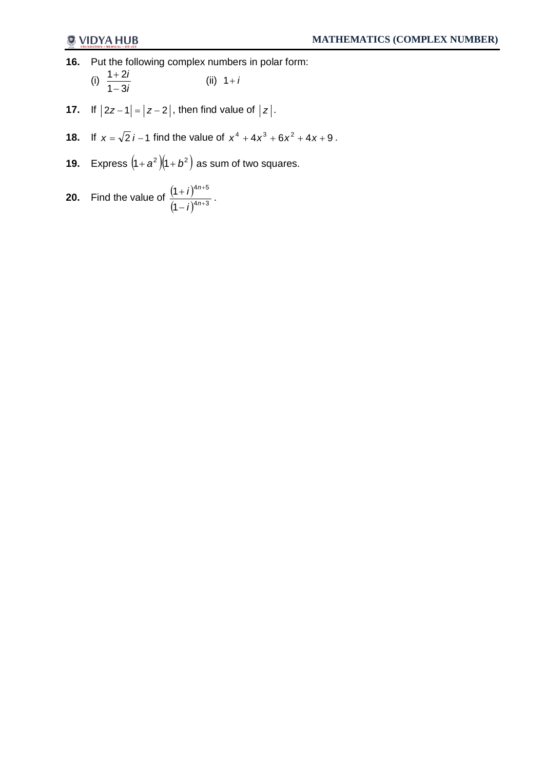**16.** Put the following complex numbers in polar form:

(i) 
$$
\frac{1+2i}{1-3i}
$$
 (ii)  $1+i$ 

- **17.** If  $|2z-1|=|z-2|$ , then find value of  $|z|$ .
- **18.** If  $x = \sqrt{2}i 1$  find the value of  $x^4 + 4x^3 + 6x^2 + 4x + 9$ .
- **19.** Express  $(1 + a^2)(1 + b^2)$  as sum of two squares.
- **20.** Find the value of  $\frac{(1+i)^n}{(1+i)^n}$  $(1-i)^{4n+3}$  $4n + 5$ 1 1  $^{+}$  $^{+}$  $\overline{\phantom{a}}$  $\ddot{}$ *n n i*  $\frac{i}{(1+i)^{4n+3}}$ .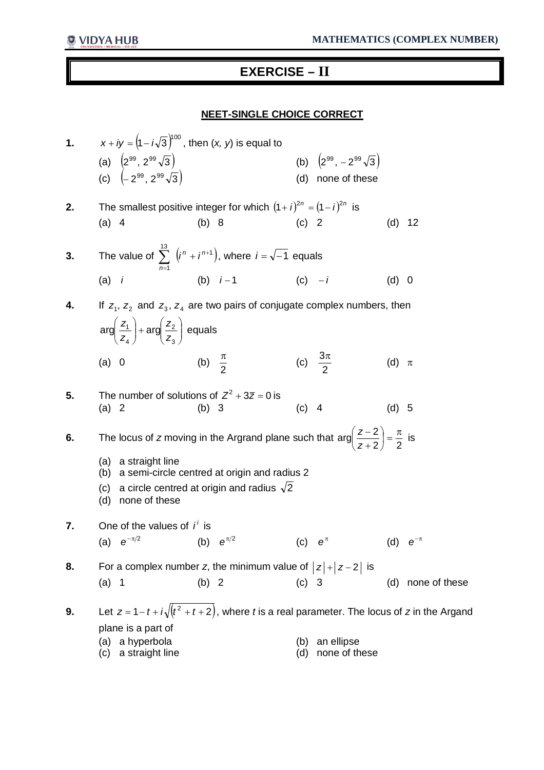# **EXERCISE – II**

# **NEET-SINGLE CHOICE CORRECT**

1. 
$$
x + iy = (1 - i\sqrt{3})^{100}
$$
, then  $(x, y)$  is equal to  
\n(a)  $(2^{69}, 2^{69}\sqrt{3})$  (b)  $(2^{69}, -2^{69}\sqrt{3})$   
\n(c)  $(-2^{69}, 2^{69}\sqrt{3})$  (d) none of these  
\n2. The smallest positive integer for which  $(1 + i)^{2n} = (1 - i)^{2n}$  is  
\n(a) 4 (b) 8 (c) 2 (d) 12  
\n3. The value of  $\sum_{n=1}^{13} (i^n + i^{n+1})$ , where  $i = \sqrt{-1}$  equals  
\n(a) i (b)  $i - 1$  (c)  $-i$  (d) 0  
\n4. If  $z_1, z_2$  and  $z_3, z_4$  are two pairs of conjugate complex numbers, then  
\n $arg(\frac{z_1}{z_4}) + arg(\frac{z_2}{z_3})$  equals  
\n(a) 0 (b)  $\frac{\pi}{2}$  (c)  $\frac{3\pi}{2}$  (d)  $\pi$   
\n5. The number of solutions of  $z^2 + 3\overline{z} = 0$  is  
\n(a) 2 (b) 3 (c) 4 (d) 5  
\n6. The locus of  $z$  moving in the Argand plane such that  $arg(\frac{z-2}{z+2}) = \frac{\pi}{2}$  is  
\n(a) a straight line  
\n(b) a semi-circle centred at origin and radius  $\sqrt{2}$   
\n(c) a circle centred at origin and radius  $\sqrt{2}$   
\n(d) none of these  
\n7. One of the values of  $i^i$  is  
\n(a)  $e^{-s/2}$  (b)  $e^{s/2}$  (c)  $e^{\pi}$  (d)  $e^{-\pi}$   
\n8. For a complex number  $z$ , the minimum value of  $|z|+|z-2|$  is  
\n(a) 1 (b) 2 (c) 3 (d) none of these  
\n9. Let  $z = 1-t + i\sqrt{(t^2 + t + 2)}$ , where  $t$  is a real parameter. The locus of  $z$  in the Argand  
\nplane is a part of  
\n(a) a hyperbola (b) an ellipse (d) none of these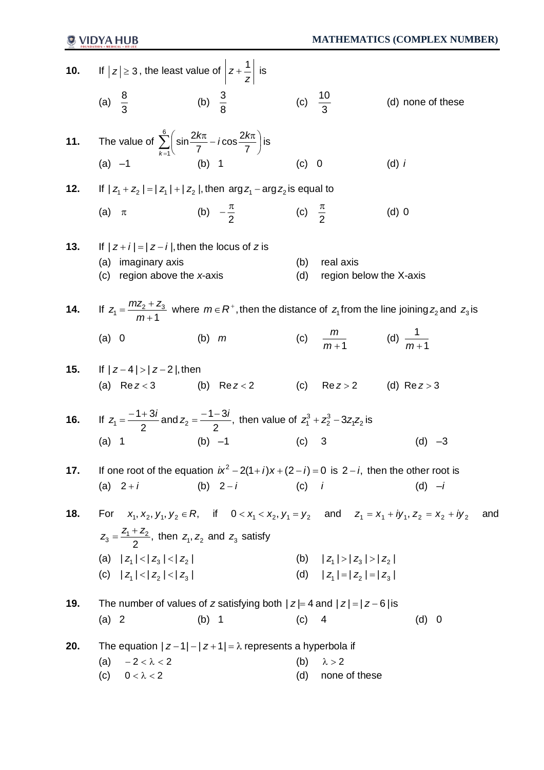|       | <b>10.</b> If $ z  \ge 3$ , the least value of $ z+\frac{1}{z} $ is                         |                                                                                                                           |                    |                                         |                   |
|-------|---------------------------------------------------------------------------------------------|---------------------------------------------------------------------------------------------------------------------------|--------------------|-----------------------------------------|-------------------|
|       | (a) $\frac{8}{3}$ (b) $\frac{3}{8}$                                                         |                                                                                                                           | (c) $\frac{10}{3}$ |                                         | (d) none of these |
| 11.   | The value of $\sum_{k=1}^{6} \left(\sin \frac{2k\pi}{7} - i \cos \frac{2k\pi}{7}\right)$ is |                                                                                                                           |                    |                                         |                   |
|       | $(a) -1$                                                                                    | (b) 1                                                                                                                     | (c) 0              |                                         | (d) $i$           |
| $12.$ |                                                                                             | If $ z_1 + z_2  =  z_1  +  z_2 $ , then $\arg z_1 - \arg z_2$ is equal to                                                 |                    |                                         |                   |
|       | (a) $\pi$                                                                                   | (b) $-\frac{\pi}{2}$ (c) $\frac{\pi}{2}$                                                                                  |                    |                                         | $(d)$ 0           |
| 13.   | If $ z+i = z-i $ , then the locus of z is                                                   |                                                                                                                           |                    |                                         |                   |
|       | (a) imaginary axis<br>(c) region above the x-axis                                           |                                                                                                                           | (b)<br>(d)         | real axis<br>region below the X-axis    |                   |
| 14.   |                                                                                             | If $z_1 = \frac{mz_2 + z_3}{m+1}$ where $m \in R^+$ , then the distance of $z_1$ from the line joining $z_2$ and $z_3$ is |                    |                                         |                   |
|       | (a) 0                                                                                       | $(b)$ m                                                                                                                   |                    | (c) $\frac{m}{m+1}$ (d) $\frac{1}{m+1}$ |                   |
|       | 15. If $ z-4  >  z-2 $ , then                                                               |                                                                                                                           |                    |                                         |                   |
|       |                                                                                             | (a) $Re z < 3$ (b) $Re z < 2$ (c) $Re z > 2$ (d) $Re z > 3$                                                               |                    |                                         |                   |
|       |                                                                                             | <b>16.</b> If $z_1 = \frac{-1+3i}{2}$ and $z_2 = \frac{-1-3i}{2}$ , then value of $z_1^3 + z_2^3 - 3z_1z_2$ is            |                    |                                         |                   |
|       | (b) $-1$<br>$(a)$ 1                                                                         | $\left( \text{c} \right)$ 3                                                                                               |                    |                                         | $(d) -3$          |
| 17.   |                                                                                             | If one root of the equation $ix^2 - 2(1+i)x + (2-i) = 0$ is $2-i$ , then the other root is                                |                    |                                         |                   |
|       | (a) $2+i$                                                                                   | (b) $2-i$<br>$(c)$ i                                                                                                      |                    |                                         | $(d) -i$          |
| 18.   |                                                                                             | For $x_1, x_2, y_1, y_2 \in R$ , if $0 < x_1 < x_2, y_1 = y_2$ and $z_1 = x_1 + iy_1, z_2 = x_2 + iy_2$                   |                    |                                         | and               |
|       | $z_3 = \frac{z_1 + z_2}{2}$ , then $z_1$ , $z_2$ and $z_3$ satisfy                          |                                                                                                                           |                    |                                         |                   |
|       | (a) $ Z_1  <  Z_3  <  Z_2 $                                                                 |                                                                                                                           |                    | (b) $ Z_1  >  Z_3  >  Z_2 $             |                   |
|       | (c) $ Z_1  <  Z_2  <  Z_3 $                                                                 |                                                                                                                           |                    | (d) $ z_1  =  z_2  =  z_3 $             |                   |
| 19.   |                                                                                             | The number of values of z satisfying both $ z =4$ and $ z = z-6 $ is                                                      |                    |                                         |                   |
|       | (a) 2                                                                                       | (b) 1                                                                                                                     | (c)                | 4                                       | (d) 0             |
| 20.   |                                                                                             | The equation $ z-1 - z+1  = \lambda$ represents a hyperbola if                                                            |                    |                                         |                   |
|       | (a) $-2 < \lambda < 2$                                                                      |                                                                                                                           | (b)                | $\lambda > 2$                           |                   |
|       | $0 < \lambda < 2$<br>(c)                                                                    |                                                                                                                           | (d)                | none of these                           |                   |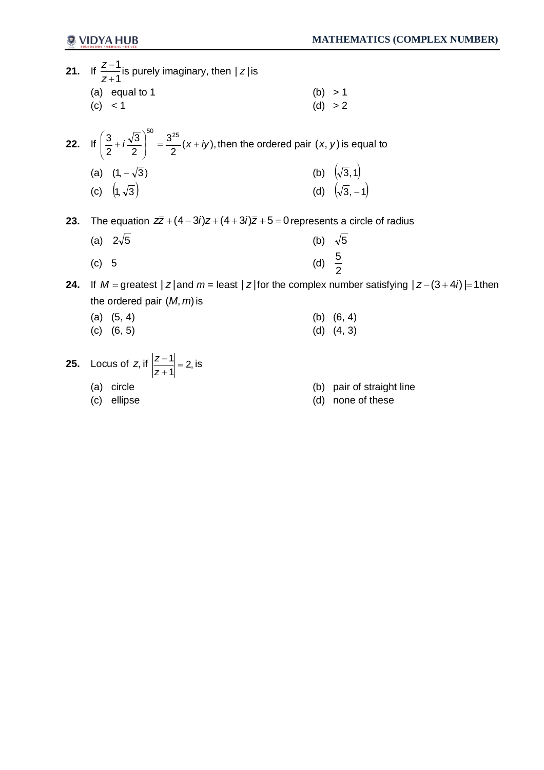|     | 21. If $\frac{z-1}{z+1}$ is purely imaginary, then $ z $ is                                                                                 |                                             |
|-----|---------------------------------------------------------------------------------------------------------------------------------------------|---------------------------------------------|
|     | (a) equal to $1$                                                                                                                            | (b) $> 1$                                   |
|     | (c) < 1                                                                                                                                     | (d) > 2                                     |
|     | <b>22.</b> If $\left(\frac{3}{2} + i\frac{\sqrt{3}}{2}\right)^{50} = \frac{3^{25}}{2}(x + iy)$ , then the ordered pair $(x, y)$ is equal to |                                             |
|     | (a) $(1, -\sqrt{3})$                                                                                                                        |                                             |
|     | (c) $(1, \sqrt{3})$                                                                                                                         | (b) $(\sqrt{3}, 1)$<br>(d) $(\sqrt{3}, -1)$ |
| 23. | The equation $z\bar{z} + (4-3i)z + (4+3i)\bar{z} + 5 = 0$ represents a circle of radius                                                     |                                             |
|     | (a) $2\sqrt{5}$                                                                                                                             | (b) $\sqrt{5}$                              |
|     | (c) 5                                                                                                                                       | (d) $\frac{5}{2}$                           |
| 24. | If $M =$ greatest $ z $ and $m =$ least $ z $ for the complex number satisfying $ z-(3+4i) =1$ then                                         |                                             |

the ordered pair (*M*, *m*)is (a)  $(5, 4)$  (b)  $(6, 4)$ (c)  $(6, 5)$  (d)  $(4, 3)$ 

- **25.** Locus of *z*, if  $\left|\frac{2-1}{2}\right|=2$ , 1  $\frac{1}{1}$  =  $\ddot{}$ *z*  $\left| \frac{z-1}{z} \right|$  = 2, is
	-
	-
	- (a) circle (b) pair of straight line
	- (c) ellipse (d) none of these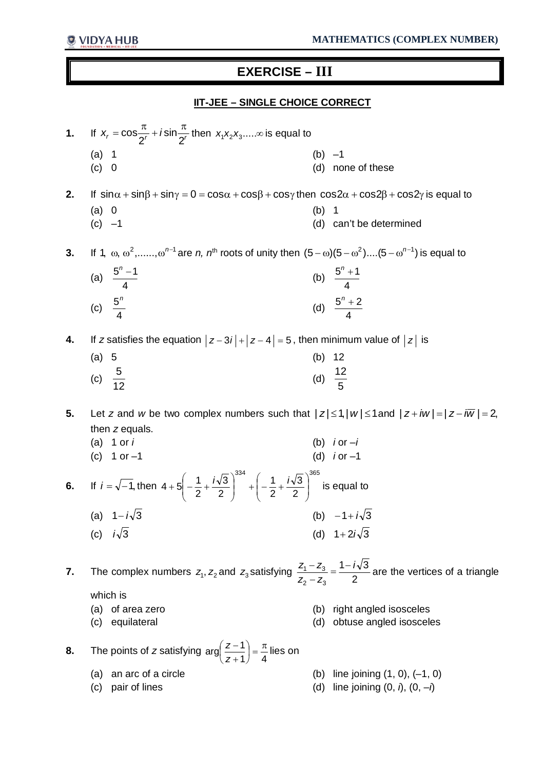# **EXERCISE – III**

# **IIT-JEE – SINGLE CHOICE CORRECT**

| 1. | If $x_r = \cos{\frac{\pi}{2}} + i \sin{\frac{\pi}{2}}$ then $x_1x_2x_3\infty$ is equal to                                                                             |          |                                       |
|----|-----------------------------------------------------------------------------------------------------------------------------------------------------------------------|----------|---------------------------------------|
|    | $(a)$ 1                                                                                                                                                               | (b) $-1$ |                                       |
|    | (c) 0                                                                                                                                                                 | (d)      | none of these                         |
| 2. | If $sin\alpha + sin\beta + sin\gamma = 0 = cos\alpha + cos\beta + cos\gamma$ then $cos2\alpha + cos2\beta + cos2\gamma$ is equal to                                   |          |                                       |
|    | (a) 0                                                                                                                                                                 | (b)      | 1                                     |
|    | $(c) -1$                                                                                                                                                              |          | (d) can't be determined               |
| 3. | If 1, $\omega$ , $\omega^2$ ,, $\omega^{n-1}$ are <i>n</i> , <i>n</i> <sup>th</sup> roots of unity then $(5 - \omega)(5 - \omega^2)$ $(5 - \omega^{n-1})$ is equal to |          |                                       |
|    | (a) $\frac{5^{n}-1}{4}$                                                                                                                                               |          | (b) $\frac{5^{n}+1}{4}$               |
|    |                                                                                                                                                                       |          |                                       |
|    | (c) $\frac{5^n}{4}$                                                                                                                                                   |          | (d) $\frac{5^n + 2}{4}$               |
| 4. | If z satisfies the equation $ z-3i + z-4 =5$ , then minimum value of $ z $ is                                                                                         |          |                                       |
|    | (a) 5                                                                                                                                                                 |          | (b) $12$                              |
|    |                                                                                                                                                                       |          | (d) $\frac{12}{5}$                    |
|    | (c) $\frac{5}{12}$                                                                                                                                                    |          |                                       |
| 5. | Let z and w be two complex numbers such that $ z  \leq 1$ , $ w  \leq 1$ and $ z + iw  =  z - iw  = 2$ ,                                                              |          |                                       |
|    | then z equals.                                                                                                                                                        |          |                                       |
|    | (a) 1 or $i$                                                                                                                                                          |          | (b) $i$ or $-i$                       |
|    | (c) $1$ or $-1$                                                                                                                                                       |          | (d) $i$ or $-1$                       |
| 6. | If $i = \sqrt{-1}$ , then $4 + 5\left(-\frac{1}{2} + \frac{i\sqrt{3}}{2}\right)^{334} + \left(-\frac{1}{2} + \frac{i\sqrt{3}}{2}\right)^{365}$ is equal to            |          |                                       |
|    | (a) $1-i\sqrt{3}$                                                                                                                                                     |          | (b) $-1 + i\sqrt{3}$                  |
|    | (c) $i\sqrt{3}$                                                                                                                                                       |          | (d) $1+2i\sqrt{3}$                    |
|    |                                                                                                                                                                       |          |                                       |
| 7. | The complex numbers $z_1$ , $z_2$ and $z_3$ satisfying $\frac{z_1 - z_3}{z_2 - z_3} = \frac{1 - i\sqrt{3}}{2}$ are the vertices of a triangle                         |          |                                       |
|    | which is                                                                                                                                                              |          |                                       |
|    | (a) of area zero                                                                                                                                                      |          | (b) right angled isosceles            |
|    | equilateral<br>(c)                                                                                                                                                    | (d)      | obtuse angled isosceles               |
| 8. | The points of z satisfying $\arg\left(\frac{z-1}{z+1}\right) = \frac{\pi}{4}$ lies on                                                                                 |          |                                       |
|    | an arc of a circle<br>(a)                                                                                                                                             |          | (b) line joining $(1, 0)$ , $(-1, 0)$ |
|    | pair of lines<br>(c)                                                                                                                                                  | (d)      | line joining $(0, i)$ , $(0, -i)$     |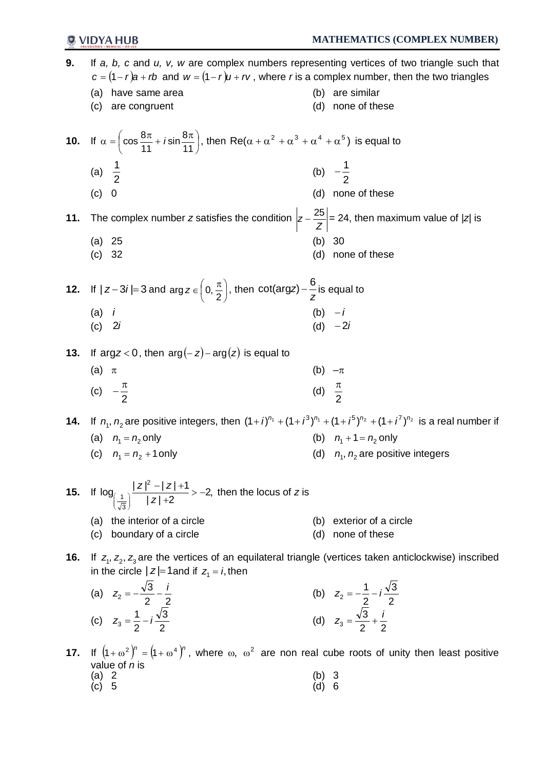| 9.  | If a, b, c and $u$ , v, w are complex numbers representing vertices of two triangle such that<br>$c = (1 - r)a + rb$ and $w = (1 - r)a + rv$ , where r is a complex number, then the two triangles |                                                |  |  |  |
|-----|----------------------------------------------------------------------------------------------------------------------------------------------------------------------------------------------------|------------------------------------------------|--|--|--|
|     | have same area<br>(a)                                                                                                                                                                              | (b) are similar                                |  |  |  |
|     | (c)<br>are congruent                                                                                                                                                                               | (d) none of these                              |  |  |  |
|     | <b>10.</b> If $\alpha = \left(\cos\frac{8\pi}{11} + i\sin\frac{8\pi}{11}\right)$ , then Re( $\alpha + \alpha^2 + \alpha^3 + \alpha^4 + \alpha^5$ ) is equal to                                     |                                                |  |  |  |
|     | (a) $\frac{1}{2}$                                                                                                                                                                                  | (b) $-\frac{1}{2}$                             |  |  |  |
|     | (c) 0                                                                                                                                                                                              | (d) none of these                              |  |  |  |
| 11. | The complex number z satisfies the condition $ z-\frac{25}{Z}  = 24$ , then maximum value of  z  is                                                                                                |                                                |  |  |  |
|     | (a) 25                                                                                                                                                                                             | (b)<br>30                                      |  |  |  |
|     | (c) 32                                                                                                                                                                                             | (d) none of these                              |  |  |  |
|     | <b>12.</b> If $ z-3i =3$ and $\arg z \in \left(0, \frac{\pi}{2}\right)$ , then $\cot(\arg z) - \frac{6}{z}$ is equal to                                                                            |                                                |  |  |  |
|     | $(a)$ <i>i</i>                                                                                                                                                                                     | (b) $-i$<br>(d) $-2i$                          |  |  |  |
|     | $(c)$ 2i                                                                                                                                                                                           |                                                |  |  |  |
| 13. | If $\arg z < 0$ , then $\arg(-z) - \arg(z)$ is equal to                                                                                                                                            |                                                |  |  |  |
|     | (a) $\pi$                                                                                                                                                                                          | (b) $-\pi$                                     |  |  |  |
|     | (c) $-\frac{\pi}{2}$                                                                                                                                                                               | (d) $\frac{\pi}{2}$                            |  |  |  |
| 14. | If $n_1$ , $n_2$ are positive integers, then $(1+i)^{n_1} + (1+i^3)^{n_1} + (1+i^5)^{n_2} + (1+i^7)^{n_2}$ is a real number if                                                                     |                                                |  |  |  |
|     | (a) $n_1 = n_2$ only                                                                                                                                                                               | (b) $n_1 + 1 = n_2$ only                       |  |  |  |
|     | (c) $n_1 = n_2 + 1$ only                                                                                                                                                                           | (d) $n_1$ , $n_2$ are positive integers        |  |  |  |
| 15. | If $\log_{(\frac{1}{\sqrt{2}})}\frac{ z ^2- z +1}{ z +2}$ > -2, then the locus of z is                                                                                                             |                                                |  |  |  |
|     | the interior of a circle<br>(a)                                                                                                                                                                    | exterior of a circle<br>(b)                    |  |  |  |
|     | boundary of a circle<br>(c)                                                                                                                                                                        | none of these<br>(d)                           |  |  |  |
| 16. | If $z_1$ , $z_2$ , $z_3$ are the vertices of an equilateral triangle (vertices taken anticlockwise) inscribed<br>in the circle $ z =1$ and if $z_1 = i$ , then                                     |                                                |  |  |  |
|     | (a) $z_2 = -\frac{\sqrt{3}}{2} - \frac{i}{2}$                                                                                                                                                      | (b) $z_2 = -\frac{1}{2} - i\frac{\sqrt{3}}{2}$ |  |  |  |
|     | (c) $z_3 = \frac{1}{2} - i \frac{\sqrt{3}}{2}$                                                                                                                                                     | (d) $z_3 = \frac{\sqrt{3}}{2} + \frac{i}{2}$   |  |  |  |

- **17.** If  $(1+\omega^2)^n = (1+\omega^4)^n$ , where  $\omega$ ,  $\omega^2$  are non real cube roots of unity then least positive value of *n* is
	- (a) 2 (b) 3 (c) 5 (d) 6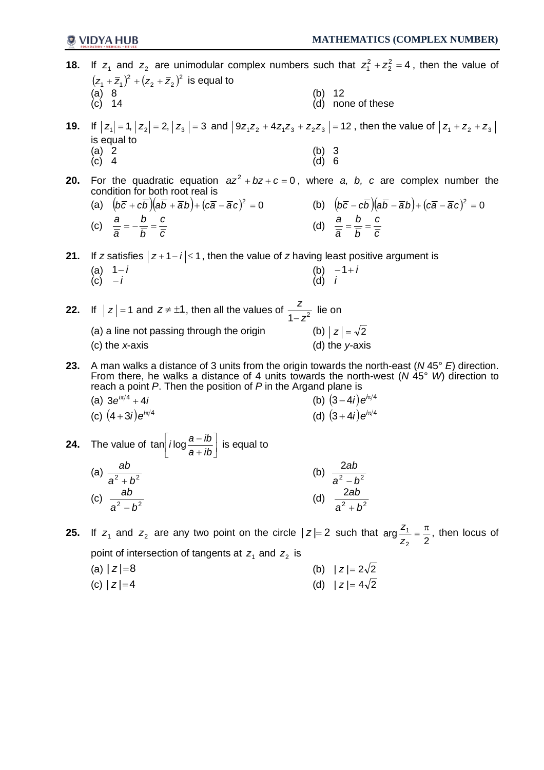

**24.** The value of  $\tan \left[ \log \frac{a - b}{a + ib} \right]$  $\overline{\phantom{a}}$ L  $\mathbf{r}$  $\ddot{}$  $\overline{a}$ *a ib*  $tan \mid i \log \frac{a - ib}{a} \mid$  is equal to

(a) 
$$
\frac{ab}{a^2 + b^2}
$$
  
\n(b)  $\frac{2ab}{a^2 - b^2}$   
\n(c)  $\frac{ab}{a^2 - b^2}$   
\n(d)  $\frac{2ab}{a^2 + b^2}$ 

**25.** If  $z_1$  and  $z_2$  are any two point on the circle  $|z|=2$  such that 2 arg 2  $\frac{z_1}{z_2} = \frac{\pi}{2}$  $\frac{z_1}{z_1} = \frac{\pi}{2}$ , then locus of point of intersection of tangents at  $z_1$  and  $z_2$  is

(a) 
$$
|z| = 8
$$
  
\n(b)  $|z| = 2\sqrt{2}$   
\n(c)  $|z| = 4$   
\n(d)  $|z| = 4\sqrt{2}$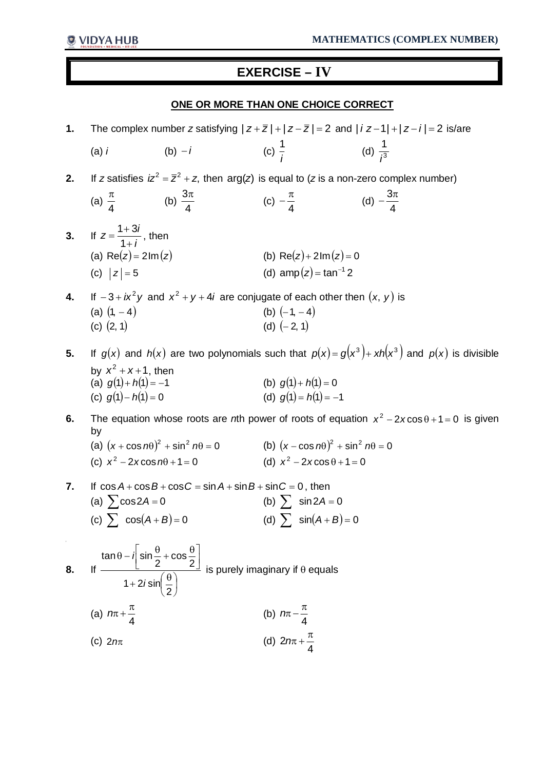# **EXERCISE – IV**

## **ONE OR MORE THAN ONE CHOICE CORRECT**

- **1.** The complex number *z* satisfying  $|z + \overline{z}| + |z \overline{z}| = 2$  and  $|i z 1| + |z i| = 2$  is/are (a)  $i$  (b)  $-i$ *i* 1 (d)  $\frac{1}{2}$ *i*
- **2.** If *z* satisfies  $iz^2 = \overline{z}^2 + z$ , then arg(*z*) is equal to (*z* is a non-zero complex number)
	- (a) 4  $\pi$ (b) 4  $3\pi$ (c) 4  $\pi$  $-\frac{\pi}{4}$  (d) 4  $-\frac{3\pi}{4}$
- **3.** If *i*  $z = \frac{1+3i}{1+i}$  $\ddot{}$  $=\frac{1+}{1}$ 1  $\frac{1+3i}{1}$ , then (a)  $Re(z) = 2Im(z)$  (b)  $Re(z) + 2Im(z) = 0$ (c)  $|z| = 5$  (d)  $\text{amp}(z) = \tan^{-1} 2$

**4.** If  $-3 + ix^2y$  and  $x^2 + y + 4i$  are conjugate of each other then  $(x, y)$  is (a)  $(1, -4)$  (b)  $(-1, -4)$ (c)  $(2, 1)$  (d)  $(-2, 1)$ 

**5.** If  $g(x)$  and  $h(x)$  are two polynomials such that  $p(x) = g(x^3) + xh(x^3)$  and  $p(x)$  is divisible by  $x^2 + x + 1$ , then (a)  $g(1) + h(1) = -1$  (b)  $g(1) + h(1) = 0$ (c)  $g(1) - h(1) = 0$  (d)  $g(1) = h(1) = -1$ 

**6.** The equation whose roots are *n*th power of roots of equation  $x^2 - 2x\cos\theta + 1 = 0$  is given by

| (a) $(x + \cos n\theta)^2 + \sin^2 n\theta = 0$ | (b) $(x - \cos n\theta)^2 + \sin^2 n\theta = 0$ |
|-------------------------------------------------|-------------------------------------------------|
| (c) $x^2 - 2x \cos n\theta + 1 = 0$             | (d) $x^2 - 2x\cos\theta + 1 = 0$                |

- **7.** If  $\cos A + \cos B + \cos C = \sin A + \sin B + \sin C = 0$ , then (a)  $\sum \cos 2A = 0$ <br>
(b)  $\sum \sin 2A = 0$ <br>
(c)  $\sum \cos(A + B) = 0$ <br>
(d)  $\sum \sin(A + B)$ (d)  $\sum_{A}$   $\sin(A + B) = 0$
- **8.** If  $\overline{\phantom{a}}$ J  $\left(\frac{\theta}{2}\right)$  $\setminus$ + 2*i* sin $\left(\frac{\theta}{2}\right)$  $\frac{1}{2}$  $\overline{\phantom{a}}$  $\overline{\phantom{a}}$  $\theta - i \sin \frac{\theta}{2} + \cos \frac{\theta}{2}$ 2  $1 + 2i \sin$ 2 cos 2 tan $\theta$  –  $\dot{\eta}$  sin *i i* is purely imaginary if  $\theta$  equals (a) 4  $n\pi + \frac{\pi}{4}$  (b) 4  $n\pi - \frac{\pi}{4}$ (c)  $2n\pi$ 4  $2n\pi + \frac{\pi}{4}$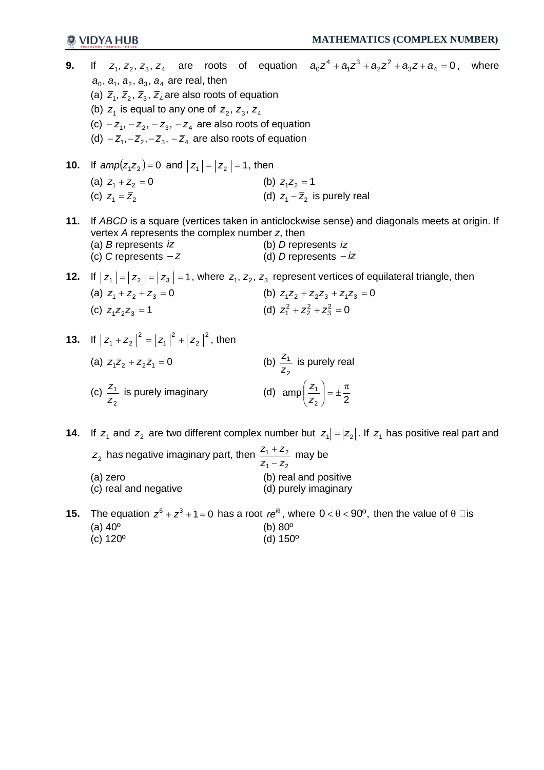| 9.  | $a_0$ , $a_1$ , $a_2$ , $a_3$ , $a_4$ are real, then<br>(a) $\bar{z}_1$ , $\bar{z}_2$ , $\bar{z}_3$ , $\bar{z}_4$ are also roots of equation<br>(b) $z_1$ is equal to any one of $\overline{z}_2$ , $\overline{z}_3$ , $\overline{z}_4$<br>(c) $-z_1$ , $-z_2$ , $-z_3$ , $-z_4$ are also roots of equation<br>(d) $-\overline{z}_1, -\overline{z}_2, -\overline{z}_3, -\overline{z}_4$ are also roots of equation | If $z_1$ , $z_2$ , $z_3$ , $z_4$ are roots of equation $a_0z^4 + a_1z^3 + a_2z^2 + a_3z + a_4 = 0$ , where                                            |
|-----|--------------------------------------------------------------------------------------------------------------------------------------------------------------------------------------------------------------------------------------------------------------------------------------------------------------------------------------------------------------------------------------------------------------------|-------------------------------------------------------------------------------------------------------------------------------------------------------|
|     | <b>10.</b> If $amp(z_1z_2) = 0$ and $ z_1  =  z_2  = 1$ , then                                                                                                                                                                                                                                                                                                                                                     |                                                                                                                                                       |
|     | (a) $Z_1 + Z_2 = 0$                                                                                                                                                                                                                                                                                                                                                                                                | (b) $Z_1Z_2 = 1$                                                                                                                                      |
|     | (c) $Z_1 = \overline{Z}_2$                                                                                                                                                                                                                                                                                                                                                                                         | (d) $z_1 - \overline{z}_2$ is purely real                                                                                                             |
| 11. | vertex A represents the complex number z, then<br>(a) $B$ represents $iz$<br>(c) C represents $-z$                                                                                                                                                                                                                                                                                                                 | If ABCD is a square (vertices taken in anticlockwise sense) and diagonals meets at origin. If<br>(b) D represents $\bar{z}$<br>(d) D represents $-iz$ |
|     |                                                                                                                                                                                                                                                                                                                                                                                                                    | 12. If $ z_1 = z_2 = z_3 =1$ , where $z_1, z_2, z_3$ represent vertices of equilateral triangle, then                                                 |
|     | (a) $Z_1 + Z_2 + Z_3 = 0$                                                                                                                                                                                                                                                                                                                                                                                          | (b) $Z_1Z_2 + Z_2Z_3 + Z_1Z_3 = 0$                                                                                                                    |
|     | (c) $Z_1Z_2Z_3 = 1$                                                                                                                                                                                                                                                                                                                                                                                                | (d) $z_1^2 + z_2^2 + z_3^2 = 0$                                                                                                                       |
|     | <b>13.</b> If $ z_1 + z_2 ^2 =  z_1 ^2 +  z_2 ^2$ , then                                                                                                                                                                                                                                                                                                                                                           |                                                                                                                                                       |
|     | (a) $z_1\overline{z}_2 + z_2\overline{z}_1 = 0$                                                                                                                                                                                                                                                                                                                                                                    | (b) $\frac{Z_1}{Z_0}$ is purely real                                                                                                                  |
|     | (c) $\frac{Z_1}{Z_2}$ is purely imaginary                                                                                                                                                                                                                                                                                                                                                                          | (d) amp $\left(\frac{Z_1}{Z_2}\right) = \pm \frac{\pi}{2}$                                                                                            |
| 14. |                                                                                                                                                                                                                                                                                                                                                                                                                    | If $z_1$ and $z_2$ are two different complex number but $ z_1 = z_2 $ . If $z_1$ has positive real part and                                           |
|     | $z_2$ has negative imaginary part, then $\frac{z_1 + z_2}{z_1 - z_2}$ may be                                                                                                                                                                                                                                                                                                                                       |                                                                                                                                                       |
|     | (a) zero                                                                                                                                                                                                                                                                                                                                                                                                           | (b) real and positive                                                                                                                                 |
|     | (c) real and negative                                                                                                                                                                                                                                                                                                                                                                                              | (d) purely imaginary                                                                                                                                  |
|     |                                                                                                                                                                                                                                                                                                                                                                                                                    |                                                                                                                                                       |

**15.** The equation  $z^6 + z^3 + 1 = 0$  has a root  $r e^{i\theta}$ , where  $0 < \theta < 90^{\circ}$ , then the value of  $\theta \Box$ is (a)  $40^{\circ}$  (b)  $80^{\circ}$  (c)  $120^{\circ}$  (d)  $150^{\circ}$  $(d) 150^{\circ}$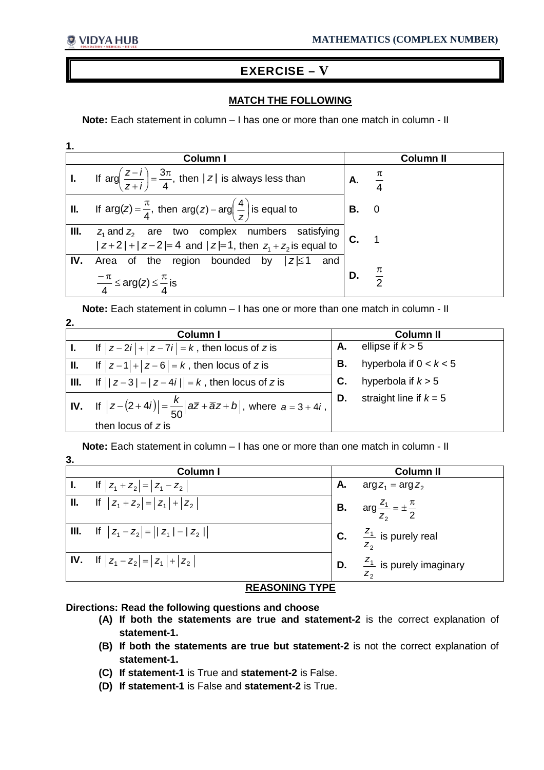**3.**

# **EXERCISE – V**

# **MATCH THE FOLLOWING**

**Note:** Each statement in column – I has one or more than one match in column - II

|              | <b>Column I</b>                                                                                                  |                    |                 | <b>Column II</b> |
|--------------|------------------------------------------------------------------------------------------------------------------|--------------------|-----------------|------------------|
| $\mathbf{L}$ | If $\arg\left(\frac{z-i}{z+i}\right) = \frac{3\pi}{4}$ , then $ z $ is always less than                          | A. $\frac{\pi}{4}$ |                 |                  |
|              | II. If $arg(z) = \frac{\pi}{4}$ , then $arg(z) - arg(\frac{4}{z})$ is equal to                                   | <b>B.</b> 0        |                 |                  |
| Ш.           | $z_1$ and $z_2$ are two complex numbers satisfying<br>$ z+2 + z-2 =4$ and $ z =1$ , then $z_1 + z_2$ is equal to | C. 1               |                 |                  |
| IV.          | Area of the region bounded by $ z  \le 1$ and<br>$\frac{-\pi}{4} \leq \arg(z) \leq \frac{\pi}{4}$ is             | D.                 | $\frac{\pi}{2}$ |                  |

**Note:** Each statement in column – I has one or more than one match in column - II **2.**

| . . | <b>Column I</b>                                                                            |    | <b>Column II</b>         |
|-----|--------------------------------------------------------------------------------------------|----|--------------------------|
|     | <b>I.</b> If $ z-2i + z-7i =k$ , then locus of z is                                        | А. | ellipse if $k > 5$       |
|     | <b>II.</b> If $ z-1 + z-6  = k$ , then locus of z is                                       | В. | hyperbola if $0 < k < 5$ |
|     | <b>III.</b> If $  z-3 - z-4i  =k$ , then locus of z is                                     | C. | hyperbola if $k > 5$     |
|     | <b>IV.</b> If $ z-(2+4i)  = \frac{k}{50}  \vec{az} + \vec{a}z + b $ , where $a = 3 + 4i$ , | D. | straight line if $k = 5$ |
|     | then locus of z is                                                                         |    |                          |

**Note:** Each statement in column – I has one or more than one match in column - II

|                | Column I                                     |    | <b>Column II</b>                                    |
|----------------|----------------------------------------------|----|-----------------------------------------------------|
| $\mathbf{C}$ . | If $ z_1 + z_2  =  z_1 - z_2 $               | А. | arg $z_1$ = arg $z_2$                               |
|                | <b>II.</b> If $ z_1 + z_2  =  z_1  +  z_2 $  |    | <b>B.</b> arg $\frac{Z_1}{Z_2} = \pm \frac{\pi}{2}$ |
|                | <b>III.</b> If $ z_1 - z_2  =  z_1  -  z_2 $ |    | <b>C.</b> $\frac{Z_1}{Z_2}$ is purely real          |
|                | <b>IV.</b> If $ z_1 - z_2  =  z_1  +  z_2 $  |    | <b>D.</b> $\frac{Z_1}{Z_2}$ is purely imaginary     |
|                | BE 18811118 TVBE                             |    |                                                     |

# **REASONING TYPE**

**Directions: Read the following questions and choose**

- **(A) If both the statements are true and statement-2** is the correct explanation of **statement-1.**
- **(B) If both the statements are true but statement-2** is not the correct explanation of **statement-1.**
- **(C) If statement-1** is True and **statement-2** is False.
- **(D) If statement-1** is False and **statement-2** is True.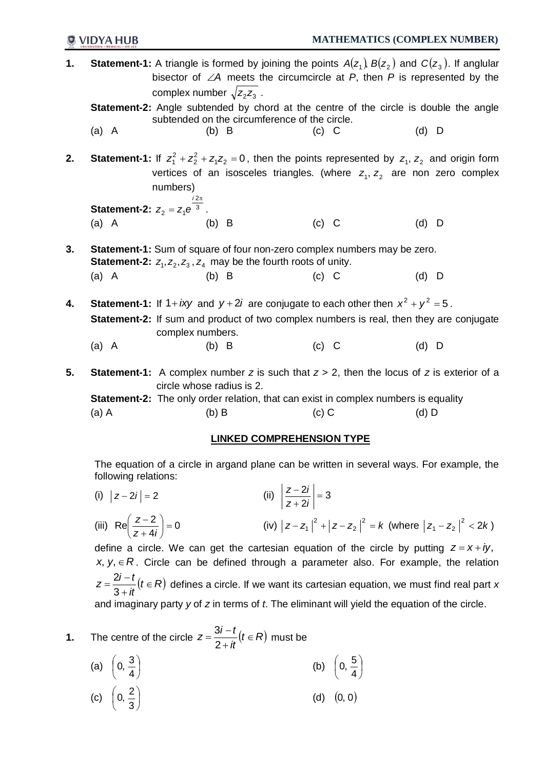**1. Statement-1:** A triangle is formed by joining the points  $A(z_1), B(z_2)$  and  $C(z_3)$ . If anglular bisector of  $\angle A$  meets the circumcircle at  $P$ , then  $P$  is represented by the complex number  $\sqrt{Z_2 Z_3}$  .

**Statement-2:** Angle subtended by chord at the centre of the circle is double the angle subtended on the circumference of the circle.

(a) A (b) B (c) C (d) D

**2.** Statement-1: If  $z_1^2 + z_2^2 + z_1 z_2 = 0$ , then the points represented by  $z_1$ ,  $z_2$  and origin form vertices of an isosceles triangles. (where  $z_1, z_2$  are non zero complex numbers)

**Statement-2:**  $z_2 = z_1 e^{-3}$ 2  $2 - 4$  $\pi$  $=$ *i*  $Z_2 = Z_1 e^{-3}$ . (a) A (b) B (c) C (d) D

**3. Statement-1:** Sum of square of four non-zero complex numbers may be zero. **Statement-2:**  $z_1, z_2, z_3, z_4$  may be the fourth roots of unity. (a) A (b) B (c) C (d) D

**4.** Statement-1: If  $1 + ixy$  and  $y + 2i$  are conjugate to each other then  $x^2 + y^2 = 5$ . **Statement-2:** If sum and product of two complex numbers is real, then they are conjugate complex numbers. (a) A (b) B (c) C (d) D

**5. Statement-1:** A complex number *z* is such that *z* > 2, then the locus of *z* is exterior of a circle whose radius is 2.

**Statement-2:** The only order relation, that can exist in complex numbers is equality (a) A (b) B (c) C (d) D

## **LINKED COMPREHENSION TYPE**

The equation of a circle in argand plane can be written in several ways. For example, the following relations:

- (i)  $|z 2i| = 2$  (ii)  $\frac{|z 2i|}{2} = 3$ 2  $\left|\frac{2i}{2i}\right| =$  $\ddot{}$  $\overline{\phantom{0}}$ *z i z i*
- (iii) Re $\frac{2}{\epsilon}$  = 0 4  $Re\left(\frac{z-2}{z-4i}\right)$  =  $\bigg)$  $\left(\frac{z-2}{z-4i}\right)$  $\setminus$ ſ  $\ddot{}$  $\overline{a}$ *z i z* (iv)  $|z - z_1|^2 + |z - z_2|^2 = k$ 2 2  $\left| z_{1} \right|^{2} + \left| z - z_{2} \right|^{2} = k$  (where  $\left| z_{1} - z_{2} \right|^{2} < 2k$ )

define a circle. We can get the cartesian equation of the circle by putting  $z = x + iy$ , *x*,  $y$ ,  $\in$  *R*. Circle can be defined through a parameter also. For example, the relation  $(t \in R)$ *it*  $z = \frac{2i - t}{2i}$  (*t*  $\in$  $^{+}$  $=\frac{2i-1}{2}$ 3  $\frac{2i-t}{2i}$  ( $t \in R$ ) defines a circle. If we want its cartesian equation, we must find real part *x* and imaginary party *y* of *z* in terms of *t*. The eliminant will yield the equation of the circle.

- **1.** The centre of the circle  $z = \frac{S}{2}$   $(t \in R)$ *it*  $z = \frac{3i-t}{2i}$  $^{+}$  $=\frac{3i-1}{2}$ 2  $\frac{3i-t}{2}(t \in R)$  must be
	- (a)  $|0, \frac{3}{4}|$ J  $\left(0, \frac{3}{4}\right)$  $\setminus$ ſ 4 3  $0, \frac{3}{4}$  (b)  $0, \frac{3}{4}$ J  $\left(0, \frac{5}{4}\right)$  $\setminus$ ſ 4  $0, \frac{5}{4}$ (c)  $|0, \frac{2}{3}|$ J  $\left(0, \frac{2}{5}\right)$  $\setminus$ ſ 3 2  $(d)$   $(0, 0)$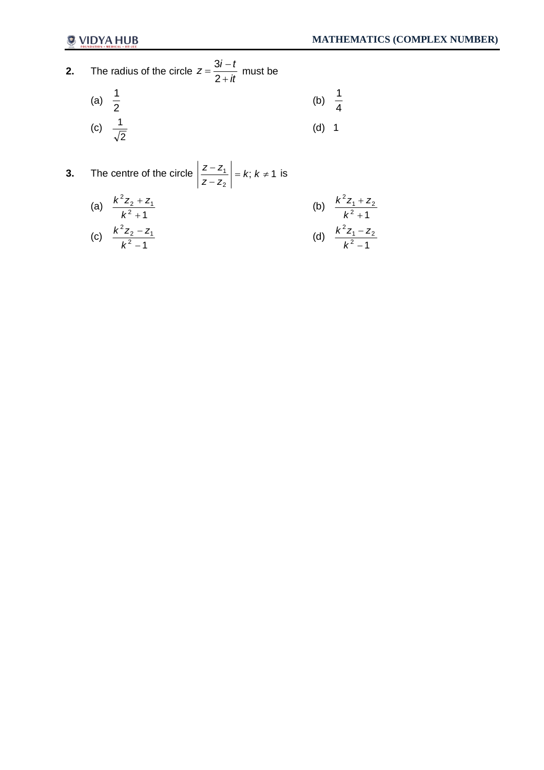- **2.** The radius of the circle *it*  $z = \frac{3i-t}{2}$  $^{+}$  $=\frac{3i-1}{2}$ 2  $\frac{3i-t}{2}$  must be
	- (a) 2 1 (b) 4 1 (c) 2 1 (d) 1
- **3.** The centre of the circle  $\left|\frac{2}{2} \frac{2}{1}\right| = k$ ;  $k \neq 1$ 2  $\mathbf{1} = k$ ;  $k \neq$  $\overline{a}$  $\left| \frac{-z_1}{z_2} \right| = k$ ; k *z z*  $\left|\frac{z-z_1}{z}\right| = k$ ;  $k \neq 1$  is

(a) 
$$
\frac{k^2 z_2 + z_1}{k^2 + 1}
$$
  
\n(b)  $\frac{k^2 z_1 + z_2}{k^2 + 1}$   
\n(c)  $\frac{k^2 z_2 - z_1}{k^2 - 1}$   
\n(d)  $\frac{k^2 z_1 - z_2}{k^2 - 1}$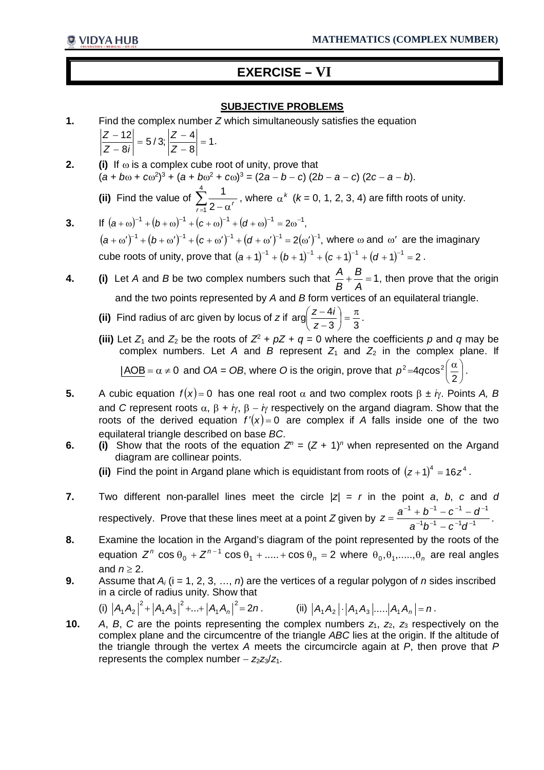# **EXERCISE – VI**

# **SUBJECTIVE PROBLEMS**

- **1.** Find the complex number *Z* which simultaneously satisfies the equation 1 8  $5/3$ ;  $\frac{|Z-4|}{|Z-2|}$ 8  $\left|\frac{12}{2}\right| = 5/3; \left|\frac{Z-4}{7-2}\right| =$ -= 5/3;  $\frac{Z-}{Z}$ - $\overline{a}$ *Z Z Z i*  $\left|\frac{Z-12}{Z-21}\right| = 5/3; \left|\frac{Z-4}{Z-21}\right| = 1.$
- **2. (i)** If  $\omega$  is a complex cube root of unity, prove that  $(a + b\omega + c\omega^2)^3 + (a + b\omega^2 + c\omega)^3 = (2a - b - c)(2b - a - c)(2c - a - b).$ 
	- **(ii)** Find the value of  $\sum_{r=1}^{4} \frac{1}{2-\alpha}$  $\frac{1}{1}$  2 1  $\sum_{r=1}^{\infty} \frac{1}{2-\alpha^r}$ , where  $\alpha^k$  (*k* = 0, 1, 2, 3, 4) are fifth roots of unity.
- **3.** If  $(a + \omega)^{-1} + (b + \omega)^{-1} + (c + \omega)^{-1} + (d + \omega)^{-1} = 2\omega^{-1}$ ,  $(a + \omega')^{-1} + (b + \omega')^{-1} + (c + \omega')^{-1} + (d + \omega')^{-1} = 2(\omega')^{-1}$ , where  $\omega$  and  $\omega'$  are the imaginary cube roots of unity, prove that  $(a + 1)^{-1} + (b + 1)^{-1} + (c + 1)^{-1} + (d + 1)^{-1} = 2$ .
- **4. (i)** Let *A* and *B* be two complex numbers such that  $\frac{1}{2} + \frac{1}{2} = 1$ *A B B*  $\frac{A}{B} + \frac{B}{A} = 1$ , then prove that the origin and the two points represented by *A* and *B* form vertices of an equilateral triangle.
	- **(ii)** Find radius of arc given by locus of *z* if 3 3  $arg\left(\frac{z-4i}{z-2}\right)=\frac{\pi}{2}$ J  $\left(\frac{z-4i}{2}\right)$  $\setminus$ ſ  $\overline{\phantom{a}}$ *z*  $\left(\frac{z-4i}{2}\right)=\frac{\pi}{2}.$
	- (iii) Let  $Z_1$  and  $Z_2$  be the roots of  $Z^2 + pZ + q = 0$  where the coefficients p and q may be complex numbers. Let  $A$  and  $B$  represent  $Z_1$  and  $Z_2$  in the complex plane. If

 $|AOB| = \alpha \neq 0$  and  $OA = OB$ , where *O* is the origin, prove that  $p^2 = 4q\cos^2\left(\frac{a}{q}\right)$ J  $\left(\frac{\alpha}{2}\right)$  $\setminus$ =4qcos<sup>2</sup> $\left(\frac{\alpha}{2}\right)$ 2  $p^2 = 4q\cos^2\left(\frac{\alpha}{2}\right)$ .

- **5.** A cubic equation  $f(x) = 0$  has one real root  $\alpha$  and two complex roots  $\beta \pm i\gamma$ . Points A, B and *C* represent roots  $\alpha$ ,  $\beta$  +  $\dot{\gamma}$ ,  $\beta$  -  $\dot{\gamma}$  respectively on the argand diagram. Show that the roots of the derived equation  $f'(x) = 0$  are complex if *A* falls inside one of the two equilateral triangle described on base *BC*.
- **6. (i)** Show that the roots of the equation  $Z^n = (Z + 1)^n$  when represented on the Argand diagram are collinear points.
	- (ii) Find the point in Argand plane which is equidistant from roots of  $(z+1)^4 = 16z^4$ .
- **7.** Two different non-parallel lines meet the circle  $|z| = r$  in the point *a*, *b*, *c* and *d* respectively. Prove that these lines meet at a point Z given by  $z = \frac{a}{2}h^{-1} \frac{b}{2} \frac{c}{2} \frac{1}{2} \frac{c}{2}$ 1  $h^{-1}$   $a^{-1}$   $d^{-1}$  $^{-1}h^{-1}$   $c^{-1}d^{-}$  $^{-1}$ ,  $h^{-1}$ ,  $c^{-1}$ ,  $d^{-1}$  $\overline{\phantom{0}}$  $=\frac{a^{-1}+b^{-1}-c^{-1}-1}{1+a^{-1}-1}$  $a^{-1}b^{-1} - c^{-1}$ d  $z = \frac{a^{-1} + b^{-1} - c^{-1} - d^{-1}}{1 + 1}$ .
- **8.** Examine the location in the Argand's diagram of the point represented by the roots of the equation  $Z^n$   $\cos \theta_0 + Z^{n-1} \cos \theta_1 + \dots + \cos \theta_n = 2$  where  $\theta_0, \theta_1, \dots, \theta_n$  are real angles and  $n \geq 2$ .
- **9.** Assume that  $A_i$  (i = 1, 2, 3, ..., *n*) are the vertices of a regular polygon of *n* sides inscribed in a circle of radius unity. Show that

(i) 
$$
|A_1A_2|^2 + |A_1A_3|^2 + ... + |A_1A_n|^2 = 2n
$$
. (ii)  $|A_1A_2| \cdot |A_1A_3| \dots |A_1A_n| = n$ .

**10.** *A*, *B*, *C* are the points representing the complex numbers  $z_1$ ,  $z_2$ ,  $z_3$  respectively on the complex plane and the circumcentre of the triangle *ABC* lies at the origin. If the altitude of the triangle through the vertex *A* meets the circumcircle again at *P*, then prove that *P* represents the complex number  $- z_2 z_3 / z_1$ .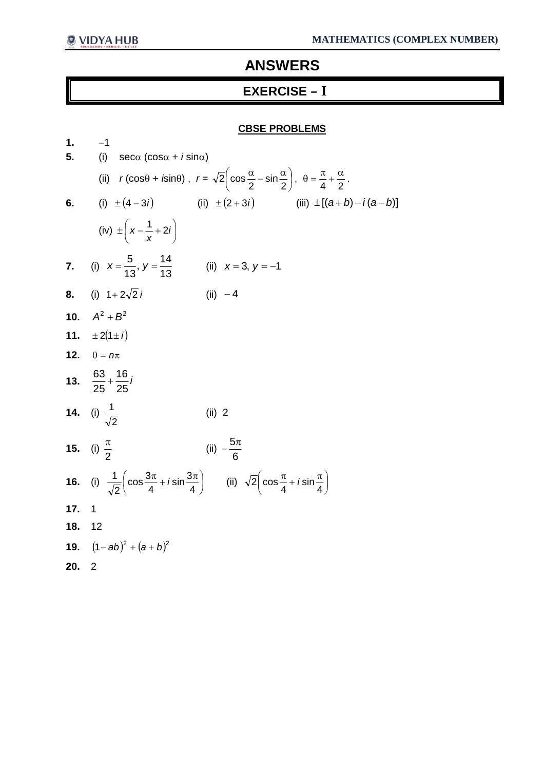# **ANSWERS**

# **EXERCISE – I**

# **CBSE PROBLEMS**

| 1.  | $-1$                                                                                                                                                                |
|-----|---------------------------------------------------------------------------------------------------------------------------------------------------------------------|
| 5.  | (i)<br>$sec\alpha$ (cos $\alpha$ + <i>i</i> sin $\alpha$ )                                                                                                          |
|     | (ii) $r(\cos\theta + i\sin\theta)$ , $r = \sqrt{2} \left(\cos\frac{\alpha}{2} - \sin\frac{\alpha}{2}\right)$ , $\theta = \frac{\pi}{4} + \frac{\alpha}{2}$ .        |
| 6.  | (ii) $\pm (2+3i)$ (iii) $\pm [(a+b)-i(a-b)]$<br>(i) $\pm (4-3i)$                                                                                                    |
|     | (iv) $\pm \left(x - \frac{1}{x} + 2i\right)$                                                                                                                        |
|     | 7. (i) $x = \frac{5}{13}$ , $y = \frac{14}{13}$ (ii) $x = 3$ , $y = -1$                                                                                             |
|     | <b>8.</b> (i) $1+2\sqrt{2}i$<br>(ii) $-4$                                                                                                                           |
|     | 10. $A^2 + B^2$                                                                                                                                                     |
|     | 11. $\pm 2(1 \pm i)$                                                                                                                                                |
|     | 12. $\theta = n\pi$                                                                                                                                                 |
|     | 13. $\frac{63}{25} + \frac{16}{25}i$                                                                                                                                |
|     | <b>14.</b> (i) $\frac{1}{\sqrt{2}}$<br>(ii) 2                                                                                                                       |
|     | (ii) $-\frac{5\pi}{6}$<br><b>15.</b> (i) $\frac{\pi}{2}$                                                                                                            |
|     | <b>16.</b> (i) $\frac{1}{\sqrt{2}}\left(\cos{\frac{3\pi}{4}} + i\sin{\frac{3\pi}{4}}\right)$ (ii) $\sqrt{2}\left(\cos{\frac{\pi}{4}} + i\sin{\frac{\pi}{4}}\right)$ |
| 17. | $\overline{\phantom{0}}$                                                                                                                                            |
| 18. | 12                                                                                                                                                                  |
|     | <b>19.</b> $(1-ab)^2 + (a+b)^2$                                                                                                                                     |
| 20. | $\overline{2}$                                                                                                                                                      |
|     |                                                                                                                                                                     |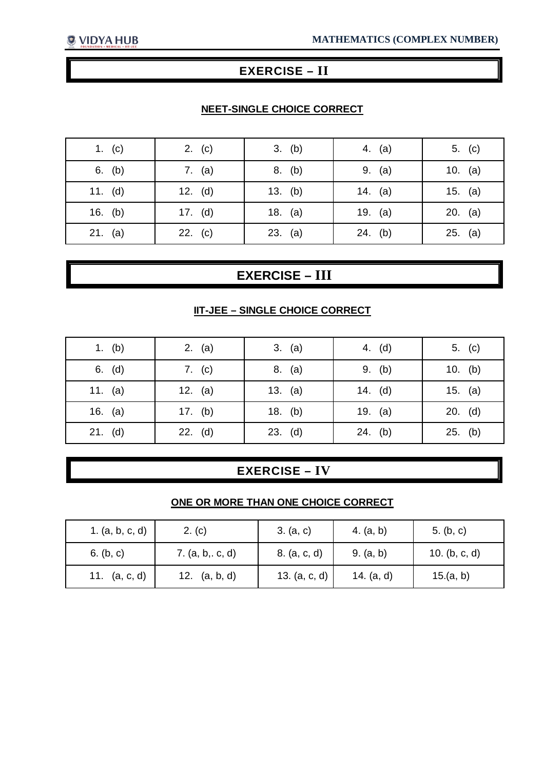# **EXERCISE – II**

# **NEET-SINGLE CHOICE CORRECT**

| 1. $(c)$  | 2. $(c)$  | 3. (b)    | 4. (a)    | 5. $(c)$  |
|-----------|-----------|-----------|-----------|-----------|
| 6. (b)    | 7. (a)    | 8. (b)    | 9. (a)    | 10. (a)   |
| 11. $(d)$ | 12. $(d)$ | 13. $(b)$ | 14. (a)   | 15. (a)   |
| 16. (b)   | 17. $(d)$ | 18. $(a)$ | 19. $(a)$ | $20.$ (a) |
| 21. (a)   | 22. (c)   | 23. (a)   | 24. (b)   | $25.$ (a) |

# **EXERCISE – III**

# **IIT-JEE – SINGLE CHOICE CORRECT**

| 1. (b)    | 2. $(a)$  | 3. (a)    | 4. (d)    | 5. $(c)$  |
|-----------|-----------|-----------|-----------|-----------|
| 6. (d)    | 7. $(c)$  | 8. (a)    | 9. (b)    | 10. (b)   |
| 11. (a)   | 12. (a)   | 13. $(a)$ | 14. $(d)$ | 15. (a)   |
| 16. (a)   | 17. (b)   | 18. $(b)$ | 19. (a)   | $20.$ (d) |
| $21.$ (d) | $22.$ (d) | $23.$ (d) | 24. (b)   | 25. (b)   |

# **EXERCISE – IV**

# **ONE OR MORE THAN ONE CHOICE CORRECT**

| 1. $(a, b, c, d)$ | 2. (c)            | 3. (a, c)       | 4. $(a, b)$  | 5. (b, c)     |
|-------------------|-------------------|-----------------|--------------|---------------|
| 6. $(b, c)$       | 7. $(a, b, c, d)$ | 8. (a, c, d)    | 9. (a, b)    | 10. (b, c, d) |
| (a, c, d)<br>11.  | 12. $(a, b, d)$   | 13. $(a, c, d)$ | 14. $(a, d)$ | 15.(a, b)     |